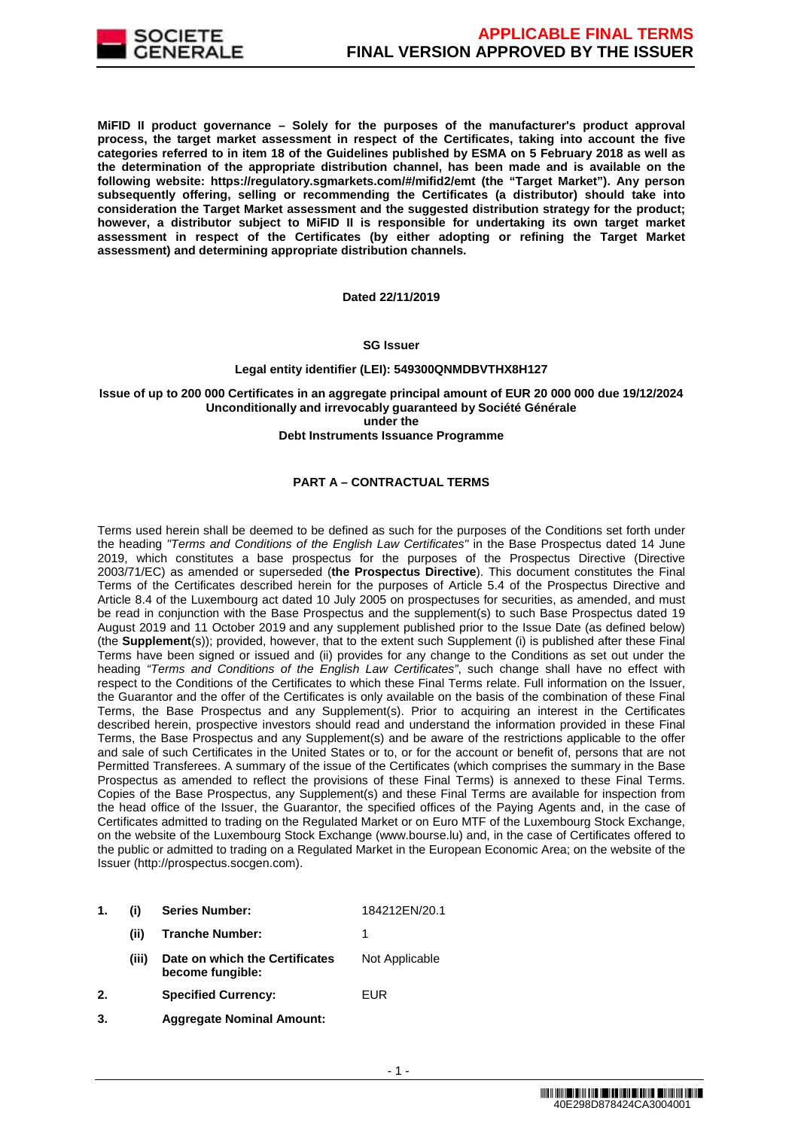

**MiFID II product governance – Solely for the purposes of the manufacturer's product approval process, the target market assessment in respect of the Certificates, taking into account the five categories referred to in item 18 of the Guidelines published by ESMA on 5 February 2018 as well as the determination of the appropriate distribution channel, has been made and is available on the following website: https://regulatory.sgmarkets.com/#/mifid2/emt (the "Target Market"). Any person subsequently offering, selling or recommending the Certificates (a distributor) should take into consideration the Target Market assessment and the suggested distribution strategy for the product; however, a distributor subject to MiFID II is responsible for undertaking its own target market assessment in respect of the Certificates (by either adopting or refining the Target Market assessment) and determining appropriate distribution channels.**

**Dated 22/11/2019**

### **SG Issuer**

### **Legal entity identifier (LEI): 549300QNMDBVTHX8H127**

**Issue of up to 200 000 Certificates in an aggregate principal amount of EUR 20 000 000 due 19/12/2024 Unconditionally and irrevocably guaranteed by Société Générale under the Debt Instruments Issuance Programme**

### **PART A – CONTRACTUAL TERMS**

Terms used herein shall be deemed to be defined as such for the purposes of the Conditions set forth under the heading "Terms and Conditions of the English Law Certificates" in the Base Prospectus dated 14 June 2019, which constitutes a base prospectus for the purposes of the Prospectus Directive (Directive 2003/71/EC) as amended or superseded (**the Prospectus Directive**). This document constitutes the Final Terms of the Certificates described herein for the purposes of Article 5.4 of the Prospectus Directive and Article 8.4 of the Luxembourg act dated 10 July 2005 on prospectuses for securities, as amended, and must be read in conjunction with the Base Prospectus and the supplement(s) to such Base Prospectus dated 19 August 2019 and 11 October 2019 and any supplement published prior to the Issue Date (as defined below) (the **Supplement**(s)); provided, however, that to the extent such Supplement (i) is published after these Final Terms have been signed or issued and (ii) provides for any change to the Conditions as set out under the heading "Terms and Conditions of the English Law Certificates", such change shall have no effect with respect to the Conditions of the Certificates to which these Final Terms relate. Full information on the Issuer, the Guarantor and the offer of the Certificates is only available on the basis of the combination of these Final Terms, the Base Prospectus and any Supplement(s). Prior to acquiring an interest in the Certificates described herein, prospective investors should read and understand the information provided in these Final Terms, the Base Prospectus and any Supplement(s) and be aware of the restrictions applicable to the offer and sale of such Certificates in the United States or to, or for the account or benefit of, persons that are not Permitted Transferees. A summary of the issue of the Certificates (which comprises the summary in the Base Prospectus as amended to reflect the provisions of these Final Terms) is annexed to these Final Terms. Copies of the Base Prospectus, any Supplement(s) and these Final Terms are available for inspection from the head office of the Issuer, the Guarantor, the specified offices of the Paying Agents and, in the case of Certificates admitted to trading on the Regulated Market or on Euro MTF of the Luxembourg Stock Exchange, on the website of the Luxembourg Stock Exchange (www.bourse.lu) and, in the case of Certificates offered to the public or admitted to trading on a Regulated Market in the European Economic Area; on the website of the Issuer (http://prospectus.socgen.com).

- **1. (i) Series Number:** 184212EN/20.1
	- **(ii) Tranche Number:** 1 **(iii) Date on which the Certificates become fungible:** Not Applicable
- **2. Specified Currency:** EUR
- **3. Aggregate Nominal Amount:**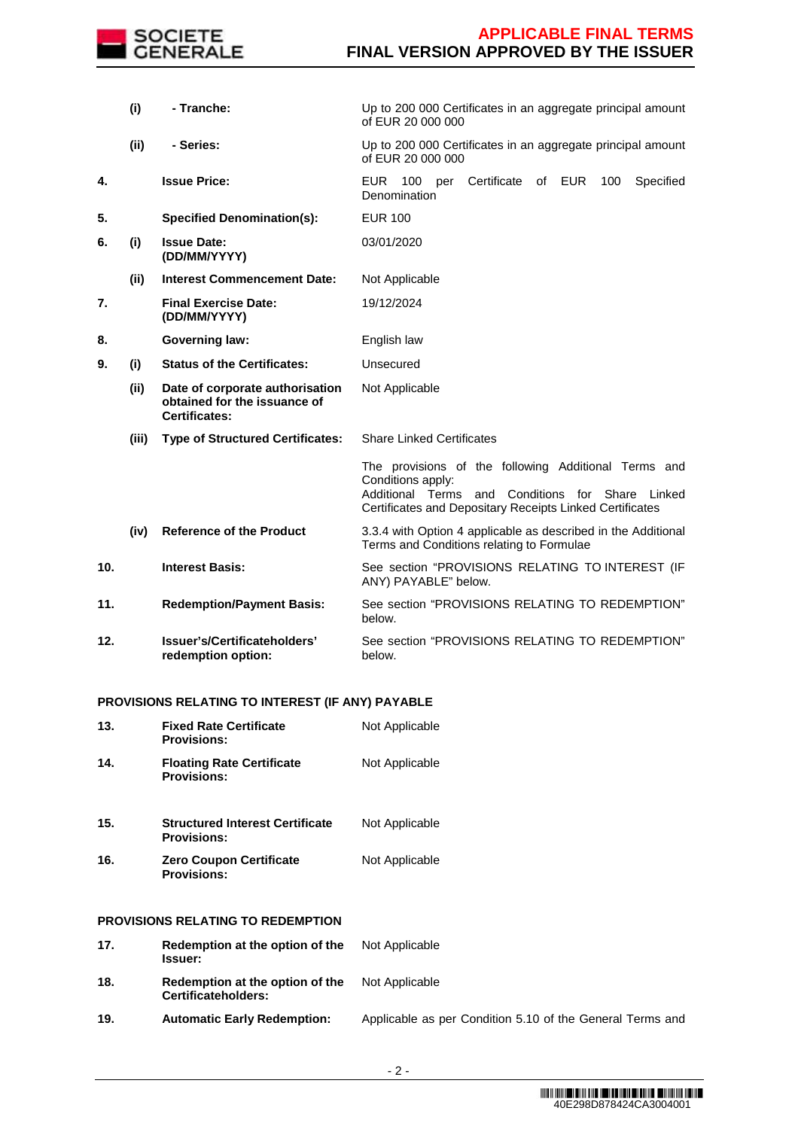

|     | (i)   | - Tranche:                                                                              | Up to 200 000 Certificates in an aggregate principal amount<br>of EUR 20 000 000                                                                                                          |  |  |  |  |
|-----|-------|-----------------------------------------------------------------------------------------|-------------------------------------------------------------------------------------------------------------------------------------------------------------------------------------------|--|--|--|--|
|     | (ii)  | - Series:                                                                               | Up to 200 000 Certificates in an aggregate principal amount<br>of EUR 20 000 000                                                                                                          |  |  |  |  |
| 4.  |       | <b>Issue Price:</b>                                                                     | Certificate<br><b>EUR</b><br>100<br>of EUR<br>Specified<br>100<br>per<br>Denomination                                                                                                     |  |  |  |  |
| 5.  |       | <b>Specified Denomination(s):</b>                                                       | <b>EUR 100</b>                                                                                                                                                                            |  |  |  |  |
| 6.  | (i)   | <b>Issue Date:</b><br>(DD/MM/YYYY)                                                      | 03/01/2020                                                                                                                                                                                |  |  |  |  |
|     | (ii)  | <b>Interest Commencement Date:</b>                                                      | Not Applicable                                                                                                                                                                            |  |  |  |  |
| 7.  |       | <b>Final Exercise Date:</b><br>(DD/MM/YYYY)                                             | 19/12/2024                                                                                                                                                                                |  |  |  |  |
| 8.  |       | <b>Governing law:</b>                                                                   | English law                                                                                                                                                                               |  |  |  |  |
| 9.  | (i)   | <b>Status of the Certificates:</b>                                                      | Unsecured                                                                                                                                                                                 |  |  |  |  |
|     | (ii)  | Date of corporate authorisation<br>obtained for the issuance of<br><b>Certificates:</b> | Not Applicable                                                                                                                                                                            |  |  |  |  |
|     | (iii) | <b>Type of Structured Certificates:</b>                                                 | <b>Share Linked Certificates</b>                                                                                                                                                          |  |  |  |  |
|     |       |                                                                                         | The provisions of the following Additional Terms and<br>Conditions apply:<br>Additional Terms and Conditions for Share Linked<br>Certificates and Depositary Receipts Linked Certificates |  |  |  |  |
|     | (iv)  | <b>Reference of the Product</b>                                                         | 3.3.4 with Option 4 applicable as described in the Additional<br>Terms and Conditions relating to Formulae                                                                                |  |  |  |  |
| 10. |       | <b>Interest Basis:</b>                                                                  | See section "PROVISIONS RELATING TO INTEREST (IF<br>ANY) PAYABLE" below.                                                                                                                  |  |  |  |  |
| 11. |       | <b>Redemption/Payment Basis:</b>                                                        | See section "PROVISIONS RELATING TO REDEMPTION"<br>below.                                                                                                                                 |  |  |  |  |
| 12. |       | Issuer's/Certificateholders'<br>redemption option:                                      | See section "PROVISIONS RELATING TO REDEMPTION"<br>below.                                                                                                                                 |  |  |  |  |
|     |       |                                                                                         |                                                                                                                                                                                           |  |  |  |  |

# **PROVISIONS RELATING TO INTEREST (IF ANY) PAYABLE**

| 13. | <b>Fixed Rate Certificate</b><br><b>Provisions:</b>          | Not Applicable |
|-----|--------------------------------------------------------------|----------------|
| 14. | <b>Floating Rate Certificate</b><br><b>Provisions:</b>       | Not Applicable |
| 15. | <b>Structured Interest Certificate</b><br><b>Provisions:</b> | Not Applicable |
| 16. | <b>Zero Coupon Certificate</b><br><b>Provisions:</b>         | Not Applicable |
|     | PROVISIONS RELATING TO REDEMPTION                            |                |
| 17. | Redemption at the option of the<br>Issuer:                   | Not Applicable |
| 18. | Redemption at the option of the<br>Certificateholders:       | Not Applicable |

**19. Automatic Early Redemption:** Applicable as per Condition 5.10 of the General Terms and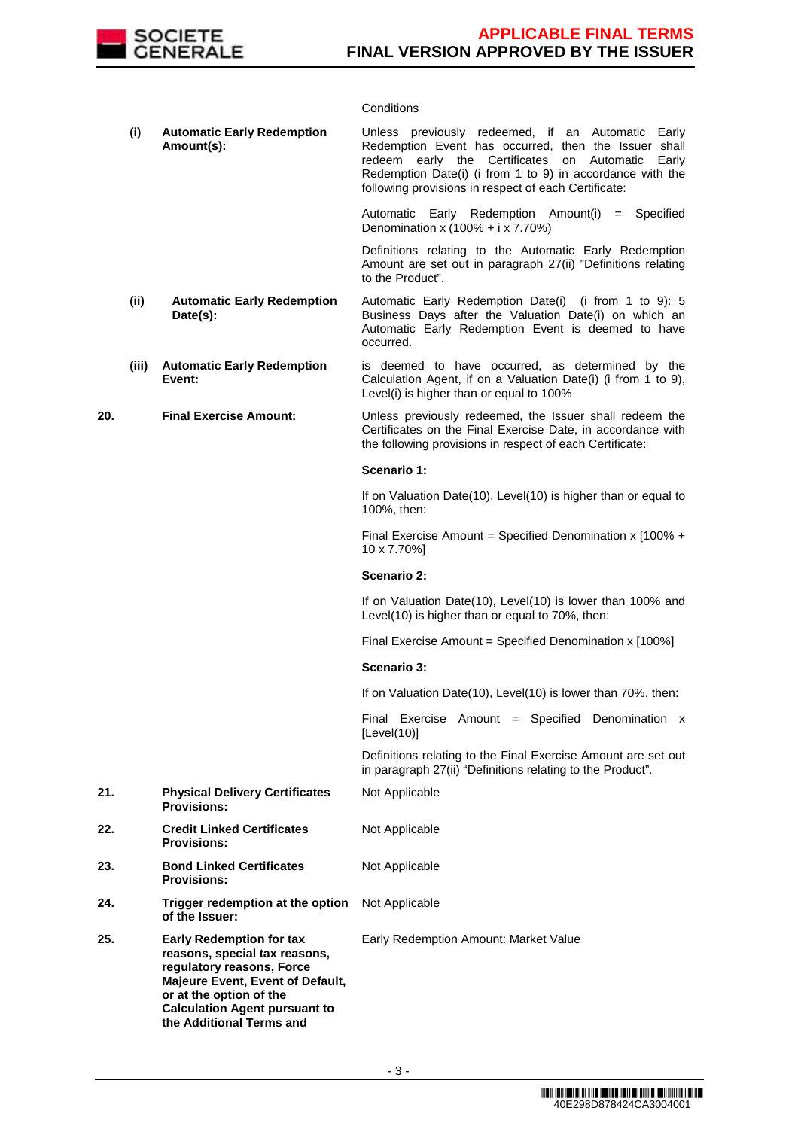

## **Conditions**

|     | (i)   | <b>Automatic Early Redemption</b><br>Amount(s):                                                                                                                                                                                  | Unless previously redeemed, if an Automatic Early<br>Redemption Event has occurred, then the Issuer shall<br>redeem early the Certificates on Automatic Early<br>Redemption Date(i) (i from 1 to 9) in accordance with the<br>following provisions in respect of each Certificate: |
|-----|-------|----------------------------------------------------------------------------------------------------------------------------------------------------------------------------------------------------------------------------------|------------------------------------------------------------------------------------------------------------------------------------------------------------------------------------------------------------------------------------------------------------------------------------|
|     |       |                                                                                                                                                                                                                                  | Automatic Early Redemption Amount(i)<br>$=$ Specified<br>Denomination x (100% + i x 7.70%)                                                                                                                                                                                         |
|     |       |                                                                                                                                                                                                                                  | Definitions relating to the Automatic Early Redemption<br>Amount are set out in paragraph 27(ii) "Definitions relating<br>to the Product".                                                                                                                                         |
|     | (ii)  | <b>Automatic Early Redemption</b><br>Date(s):                                                                                                                                                                                    | Automatic Early Redemption Date(i) (i from 1 to 9): 5<br>Business Days after the Valuation Date(i) on which an<br>Automatic Early Redemption Event is deemed to have<br>occurred.                                                                                                  |
|     | (iii) | <b>Automatic Early Redemption</b><br>Event:                                                                                                                                                                                      | is deemed to have occurred, as determined by the<br>Calculation Agent, if on a Valuation Date(i) (i from 1 to 9),<br>Level(i) is higher than or equal to 100%                                                                                                                      |
| 20. |       | <b>Final Exercise Amount:</b>                                                                                                                                                                                                    | Unless previously redeemed, the Issuer shall redeem the<br>Certificates on the Final Exercise Date, in accordance with<br>the following provisions in respect of each Certificate:                                                                                                 |
|     |       |                                                                                                                                                                                                                                  | Scenario 1:                                                                                                                                                                                                                                                                        |
|     |       |                                                                                                                                                                                                                                  | If on Valuation Date(10), Level(10) is higher than or equal to<br>100%, then:                                                                                                                                                                                                      |
|     |       |                                                                                                                                                                                                                                  | Final Exercise Amount = Specified Denomination x $100\% +$<br>10 x 7.70%]                                                                                                                                                                                                          |
|     |       |                                                                                                                                                                                                                                  | Scenario 2:                                                                                                                                                                                                                                                                        |
|     |       |                                                                                                                                                                                                                                  | If on Valuation Date(10), Level(10) is lower than 100% and<br>Level(10) is higher than or equal to 70%, then:                                                                                                                                                                      |
|     |       |                                                                                                                                                                                                                                  | Final Exercise Amount = Specified Denomination x [100%]                                                                                                                                                                                                                            |
|     |       |                                                                                                                                                                                                                                  | Scenario 3:                                                                                                                                                                                                                                                                        |
|     |       |                                                                                                                                                                                                                                  | If on Valuation Date(10), Level(10) is lower than 70%, then:                                                                                                                                                                                                                       |
|     |       |                                                                                                                                                                                                                                  | Final Exercise Amount = Specified Denomination $x$<br>[Level(10)]                                                                                                                                                                                                                  |
|     |       |                                                                                                                                                                                                                                  | Definitions relating to the Final Exercise Amount are set out<br>in paragraph 27(ii) "Definitions relating to the Product".                                                                                                                                                        |
| 21. |       | <b>Physical Delivery Certificates</b><br><b>Provisions:</b>                                                                                                                                                                      | Not Applicable                                                                                                                                                                                                                                                                     |
| 22. |       | <b>Credit Linked Certificates</b><br><b>Provisions:</b>                                                                                                                                                                          | Not Applicable                                                                                                                                                                                                                                                                     |
| 23. |       | <b>Bond Linked Certificates</b><br><b>Provisions:</b>                                                                                                                                                                            | Not Applicable                                                                                                                                                                                                                                                                     |
| 24. |       | Trigger redemption at the option<br>of the Issuer:                                                                                                                                                                               | Not Applicable                                                                                                                                                                                                                                                                     |
| 25. |       | <b>Early Redemption for tax</b><br>reasons, special tax reasons,<br>regulatory reasons, Force<br>Majeure Event, Event of Default,<br>or at the option of the<br><b>Calculation Agent pursuant to</b><br>the Additional Terms and | Early Redemption Amount: Market Value                                                                                                                                                                                                                                              |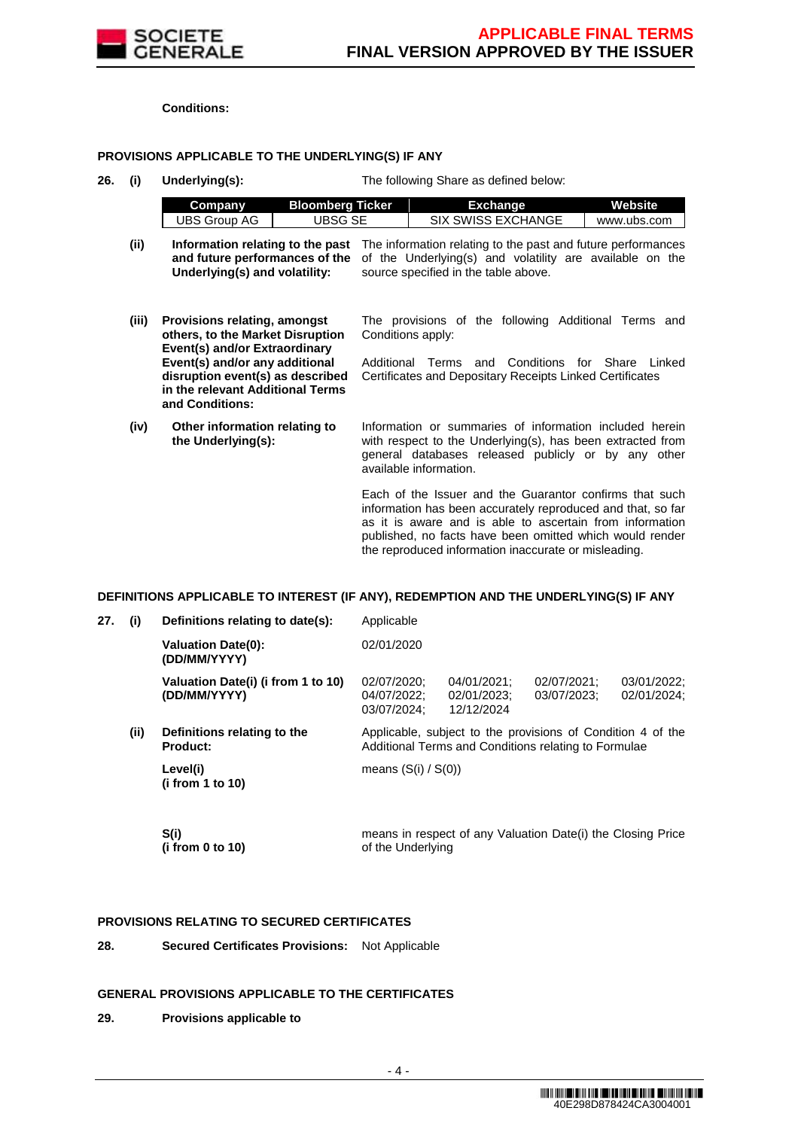

**Conditions:**

### **PROVISIONS APPLICABLE TO THE UNDERLYING(S) IF ANY**

**26. (i) Underlying(s):** The following Share as defined below:

|      | Company                       | <b>Bloomberg Ticker</b> | Exchange                                                                                                                                                                                                                         | Website     |
|------|-------------------------------|-------------------------|----------------------------------------------------------------------------------------------------------------------------------------------------------------------------------------------------------------------------------|-------------|
|      | UBS Group AG                  | UBSG SE                 | <b>SIX SWISS EXCHANGE</b>                                                                                                                                                                                                        | www.ubs.com |
| (ii) | Underlying(s) and volatility: |                         | Information relating to the past The information relating to the past and future performances<br>and future performances of the of the Underlying(s) and volatility are available on the<br>source specified in the table above. |             |

- **(iii) Provisions relating, amongst others, to the Market Disruption Event(s) and/or Extraordinary Event(s) and/or any additional disruption event(s) as described in the relevant Additional Terms and Conditions:** The provisions of the following Additional Terms and Conditions apply: Additional Terms and Conditions for Share Linked Certificates and Depositary Receipts Linked Certificates
- **(iv) Other information relating to the Underlying(s):** Information or summaries of information included herein with respect to the Underlying(s), has been extracted from general databases released publicly or by any other available information.

Each of the Issuer and the Guarantor confirms that such information has been accurately reproduced and that, so far as it is aware and is able to ascertain from information published, no facts have been omitted which would render the reproduced information inaccurate or misleading.

### **DEFINITIONS APPLICABLE TO INTEREST (IF ANY), REDEMPTION AND THE UNDERLYING(S) IF ANY**

| 27. | (i)  | Definitions relating to date(s):                   | Applicable                                |                                                                                                                     |  |
|-----|------|----------------------------------------------------|-------------------------------------------|---------------------------------------------------------------------------------------------------------------------|--|
|     |      | <b>Valuation Date(0):</b><br>(DD/MM/YYYY)          | 02/01/2020                                |                                                                                                                     |  |
|     |      | Valuation Date(i) (i from 1 to 10)<br>(DD/MM/YYYY) | 02/07/2020:<br>04/07/2022;<br>03/07/2024: | 03/01/2022:<br>02/01/2024;                                                                                          |  |
|     | (ii) | Definitions relating to the<br><b>Product:</b>     |                                           | Applicable, subject to the provisions of Condition 4 of the<br>Additional Terms and Conditions relating to Formulae |  |
|     |      | Level(i)<br>(i from 1 to 10)                       | means $(S(i) / S(0))$                     |                                                                                                                     |  |
|     |      | S(i)                                               |                                           | means in respect of any Valuation Date(i) the Closing Price                                                         |  |

of the Underlying

### **PROVISIONS RELATING TO SECURED CERTIFICATES**

**28. Secured Certificates Provisions:** Not Applicable

### **GENERAL PROVISIONS APPLICABLE TO THE CERTIFICATES**

**29. Provisions applicable to** 

**(i from 0 to 10)**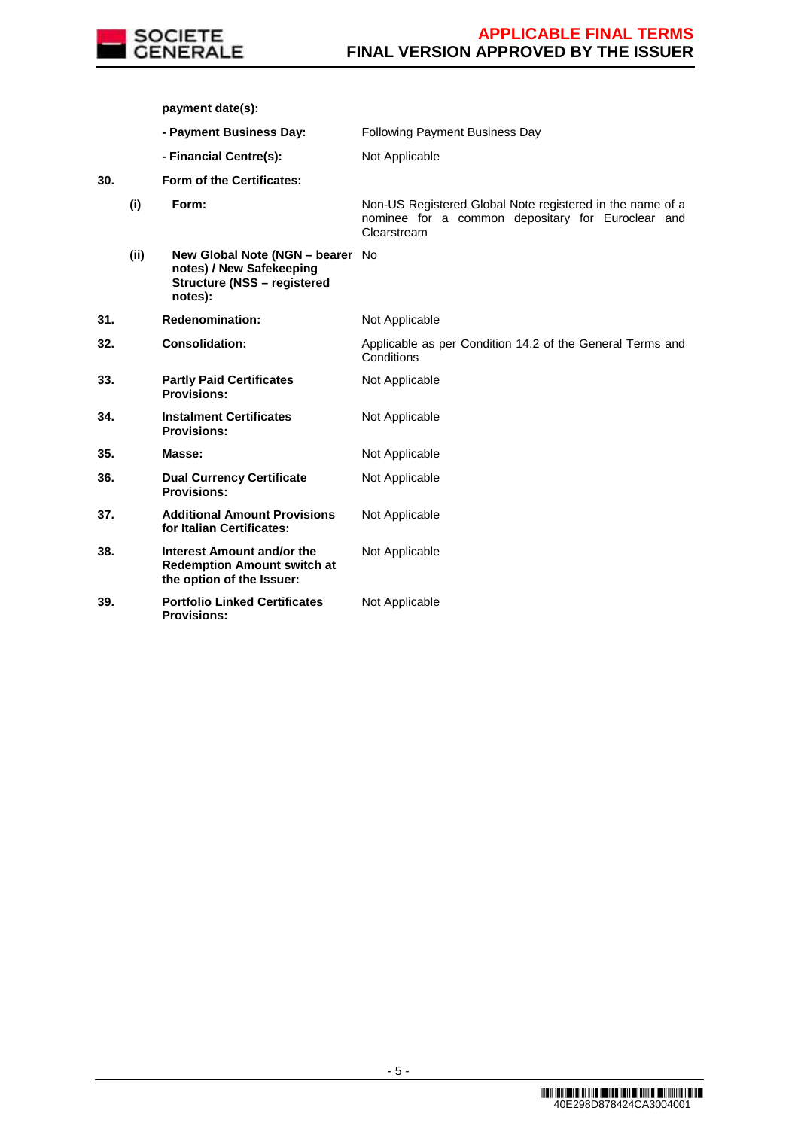

**payment date(s):**

- **Payment Business Day:** Following Payment Business Day
- **Financial Centre(s):** Not Applicable

**30. Form of the Certificates:**

**(i) Form:** Non-US Registered Global Note registered in the name of a nominee for a common depositary for Euroclear and Clearstream **(ii) New Global Note (NGN – bearer**  No **notes) / New Safekeeping Structure (NSS – registered notes):**

| 31. | <b>Redenomination:</b>                                                                        | Not Applicable                                                          |
|-----|-----------------------------------------------------------------------------------------------|-------------------------------------------------------------------------|
| 32. | <b>Consolidation:</b>                                                                         | Applicable as per Condition 14.2 of the General Terms and<br>Conditions |
| 33. | <b>Partly Paid Certificates</b><br><b>Provisions:</b>                                         | Not Applicable                                                          |
| 34. | <b>Instalment Certificates</b><br><b>Provisions:</b>                                          | Not Applicable                                                          |
| 35. | Masse:                                                                                        | Not Applicable                                                          |
| 36. | <b>Dual Currency Certificate</b><br><b>Provisions:</b>                                        | Not Applicable                                                          |
| 37. | <b>Additional Amount Provisions</b><br>for Italian Certificates:                              | Not Applicable                                                          |
| 38. | Interest Amount and/or the<br><b>Redemption Amount switch at</b><br>the option of the Issuer: | Not Applicable                                                          |
| 39. | <b>Portfolio Linked Certificates</b><br><b>Provisions:</b>                                    | Not Applicable                                                          |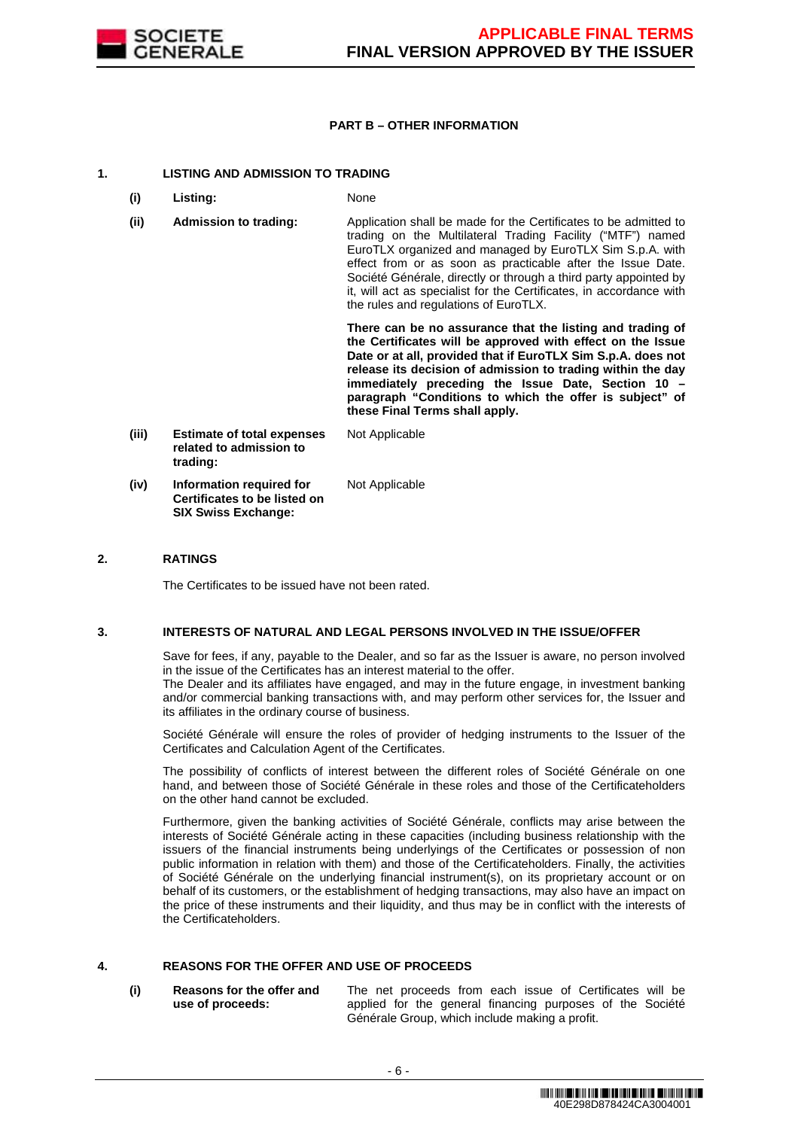

## **PART B – OTHER INFORMATION**

### **1. LISTING AND ADMISSION TO TRADING**

- **(i) Listing:** None
- **(ii) Admission to trading:** Application shall be made for the Certificates to be admitted to trading on the Multilateral Trading Facility ("MTF") named EuroTLX organized and managed by EuroTLX Sim S.p.A. with effect from or as soon as practicable after the Issue Date. Société Générale, directly or through a third party appointed by it, will act as specialist for the Certificates, in accordance with the rules and regulations of EuroTLX.

 **There can be no assurance that the listing and trading of the Certificates will be approved with effect on the Issue Date or at all, provided that if EuroTLX Sim S.p.A. does not release its decision of admission to trading within the day immediately preceding the Issue Date, Section 10 – paragraph "Conditions to which the offer is subject" of these Final Terms shall apply.**

**(iii) Estimate of total expenses related to admission to trading:** Not Applicable **(iv) Information required for Certificates to be listed on SIX Swiss Exchange:** Not Applicable

## **2. RATINGS**

The Certificates to be issued have not been rated.

### **3. INTERESTS OF NATURAL AND LEGAL PERSONS INVOLVED IN THE ISSUE/OFFER**

 Save for fees, if any, payable to the Dealer, and so far as the Issuer is aware, no person involved in the issue of the Certificates has an interest material to the offer.

The Dealer and its affiliates have engaged, and may in the future engage, in investment banking and/or commercial banking transactions with, and may perform other services for, the Issuer and its affiliates in the ordinary course of business.

 Société Générale will ensure the roles of provider of hedging instruments to the Issuer of the Certificates and Calculation Agent of the Certificates.

 The possibility of conflicts of interest between the different roles of Société Générale on one hand, and between those of Société Générale in these roles and those of the Certificateholders on the other hand cannot be excluded.

 Furthermore, given the banking activities of Société Générale, conflicts may arise between the interests of Société Générale acting in these capacities (including business relationship with the issuers of the financial instruments being underlyings of the Certificates or possession of non public information in relation with them) and those of the Certificateholders. Finally, the activities of Société Générale on the underlying financial instrument(s), on its proprietary account or on behalf of its customers, or the establishment of hedging transactions, may also have an impact on the price of these instruments and their liquidity, and thus may be in conflict with the interests of the Certificateholders.

# **4. REASONS FOR THE OFFER AND USE OF PROCEEDS**

**(i) Reasons for the offer and use of proceeds:**

The net proceeds from each issue of Certificates will be applied for the general financing purposes of the Société Générale Group, which include making a profit.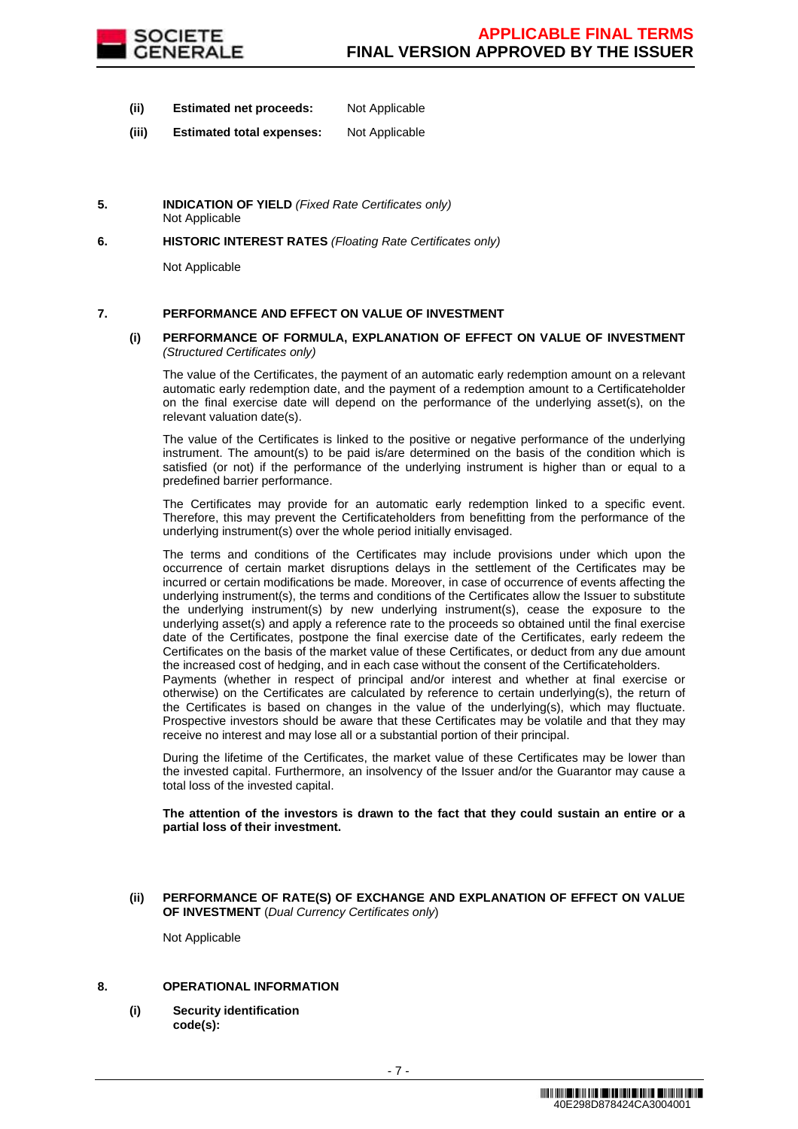

- **(ii) Estimated net proceeds:** Not Applicable
- **(iii) Estimated total expenses:** Not Applicable
- **5. INDICATION OF YIELD** (Fixed Rate Certificates only) Not Applicable
- **6. HISTORIC INTEREST RATES** (Floating Rate Certificates only)

Not Applicable

## **7. PERFORMANCE AND EFFECT ON VALUE OF INVESTMENT**

### **(i) PERFORMANCE OF FORMULA, EXPLANATION OF EFFECT ON VALUE OF INVESTMENT**  (Structured Certificates only)

 The value of the Certificates, the payment of an automatic early redemption amount on a relevant automatic early redemption date, and the payment of a redemption amount to a Certificateholder on the final exercise date will depend on the performance of the underlying asset(s), on the relevant valuation date(s).

 The value of the Certificates is linked to the positive or negative performance of the underlying instrument. The amount(s) to be paid is/are determined on the basis of the condition which is satisfied (or not) if the performance of the underlying instrument is higher than or equal to a predefined barrier performance.

 The Certificates may provide for an automatic early redemption linked to a specific event. Therefore, this may prevent the Certificateholders from benefitting from the performance of the underlying instrument(s) over the whole period initially envisaged.

 The terms and conditions of the Certificates may include provisions under which upon the occurrence of certain market disruptions delays in the settlement of the Certificates may be incurred or certain modifications be made. Moreover, in case of occurrence of events affecting the underlying instrument(s), the terms and conditions of the Certificates allow the Issuer to substitute the underlying instrument(s) by new underlying instrument(s), cease the exposure to the underlying asset(s) and apply a reference rate to the proceeds so obtained until the final exercise date of the Certificates, postpone the final exercise date of the Certificates, early redeem the Certificates on the basis of the market value of these Certificates, or deduct from any due amount the increased cost of hedging, and in each case without the consent of the Certificateholders.

Payments (whether in respect of principal and/or interest and whether at final exercise or otherwise) on the Certificates are calculated by reference to certain underlying(s), the return of the Certificates is based on changes in the value of the underlying(s), which may fluctuate. Prospective investors should be aware that these Certificates may be volatile and that they may receive no interest and may lose all or a substantial portion of their principal.

 During the lifetime of the Certificates, the market value of these Certificates may be lower than the invested capital. Furthermore, an insolvency of the Issuer and/or the Guarantor may cause a total loss of the invested capital.

**The attention of the investors is drawn to the fact that they could sustain an entire or a partial loss of their investment.**

### **(ii) PERFORMANCE OF RATE(S) OF EXCHANGE AND EXPLANATION OF EFFECT ON VALUE OF INVESTMENT** (Dual Currency Certificates only)

Not Applicable

### **8. OPERATIONAL INFORMATION**

**(i) Security identification code(s):**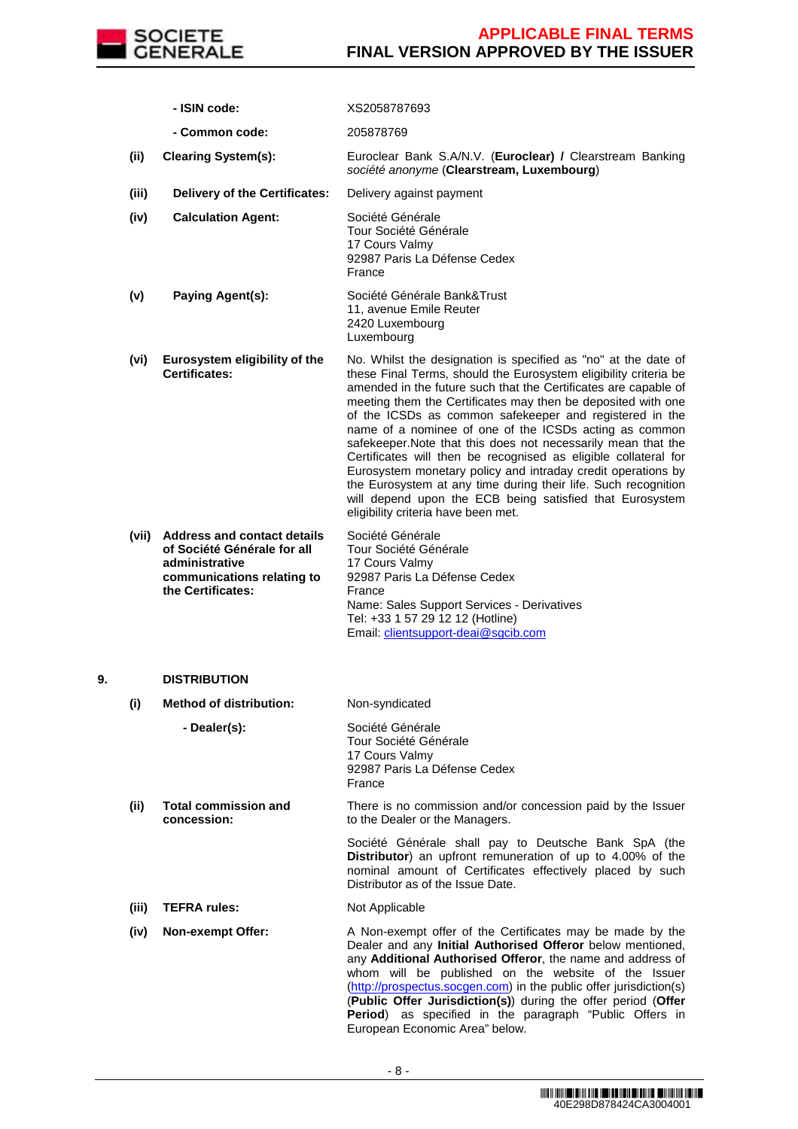

|    |       | - ISIN code:                                                                                                                           | XS2058787693                                                                                                                                                                                                                                                                                                                                                                                                                                                                                                                                                                                                                                                                                                                                                        |
|----|-------|----------------------------------------------------------------------------------------------------------------------------------------|---------------------------------------------------------------------------------------------------------------------------------------------------------------------------------------------------------------------------------------------------------------------------------------------------------------------------------------------------------------------------------------------------------------------------------------------------------------------------------------------------------------------------------------------------------------------------------------------------------------------------------------------------------------------------------------------------------------------------------------------------------------------|
|    |       | - Common code:                                                                                                                         | 205878769                                                                                                                                                                                                                                                                                                                                                                                                                                                                                                                                                                                                                                                                                                                                                           |
|    | (ii)  | <b>Clearing System(s):</b>                                                                                                             | Euroclear Bank S.A/N.V. (Euroclear) / Clearstream Banking<br>société anonyme (Clearstream, Luxembourg)                                                                                                                                                                                                                                                                                                                                                                                                                                                                                                                                                                                                                                                              |
|    | (iii) | Delivery of the Certificates:                                                                                                          | Delivery against payment                                                                                                                                                                                                                                                                                                                                                                                                                                                                                                                                                                                                                                                                                                                                            |
|    | (iv)  | <b>Calculation Agent:</b>                                                                                                              | Société Générale<br>Tour Société Générale<br>17 Cours Valmy<br>92987 Paris La Défense Cedex<br>France                                                                                                                                                                                                                                                                                                                                                                                                                                                                                                                                                                                                                                                               |
|    | (v)   | Paying Agent(s):                                                                                                                       | Société Générale Bank&Trust<br>11, avenue Emile Reuter<br>2420 Luxembourg<br>Luxembourg                                                                                                                                                                                                                                                                                                                                                                                                                                                                                                                                                                                                                                                                             |
|    | (vi)  | Eurosystem eligibility of the<br><b>Certificates:</b>                                                                                  | No. Whilst the designation is specified as "no" at the date of<br>these Final Terms, should the Eurosystem eligibility criteria be<br>amended in the future such that the Certificates are capable of<br>meeting them the Certificates may then be deposited with one<br>of the ICSDs as common safekeeper and registered in the<br>name of a nominee of one of the ICSDs acting as common<br>safekeeper. Note that this does not necessarily mean that the<br>Certificates will then be recognised as eligible collateral for<br>Eurosystem monetary policy and intraday credit operations by<br>the Eurosystem at any time during their life. Such recognition<br>will depend upon the ECB being satisfied that Eurosystem<br>eligibility criteria have been met. |
|    | (vii) | <b>Address and contact details</b><br>of Société Générale for all<br>administrative<br>communications relating to<br>the Certificates: | Société Générale<br>Tour Société Générale<br>17 Cours Valmy<br>92987 Paris La Défense Cedex<br>France<br>Name: Sales Support Services - Derivatives<br>Tel: +33 1 57 29 12 12 (Hotline)<br>Email: clientsupport-deai@sgcib.com                                                                                                                                                                                                                                                                                                                                                                                                                                                                                                                                      |
| 9. |       | <b>DISTRIBUTION</b>                                                                                                                    |                                                                                                                                                                                                                                                                                                                                                                                                                                                                                                                                                                                                                                                                                                                                                                     |
|    | (i)   | <b>Method of distribution:</b>                                                                                                         | Non-syndicated                                                                                                                                                                                                                                                                                                                                                                                                                                                                                                                                                                                                                                                                                                                                                      |
|    |       | - Dealer(s):                                                                                                                           | Société Générale<br>Tour Société Générale<br>17 Cours Valmy<br>92987 Paris La Défense Cedex<br>France                                                                                                                                                                                                                                                                                                                                                                                                                                                                                                                                                                                                                                                               |
|    | (ii)  | <b>Total commission and</b><br>concession:                                                                                             | There is no commission and/or concession paid by the Issuer<br>to the Dealer or the Managers.                                                                                                                                                                                                                                                                                                                                                                                                                                                                                                                                                                                                                                                                       |
|    |       |                                                                                                                                        | Société Générale shall pay to Deutsche Bank SpA (the<br>Distributor) an upfront remuneration of up to 4.00% of the<br>nominal amount of Certificates effectively placed by such<br>Distributor as of the Issue Date.                                                                                                                                                                                                                                                                                                                                                                                                                                                                                                                                                |
|    | (iii) | <b>TEFRA rules:</b>                                                                                                                    | Not Applicable                                                                                                                                                                                                                                                                                                                                                                                                                                                                                                                                                                                                                                                                                                                                                      |
|    | (iv)  | <b>Non-exempt Offer:</b>                                                                                                               | A Non-exempt offer of the Certificates may be made by the<br>Dealer and any Initial Authorised Offeror below mentioned,<br>any Additional Authorised Offeror, the name and address of<br>whom will be published on the website of the Issuer<br>(http://prospectus.socgen.com) in the public offer jurisdiction(s)<br>(Public Offer Jurisdiction(s)) during the offer period (Offer<br>Period) as specified in the paragraph "Public Offers in                                                                                                                                                                                                                                                                                                                      |

European Economic Area" below.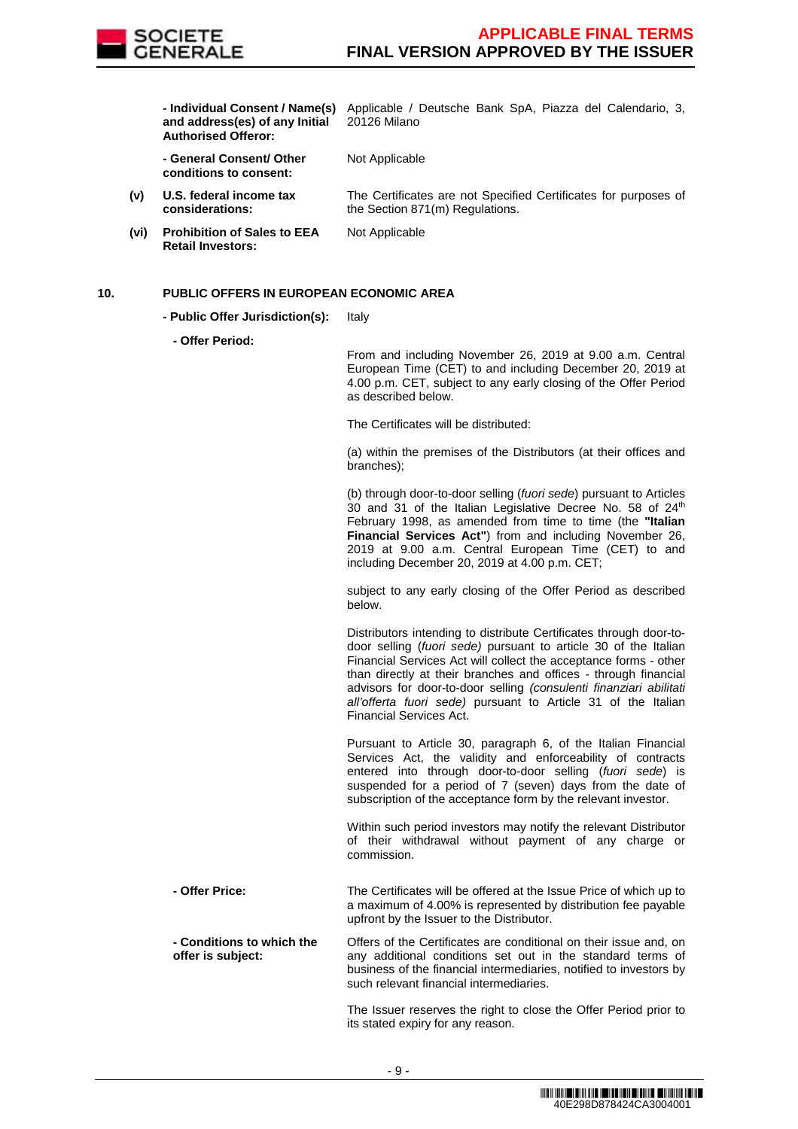

**and address(es) of any Initial Authorised Offeror:**

 **- Individual Consent / Name(s)**  Applicable / Deutsche Bank SpA, Piazza del Calendario, 3, 20126 Milano

> **- General Consent/ Other conditions to consent:**

Not Applicable

Not Applicable

The Certificates are not Specified Certificates for purposes of the Section 871(m) Regulations.

**(vi) Prohibition of Sales to EEA Retail Investors:**

**(v) U.S. federal income tax considerations:**

## **10. PUBLIC OFFERS IN EUROPEAN ECONOMIC AREA**

- **Public Offer Jurisdiction(s):** Italy
	- **Offer Period:**

From and including November 26, 2019 at 9.00 a.m. Central European Time (CET) to and including December 20, 2019 at 4.00 p.m. CET, subject to any early closing of the Offer Period as described below.

The Certificates will be distributed:

(a) within the premises of the Distributors (at their offices and branches);

(b) through door-to-door selling (fuori sede) pursuant to Articles 30 and 31 of the Italian Legislative Decree No. 58 of  $24<sup>th</sup>$ February 1998, as amended from time to time (the **"Italian Financial Services Act"**) from and including November 26, 2019 at 9.00 a.m. Central European Time (CET) to and including December 20, 2019 at 4.00 p.m. CET;

subject to any early closing of the Offer Period as described below.

Distributors intending to distribute Certificates through door-todoor selling (fuori sede) pursuant to article 30 of the Italian Financial Services Act will collect the acceptance forms - other than directly at their branches and offices - through financial advisors for door-to-door selling (consulenti finanziari abilitati all'offerta fuori sede) pursuant to Article 31 of the Italian Financial Services Act.

Pursuant to Article 30, paragraph 6, of the Italian Financial Services Act, the validity and enforceability of contracts entered into through door-to-door selling (fuori sede) is suspended for a period of 7 (seven) days from the date of subscription of the acceptance form by the relevant investor.

Within such period investors may notify the relevant Distributor of their withdrawal without payment of any charge or commission.

 **- Offer Price:** The Certificates will be offered at the Issue Price of which up to a maximum of 4.00% is represented by distribution fee payable upfront by the Issuer to the Distributor.

 **- Conditions to which the offer is subject:** Offers of the Certificates are conditional on their issue and, on any additional conditions set out in the standard terms of business of the financial intermediaries, notified to investors by such relevant financial intermediaries.

> The Issuer reserves the right to close the Offer Period prior to its stated expiry for any reason.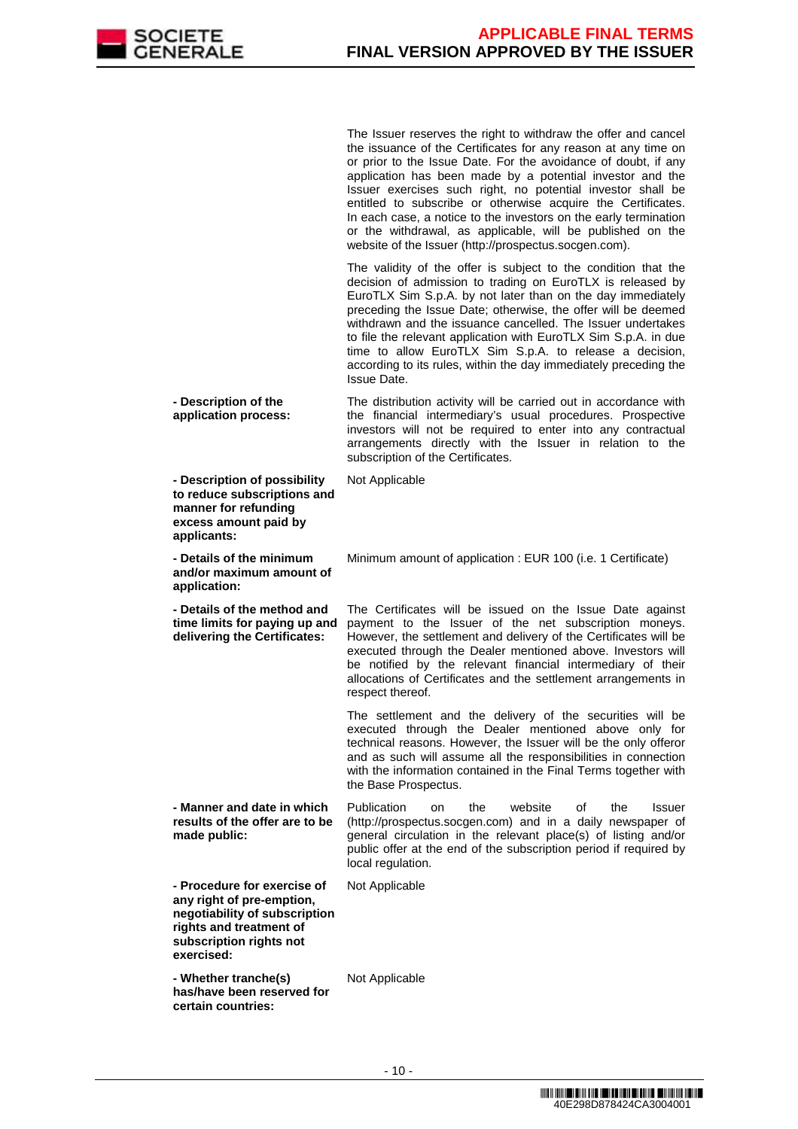

The Issuer reserves the right to withdraw the offer and cancel the issuance of the Certificates for any reason at any time on or prior to the Issue Date. For the avoidance of doubt, if any application has been made by a potential investor and the Issuer exercises such right, no potential investor shall be entitled to subscribe or otherwise acquire the Certificates. In each case, a notice to the investors on the early termination or the withdrawal, as applicable, will be published on the website of the Issuer (http://prospectus.socgen.com).

 The validity of the offer is subject to the condition that the decision of admission to trading on EuroTLX is released by EuroTLX Sim S.p.A. by not later than on the day immediately preceding the Issue Date; otherwise, the offer will be deemed withdrawn and the issuance cancelled. The Issuer undertakes to file the relevant application with EuroTLX Sim S.p.A. in due time to allow EuroTLX Sim S.p.A. to release a decision, according to its rules, within the day immediately preceding the Issue Date.

 **- Description of the application process:** The distribution activity will be carried out in accordance with the financial intermediary's usual procedures. Prospective investors will not be required to enter into any contractual arrangements directly with the Issuer in relation to the subscription of the Certificates.

Not Applicable

**to reduce subscriptions and manner for refunding excess amount paid by applicants: - Details of the minimum and/or maximum amount of application:** Minimum amount of application : EUR 100 (i.e. 1 Certificate) **- Details of the method and time limits for paying up and delivering the Certificates:** The Certificates will be issued on the Issue Date against payment to the Issuer of the net subscription moneys. However, the settlement and delivery of the Certificates will be executed through the Dealer mentioned above. Investors will be notified by the relevant financial intermediary of their allocations of Certificates and the settlement arrangements in respect thereof. The settlement and the delivery of the securities will be executed through the Dealer mentioned above only for technical reasons. However, the Issuer will be the only offeror and as such will assume all the responsibilities in connection with the information contained in the Final Terms together with the Base Prospectus. **- Manner and date in which results of the offer are to be made public:** Publication on the website of the Issuer (http://prospectus.socgen.com) and in a daily newspaper of general circulation in the relevant place(s) of listing and/or public offer at the end of the subscription period if required by local regulation. **- Procedure for exercise of**  Not Applicable

**any right of pre-emption, negotiability of subscription rights and treatment of subscription rights not exercised:**

**- Description of possibility** 

 **- Whether tranche(s) has/have been reserved for certain countries:**

Not Applicable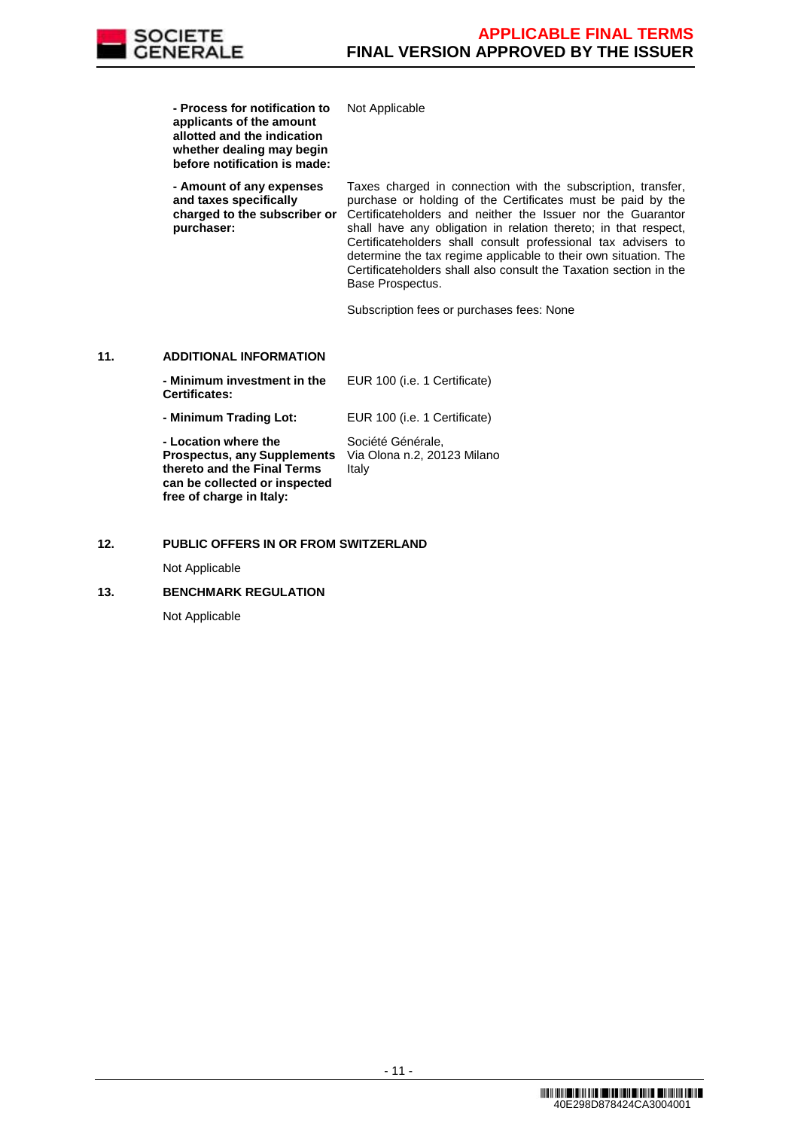

**- Process for notification to** 

**applicants of the amount allotted and the indication whether dealing may begin before notification is made:** Not Applicable **- Amount of any expenses and taxes specifically charged to the subscriber or purchaser:** Taxes charged in connection with the subscription, transfer, purchase or holding of the Certificates must be paid by the Certificateholders and neither the Issuer nor the Guarantor shall have any obligation in relation thereto; in that respect, Certificateholders shall consult professional tax advisers to determine the tax regime applicable to their own situation. The Certificateholders shall also consult the Taxation section in the Base Prospectus. Subscription fees or purchases fees: None **11. ADDITIONAL INFORMATION - Minimum investment in the Certificates:** EUR 100 (i.e. 1 Certificate) **- Minimum Trading Lot:** EUR 100 (i.e. 1 Certificate) **- Location where the Prospectus, any Supplements thereto and the Final Terms can be collected or inspected**  Société Générale, Via Olona n.2, 20123 Milano Italy

### **12. PUBLIC OFFERS IN OR FROM SWITZERLAND**

Not Applicable

## **13. BENCHMARK REGULATION**

**free of charge in Italy:**

Not Applicable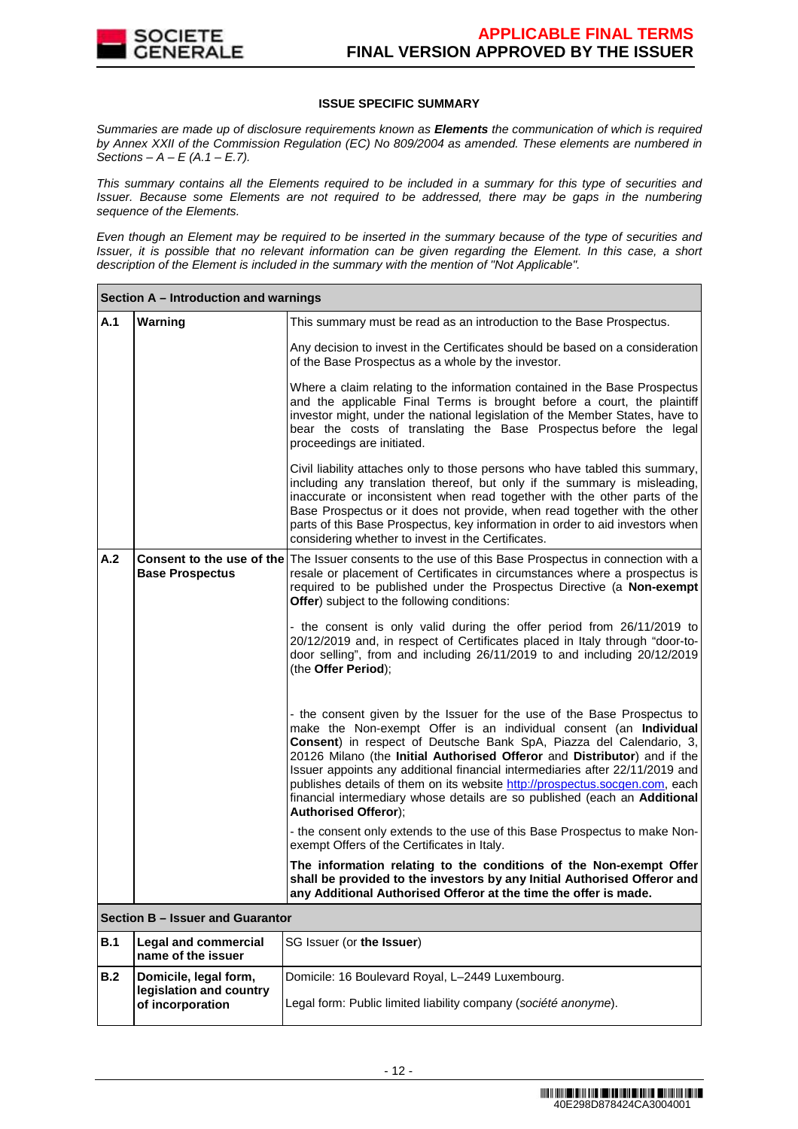

## **ISSUE SPECIFIC SUMMARY**

Summaries are made up of disclosure requirements known as **Elements** the communication of which is required by Annex XXII of the Commission Regulation (EC) No 809/2004 as amended. These elements are numbered in Sections –  $A - E(A.1 - E.7)$ .

This summary contains all the Elements required to be included in a summary for this type of securities and Issuer. Because some Elements are not required to be addressed, there may be gaps in the numbering sequence of the Elements.

Even though an Element may be required to be inserted in the summary because of the type of securities and Issuer, it is possible that no relevant information can be given regarding the Element. In this case, a short description of the Element is included in the summary with the mention of "Not Applicable".

|     | Section A – Introduction and warnings                                |                                                                                                                                                                                                                                                                                                                                                                                                                                                                                                                                                                            |  |  |  |  |
|-----|----------------------------------------------------------------------|----------------------------------------------------------------------------------------------------------------------------------------------------------------------------------------------------------------------------------------------------------------------------------------------------------------------------------------------------------------------------------------------------------------------------------------------------------------------------------------------------------------------------------------------------------------------------|--|--|--|--|
| A.1 | Warning                                                              | This summary must be read as an introduction to the Base Prospectus.                                                                                                                                                                                                                                                                                                                                                                                                                                                                                                       |  |  |  |  |
|     |                                                                      | Any decision to invest in the Certificates should be based on a consideration<br>of the Base Prospectus as a whole by the investor.                                                                                                                                                                                                                                                                                                                                                                                                                                        |  |  |  |  |
|     |                                                                      | Where a claim relating to the information contained in the Base Prospectus<br>and the applicable Final Terms is brought before a court, the plaintiff<br>investor might, under the national legislation of the Member States, have to<br>bear the costs of translating the Base Prospectus before the legal<br>proceedings are initiated.                                                                                                                                                                                                                                  |  |  |  |  |
|     |                                                                      | Civil liability attaches only to those persons who have tabled this summary,<br>including any translation thereof, but only if the summary is misleading,<br>inaccurate or inconsistent when read together with the other parts of the<br>Base Prospectus or it does not provide, when read together with the other<br>parts of this Base Prospectus, key information in order to aid investors when<br>considering whether to invest in the Certificates.                                                                                                                 |  |  |  |  |
| A.2 | <b>Base Prospectus</b>                                               | Consent to the use of the The Issuer consents to the use of this Base Prospectus in connection with a<br>resale or placement of Certificates in circumstances where a prospectus is<br>required to be published under the Prospectus Directive (a Non-exempt<br>Offer) subject to the following conditions:                                                                                                                                                                                                                                                                |  |  |  |  |
|     |                                                                      | - the consent is only valid during the offer period from 26/11/2019 to<br>20/12/2019 and, in respect of Certificates placed in Italy through "door-to-<br>door selling", from and including 26/11/2019 to and including 20/12/2019<br>(the Offer Period);                                                                                                                                                                                                                                                                                                                  |  |  |  |  |
|     |                                                                      | - the consent given by the Issuer for the use of the Base Prospectus to<br>make the Non-exempt Offer is an individual consent (an Individual<br>Consent) in respect of Deutsche Bank SpA, Piazza del Calendario, 3,<br>20126 Milano (the Initial Authorised Offeror and Distributor) and if the<br>Issuer appoints any additional financial intermediaries after 22/11/2019 and<br>publishes details of them on its website http://prospectus.socgen.com, each<br>financial intermediary whose details are so published (each an Additional<br><b>Authorised Offeror);</b> |  |  |  |  |
|     |                                                                      | - the consent only extends to the use of this Base Prospectus to make Non-<br>exempt Offers of the Certificates in Italy.                                                                                                                                                                                                                                                                                                                                                                                                                                                  |  |  |  |  |
|     |                                                                      | The information relating to the conditions of the Non-exempt Offer<br>shall be provided to the investors by any Initial Authorised Offeror and<br>any Additional Authorised Offeror at the time the offer is made.                                                                                                                                                                                                                                                                                                                                                         |  |  |  |  |
|     | Section B - Issuer and Guarantor                                     |                                                                                                                                                                                                                                                                                                                                                                                                                                                                                                                                                                            |  |  |  |  |
| B.1 | <b>Legal and commercial</b><br>name of the issuer                    | SG Issuer (or the Issuer)                                                                                                                                                                                                                                                                                                                                                                                                                                                                                                                                                  |  |  |  |  |
| B.2 | Domicile, legal form,<br>legislation and country<br>of incorporation | Domicile: 16 Boulevard Royal, L-2449 Luxembourg.<br>Legal form: Public limited liability company (société anonyme).                                                                                                                                                                                                                                                                                                                                                                                                                                                        |  |  |  |  |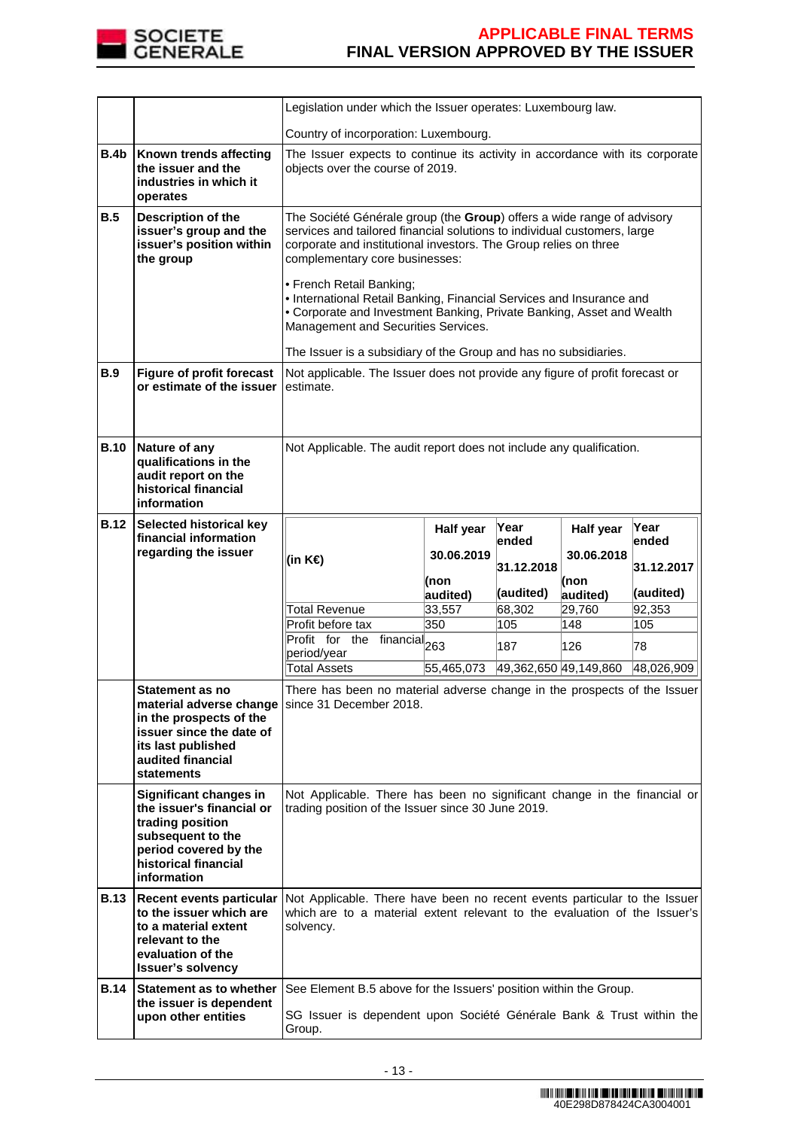

|             |                                                                                                                                                                                                                           | Legislation under which the Issuer operates: Luxembourg law.                                                                                                                                                                                                                                                                                                                                                                                                                                                                                     |                                                                                                                  |                       |            |            |  |  |
|-------------|---------------------------------------------------------------------------------------------------------------------------------------------------------------------------------------------------------------------------|--------------------------------------------------------------------------------------------------------------------------------------------------------------------------------------------------------------------------------------------------------------------------------------------------------------------------------------------------------------------------------------------------------------------------------------------------------------------------------------------------------------------------------------------------|------------------------------------------------------------------------------------------------------------------|-----------------------|------------|------------|--|--|
|             |                                                                                                                                                                                                                           | Country of incorporation: Luxembourg.                                                                                                                                                                                                                                                                                                                                                                                                                                                                                                            |                                                                                                                  |                       |            |            |  |  |
| <b>B.4b</b> | Known trends affecting<br>the issuer and the<br>industries in which it<br>operates                                                                                                                                        |                                                                                                                                                                                                                                                                                                                                                                                                                                                                                                                                                  | The Issuer expects to continue its activity in accordance with its corporate<br>objects over the course of 2019. |                       |            |            |  |  |
| B.5         | Description of the<br>issuer's group and the<br>issuer's position within<br>the group                                                                                                                                     | The Société Générale group (the Group) offers a wide range of advisory<br>services and tailored financial solutions to individual customers, large<br>corporate and institutional investors. The Group relies on three<br>complementary core businesses:<br>• French Retail Banking;<br>• International Retail Banking, Financial Services and Insurance and<br>• Corporate and Investment Banking, Private Banking, Asset and Wealth<br>Management and Securities Services.<br>The Issuer is a subsidiary of the Group and has no subsidiaries. |                                                                                                                  |                       |            |            |  |  |
| B.9         | <b>Figure of profit forecast</b><br>or estimate of the issuer                                                                                                                                                             | Not applicable. The Issuer does not provide any figure of profit forecast or<br>estimate.                                                                                                                                                                                                                                                                                                                                                                                                                                                        |                                                                                                                  |                       |            |            |  |  |
| <b>B.10</b> | Nature of any<br>qualifications in the<br>audit report on the<br>historical financial<br>information                                                                                                                      | Not Applicable. The audit report does not include any qualification.                                                                                                                                                                                                                                                                                                                                                                                                                                                                             |                                                                                                                  |                       |            |            |  |  |
| <b>B.12</b> | Selected historical key<br>financial information                                                                                                                                                                          |                                                                                                                                                                                                                                                                                                                                                                                                                                                                                                                                                  | Half year                                                                                                        | Year                  | Half year  | Year       |  |  |
|             | regarding the issuer                                                                                                                                                                                                      | (in K€)                                                                                                                                                                                                                                                                                                                                                                                                                                                                                                                                          | 30.06.2019                                                                                                       | ended                 | 30.06.2018 | ended      |  |  |
|             |                                                                                                                                                                                                                           |                                                                                                                                                                                                                                                                                                                                                                                                                                                                                                                                                  | (non                                                                                                             | 31.12.2018            | (non       | 31.12.2017 |  |  |
|             |                                                                                                                                                                                                                           |                                                                                                                                                                                                                                                                                                                                                                                                                                                                                                                                                  | audited)                                                                                                         | (audited)             | audited)   | (audited)  |  |  |
|             |                                                                                                                                                                                                                           | <b>Total Revenue</b>                                                                                                                                                                                                                                                                                                                                                                                                                                                                                                                             | 33,557                                                                                                           | 68,302                | 29,760     | 92,353     |  |  |
|             |                                                                                                                                                                                                                           | Profit before tax                                                                                                                                                                                                                                                                                                                                                                                                                                                                                                                                | 350                                                                                                              | 105                   | 148        | 105        |  |  |
|             |                                                                                                                                                                                                                           | Profit for the financial <sub>263</sub><br>period/year                                                                                                                                                                                                                                                                                                                                                                                                                                                                                           |                                                                                                                  | 187                   | 126        | 78         |  |  |
|             |                                                                                                                                                                                                                           | <b>Total Assets</b>                                                                                                                                                                                                                                                                                                                                                                                                                                                                                                                              | 55,465,073                                                                                                       | 49,362,650 49,149,860 |            | 48,026,909 |  |  |
|             | Statement as no<br>in the prospects of the<br>issuer since the date of<br>its last published<br>audited financial<br><b>statements</b>                                                                                    | There has been no material adverse change in the prospects of the Issuer<br>material adverse change since 31 December 2018.                                                                                                                                                                                                                                                                                                                                                                                                                      |                                                                                                                  |                       |            |            |  |  |
|             |                                                                                                                                                                                                                           |                                                                                                                                                                                                                                                                                                                                                                                                                                                                                                                                                  |                                                                                                                  |                       |            |            |  |  |
|             | Significant changes in<br>the issuer's financial or<br>trading position<br>subsequent to the<br>period covered by the<br>historical financial<br>information                                                              | Not Applicable. There has been no significant change in the financial or<br>trading position of the Issuer since 30 June 2019.                                                                                                                                                                                                                                                                                                                                                                                                                   |                                                                                                                  |                       |            |            |  |  |
| <b>B.13</b> | Recent events particular Not Applicable. There have been no recent events particular to the Issuer<br>to the issuer which are<br>to a material extent<br>relevant to the<br>evaluation of the<br><b>Issuer's solvency</b> | which are to a material extent relevant to the evaluation of the Issuer's<br>solvency.                                                                                                                                                                                                                                                                                                                                                                                                                                                           |                                                                                                                  |                       |            |            |  |  |
| <b>B.14</b> | Statement as to whether<br>the issuer is dependent                                                                                                                                                                        | See Element B.5 above for the Issuers' position within the Group.                                                                                                                                                                                                                                                                                                                                                                                                                                                                                |                                                                                                                  |                       |            |            |  |  |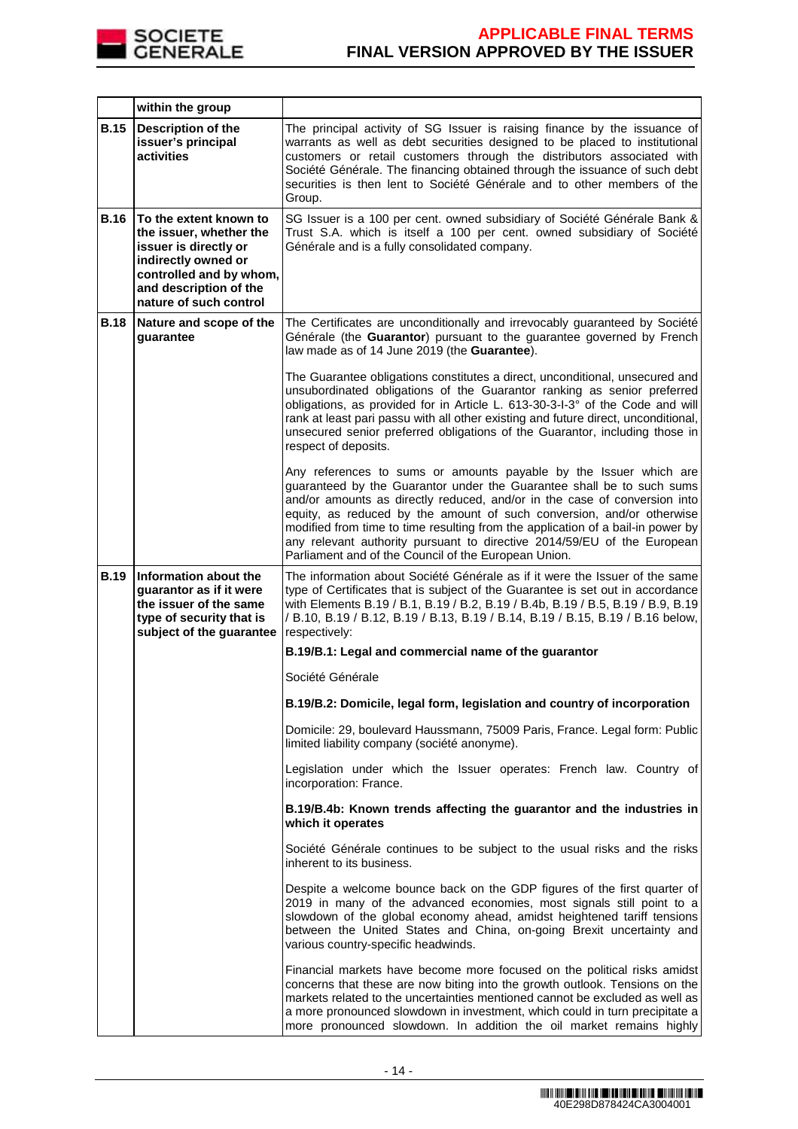

|             | within the group                                                                                                                                                                 |                                                                                                                                                                                                                                                                                                                                                                                                                                                                                                                        |
|-------------|----------------------------------------------------------------------------------------------------------------------------------------------------------------------------------|------------------------------------------------------------------------------------------------------------------------------------------------------------------------------------------------------------------------------------------------------------------------------------------------------------------------------------------------------------------------------------------------------------------------------------------------------------------------------------------------------------------------|
| <b>B.15</b> | <b>Description of the</b><br>issuer's principal<br>activities                                                                                                                    | The principal activity of SG Issuer is raising finance by the issuance of<br>warrants as well as debt securities designed to be placed to institutional<br>customers or retail customers through the distributors associated with<br>Société Générale. The financing obtained through the issuance of such debt<br>securities is then lent to Société Générale and to other members of the<br>Group.                                                                                                                   |
| <b>B.16</b> | To the extent known to<br>the issuer, whether the<br>issuer is directly or<br>indirectly owned or<br>controlled and by whom,<br>and description of the<br>nature of such control | SG Issuer is a 100 per cent. owned subsidiary of Société Générale Bank &<br>Trust S.A. which is itself a 100 per cent. owned subsidiary of Société<br>Générale and is a fully consolidated company.                                                                                                                                                                                                                                                                                                                    |
| <b>B.18</b> | Nature and scope of the<br>guarantee                                                                                                                                             | The Certificates are unconditionally and irrevocably guaranteed by Société<br>Générale (the Guarantor) pursuant to the guarantee governed by French<br>law made as of 14 June 2019 (the Guarantee).                                                                                                                                                                                                                                                                                                                    |
|             |                                                                                                                                                                                  | The Guarantee obligations constitutes a direct, unconditional, unsecured and<br>unsubordinated obligations of the Guarantor ranking as senior preferred<br>obligations, as provided for in Article L. 613-30-3-I-3° of the Code and will<br>rank at least pari passu with all other existing and future direct, unconditional,<br>unsecured senior preferred obligations of the Guarantor, including those in<br>respect of deposits.                                                                                  |
|             |                                                                                                                                                                                  | Any references to sums or amounts payable by the Issuer which are<br>guaranteed by the Guarantor under the Guarantee shall be to such sums<br>and/or amounts as directly reduced, and/or in the case of conversion into<br>equity, as reduced by the amount of such conversion, and/or otherwise<br>modified from time to time resulting from the application of a bail-in power by<br>any relevant authority pursuant to directive 2014/59/EU of the European<br>Parliament and of the Council of the European Union. |
| <b>B.19</b> | Information about the<br>guarantor as if it were<br>the issuer of the same<br>type of security that is<br>subject of the guarantee                                               | The information about Société Générale as if it were the Issuer of the same<br>type of Certificates that is subject of the Guarantee is set out in accordance<br>with Elements B.19 / B.1, B.19 / B.2, B.19 / B.4b, B.19 / B.5, B.19 / B.9, B.19<br>/ B.10, B.19 / B.12, B.19 / B.13, B.19 / B.14, B.19 / B.15, B.19 / B.16 below,<br>respectively:                                                                                                                                                                    |
|             |                                                                                                                                                                                  | B.19/B.1: Legal and commercial name of the guarantor                                                                                                                                                                                                                                                                                                                                                                                                                                                                   |
|             |                                                                                                                                                                                  | Société Générale                                                                                                                                                                                                                                                                                                                                                                                                                                                                                                       |
|             |                                                                                                                                                                                  | B.19/B.2: Domicile, legal form, legislation and country of incorporation                                                                                                                                                                                                                                                                                                                                                                                                                                               |
|             |                                                                                                                                                                                  | Domicile: 29, boulevard Haussmann, 75009 Paris, France. Legal form: Public<br>limited liability company (société anonyme).                                                                                                                                                                                                                                                                                                                                                                                             |
|             |                                                                                                                                                                                  | Legislation under which the Issuer operates: French law. Country of<br>incorporation: France.                                                                                                                                                                                                                                                                                                                                                                                                                          |
|             |                                                                                                                                                                                  | B.19/B.4b: Known trends affecting the guarantor and the industries in<br>which it operates                                                                                                                                                                                                                                                                                                                                                                                                                             |
|             |                                                                                                                                                                                  | Société Générale continues to be subject to the usual risks and the risks<br>inherent to its business.                                                                                                                                                                                                                                                                                                                                                                                                                 |
|             |                                                                                                                                                                                  | Despite a welcome bounce back on the GDP figures of the first quarter of<br>2019 in many of the advanced economies, most signals still point to a<br>slowdown of the global economy ahead, amidst heightened tariff tensions<br>between the United States and China, on-going Brexit uncertainty and<br>various country-specific headwinds.                                                                                                                                                                            |
|             |                                                                                                                                                                                  | Financial markets have become more focused on the political risks amidst<br>concerns that these are now biting into the growth outlook. Tensions on the<br>markets related to the uncertainties mentioned cannot be excluded as well as<br>a more pronounced slowdown in investment, which could in turn precipitate a<br>more pronounced slowdown. In addition the oil market remains highly                                                                                                                          |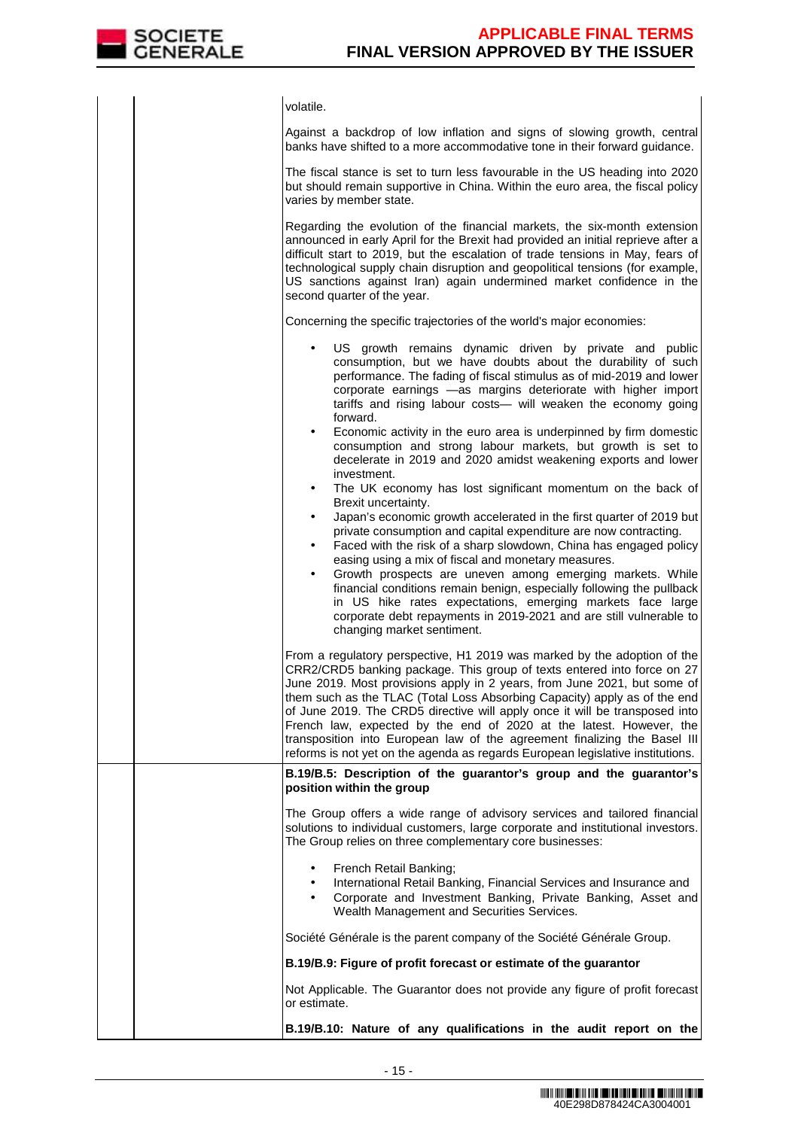

|  | volatile.                                                                                                                                                                                                                                                                                                                                                                                                                                                                                                                                                                                                                         |
|--|-----------------------------------------------------------------------------------------------------------------------------------------------------------------------------------------------------------------------------------------------------------------------------------------------------------------------------------------------------------------------------------------------------------------------------------------------------------------------------------------------------------------------------------------------------------------------------------------------------------------------------------|
|  | Against a backdrop of low inflation and signs of slowing growth, central<br>banks have shifted to a more accommodative tone in their forward guidance.                                                                                                                                                                                                                                                                                                                                                                                                                                                                            |
|  | The fiscal stance is set to turn less favourable in the US heading into 2020<br>but should remain supportive in China. Within the euro area, the fiscal policy<br>varies by member state.                                                                                                                                                                                                                                                                                                                                                                                                                                         |
|  | Regarding the evolution of the financial markets, the six-month extension<br>announced in early April for the Brexit had provided an initial reprieve after a<br>difficult start to 2019, but the escalation of trade tensions in May, fears of<br>technological supply chain disruption and geopolitical tensions (for example,<br>US sanctions against Iran) again undermined market confidence in the<br>second quarter of the year.                                                                                                                                                                                           |
|  | Concerning the specific trajectories of the world's major economies:                                                                                                                                                                                                                                                                                                                                                                                                                                                                                                                                                              |
|  | US growth remains dynamic driven by private and public<br>consumption, but we have doubts about the durability of such<br>performance. The fading of fiscal stimulus as of mid-2019 and lower<br>corporate earnings -as margins deteriorate with higher import<br>tariffs and rising labour costs- will weaken the economy going<br>forward.                                                                                                                                                                                                                                                                                      |
|  | Economic activity in the euro area is underpinned by firm domestic<br>$\bullet$<br>consumption and strong labour markets, but growth is set to<br>decelerate in 2019 and 2020 amidst weakening exports and lower<br>investment.<br>The UK economy has lost significant momentum on the back of<br>$\bullet$                                                                                                                                                                                                                                                                                                                       |
|  | Brexit uncertainty.<br>Japan's economic growth accelerated in the first quarter of 2019 but<br>$\bullet$<br>private consumption and capital expenditure are now contracting.<br>Faced with the risk of a sharp slowdown, China has engaged policy<br>٠<br>easing using a mix of fiscal and monetary measures.<br>Growth prospects are uneven among emerging markets. While<br>$\bullet$<br>financial conditions remain benign, especially following the pullback<br>in US hike rates expectations, emerging markets face large                                                                                                    |
|  | corporate debt repayments in 2019-2021 and are still vulnerable to<br>changing market sentiment.                                                                                                                                                                                                                                                                                                                                                                                                                                                                                                                                  |
|  | From a regulatory perspective, H1 2019 was marked by the adoption of the<br>CRR2/CRD5 banking package. This group of texts entered into force on 27<br>June 2019. Most provisions apply in 2 years, from June 2021, but some of<br>them such as the TLAC (Total Loss Absorbing Capacity) apply as of the end<br>of June 2019. The CRD5 directive will apply once it will be transposed into<br>French law, expected by the end of 2020 at the latest. However, the<br>transposition into European law of the agreement finalizing the Basel III<br>reforms is not yet on the agenda as regards European legislative institutions. |
|  | B.19/B.5: Description of the guarantor's group and the guarantor's<br>position within the group                                                                                                                                                                                                                                                                                                                                                                                                                                                                                                                                   |
|  | The Group offers a wide range of advisory services and tailored financial<br>solutions to individual customers, large corporate and institutional investors.<br>The Group relies on three complementary core businesses:                                                                                                                                                                                                                                                                                                                                                                                                          |
|  | French Retail Banking;<br>International Retail Banking, Financial Services and Insurance and<br>$\bullet$<br>Corporate and Investment Banking, Private Banking, Asset and<br>$\bullet$<br>Wealth Management and Securities Services.                                                                                                                                                                                                                                                                                                                                                                                              |
|  | Société Générale is the parent company of the Société Générale Group.                                                                                                                                                                                                                                                                                                                                                                                                                                                                                                                                                             |
|  | B.19/B.9: Figure of profit forecast or estimate of the guarantor                                                                                                                                                                                                                                                                                                                                                                                                                                                                                                                                                                  |
|  | Not Applicable. The Guarantor does not provide any figure of profit forecast<br>or estimate.                                                                                                                                                                                                                                                                                                                                                                                                                                                                                                                                      |
|  | B.19/B.10: Nature of any qualifications in the audit report on the                                                                                                                                                                                                                                                                                                                                                                                                                                                                                                                                                                |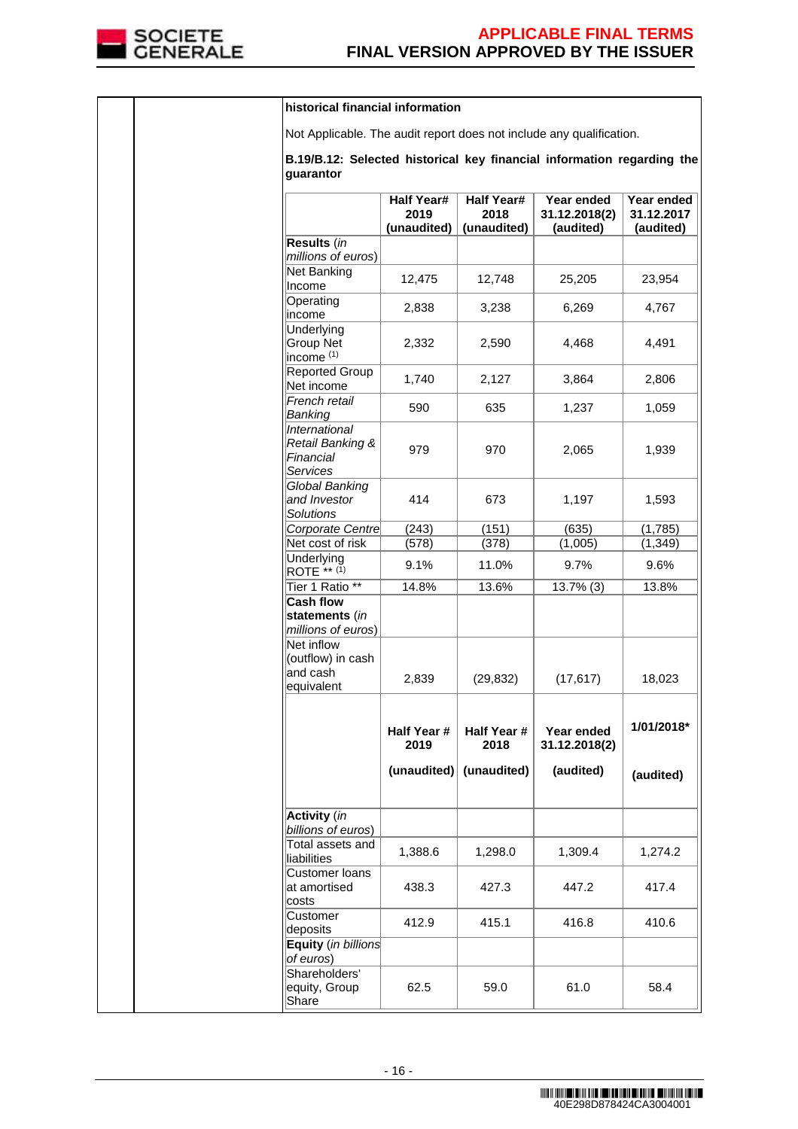

|  | historical financial information                                                    |                                          |                                          |                                          |                                       |
|--|-------------------------------------------------------------------------------------|------------------------------------------|------------------------------------------|------------------------------------------|---------------------------------------|
|  | Not Applicable. The audit report does not include any qualification.                |                                          |                                          |                                          |                                       |
|  | B.19/B.12: Selected historical key financial information regarding the<br>quarantor |                                          |                                          |                                          |                                       |
|  |                                                                                     | <b>Half Year#</b><br>2019<br>(unaudited) | <b>Half Year#</b><br>2018<br>(unaudited) | Year ended<br>31.12.2018(2)<br>(audited) | Year ended<br>31.12.2017<br>(audited) |
|  | Results (in                                                                         |                                          |                                          |                                          |                                       |
|  | millions of euros)<br><b>Net Banking</b><br>Income                                  | 12,475                                   | 12,748                                   | 25,205                                   | 23,954                                |
|  | Operating<br>income                                                                 | 2,838                                    | 3,238                                    | 6,269                                    | 4,767                                 |
|  | Underlying<br><b>Group Net</b><br>income <sup>(1)</sup>                             | 2,332                                    | 2,590                                    | 4,468                                    | 4,491                                 |
|  | <b>Reported Group</b><br>Net income                                                 | 1,740                                    | 2,127                                    | 3,864                                    | 2,806                                 |
|  | French retail<br>Banking                                                            | 590                                      | 635                                      | 1,237                                    | 1,059                                 |
|  | <i><b>International</b></i><br>Retail Banking &<br>Financial<br>Services            | 979                                      | 970                                      | 2,065                                    | 1,939                                 |
|  | Global Banking<br>and Investor<br><b>Solutions</b>                                  | 414                                      | 673                                      | 1,197                                    | 1,593                                 |
|  | Corporate Centre                                                                    | (243)                                    | (151)                                    | (635)                                    | (1,785)                               |
|  | Net cost of risk<br>Underlying                                                      | (578)                                    | (378)                                    | (1,005)                                  | (1, 349)                              |
|  | ROTE ** (1)                                                                         | 9.1%                                     | 11.0%                                    | 9.7%                                     | 9.6%                                  |
|  | Tier 1 Ratio **<br><b>Cash flow</b>                                                 | 14.8%                                    | 13.6%                                    | $13.7\%$ (3)                             | 13.8%                                 |
|  | statements (in<br>millions of euros)                                                |                                          |                                          |                                          |                                       |
|  | <b>Net inflow</b><br>(outflow) in cash<br>and cash<br>equivalent                    | 2,839                                    | (29, 832)                                | (17, 617)                                | 18,023                                |
|  |                                                                                     | Half Year #<br>2019                      | Half Year #<br>2018                      | Year ended<br>31.12.2018(2)              | 1/01/2018*                            |
|  |                                                                                     | (unaudited)                              | (unaudited)                              | (audited)                                | (audited)                             |
|  | <b>Activity</b> (in<br>billions of euros)                                           |                                          |                                          |                                          |                                       |
|  | Total assets and<br>liabilities                                                     | 1,388.6                                  | 1,298.0                                  | 1,309.4                                  | 1,274.2                               |
|  | Customer loans<br>at amortised<br>costs                                             | 438.3                                    | 427.3                                    | 447.2                                    | 417.4                                 |
|  | Customer<br>deposits                                                                | 412.9                                    | 415.1                                    | 416.8                                    | 410.6                                 |
|  | Equity (in billions<br>of euros)                                                    |                                          |                                          |                                          |                                       |
|  | Shareholders'<br>equity, Group<br>Share                                             | 62.5                                     | 59.0                                     | 61.0                                     | 58.4                                  |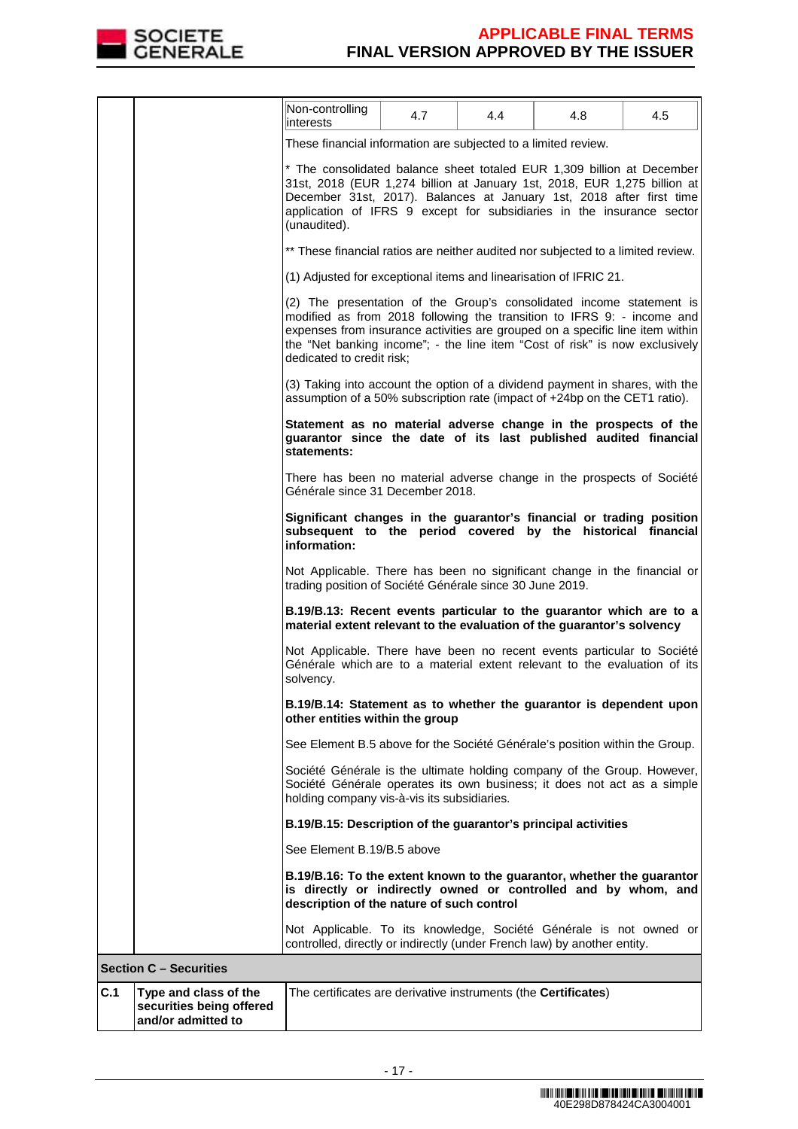

|     |                                                                         | Non-controlling<br>interests                                                                                                                                                                                                                                                                                                                | 4.7 | 4.4 | 4.8 | 4.5 |  |
|-----|-------------------------------------------------------------------------|---------------------------------------------------------------------------------------------------------------------------------------------------------------------------------------------------------------------------------------------------------------------------------------------------------------------------------------------|-----|-----|-----|-----|--|
|     |                                                                         | These financial information are subjected to a limited review.                                                                                                                                                                                                                                                                              |     |     |     |     |  |
|     |                                                                         | * The consolidated balance sheet totaled EUR 1,309 billion at December<br>31st, 2018 (EUR 1,274 billion at January 1st, 2018, EUR 1,275 billion at<br>December 31st, 2017). Balances at January 1st, 2018 after first time<br>application of IFRS 9 except for subsidiaries in the insurance sector<br>(unaudited).                         |     |     |     |     |  |
|     |                                                                         | ** These financial ratios are neither audited nor subjected to a limited review.                                                                                                                                                                                                                                                            |     |     |     |     |  |
|     |                                                                         | (1) Adjusted for exceptional items and linearisation of IFRIC 21.                                                                                                                                                                                                                                                                           |     |     |     |     |  |
|     |                                                                         | (2) The presentation of the Group's consolidated income statement is<br>modified as from 2018 following the transition to IFRS 9: - income and<br>expenses from insurance activities are grouped on a specific line item within<br>the "Net banking income"; - the line item "Cost of risk" is now exclusively<br>dedicated to credit risk; |     |     |     |     |  |
|     |                                                                         | (3) Taking into account the option of a dividend payment in shares, with the<br>assumption of a 50% subscription rate (impact of +24bp on the CET1 ratio).                                                                                                                                                                                  |     |     |     |     |  |
|     |                                                                         | Statement as no material adverse change in the prospects of the<br>guarantor since the date of its last published audited financial<br>statements:                                                                                                                                                                                          |     |     |     |     |  |
|     |                                                                         | There has been no material adverse change in the prospects of Société<br>Générale since 31 December 2018.                                                                                                                                                                                                                                   |     |     |     |     |  |
|     |                                                                         | Significant changes in the guarantor's financial or trading position<br>subsequent to the period covered by the historical financial<br>information:                                                                                                                                                                                        |     |     |     |     |  |
|     |                                                                         | Not Applicable. There has been no significant change in the financial or<br>trading position of Société Générale since 30 June 2019.                                                                                                                                                                                                        |     |     |     |     |  |
|     |                                                                         | B.19/B.13: Recent events particular to the guarantor which are to a<br>material extent relevant to the evaluation of the guarantor's solvency                                                                                                                                                                                               |     |     |     |     |  |
|     |                                                                         | Not Applicable. There have been no recent events particular to Société<br>Générale which are to a material extent relevant to the evaluation of its<br>solvency.                                                                                                                                                                            |     |     |     |     |  |
|     |                                                                         | B.19/B.14: Statement as to whether the guarantor is dependent upon<br>other entities within the group                                                                                                                                                                                                                                       |     |     |     |     |  |
|     |                                                                         | See Element B.5 above for the Société Générale's position within the Group.                                                                                                                                                                                                                                                                 |     |     |     |     |  |
|     |                                                                         | Société Générale is the ultimate holding company of the Group. However,<br>Société Générale operates its own business; it does not act as a simple<br>holding company vis-à-vis its subsidiaries.                                                                                                                                           |     |     |     |     |  |
|     |                                                                         | B.19/B.15: Description of the guarantor's principal activities                                                                                                                                                                                                                                                                              |     |     |     |     |  |
|     |                                                                         | See Element B.19/B.5 above                                                                                                                                                                                                                                                                                                                  |     |     |     |     |  |
|     |                                                                         | B.19/B.16: To the extent known to the guarantor, whether the guarantor<br>is directly or indirectly owned or controlled and by whom, and<br>description of the nature of such control                                                                                                                                                       |     |     |     |     |  |
|     |                                                                         | Not Applicable. To its knowledge, Société Générale is not owned or<br>controlled, directly or indirectly (under French law) by another entity.                                                                                                                                                                                              |     |     |     |     |  |
|     | <b>Section C - Securities</b>                                           |                                                                                                                                                                                                                                                                                                                                             |     |     |     |     |  |
| C.1 | Type and class of the<br>securities being offered<br>and/or admitted to | The certificates are derivative instruments (the Certificates)                                                                                                                                                                                                                                                                              |     |     |     |     |  |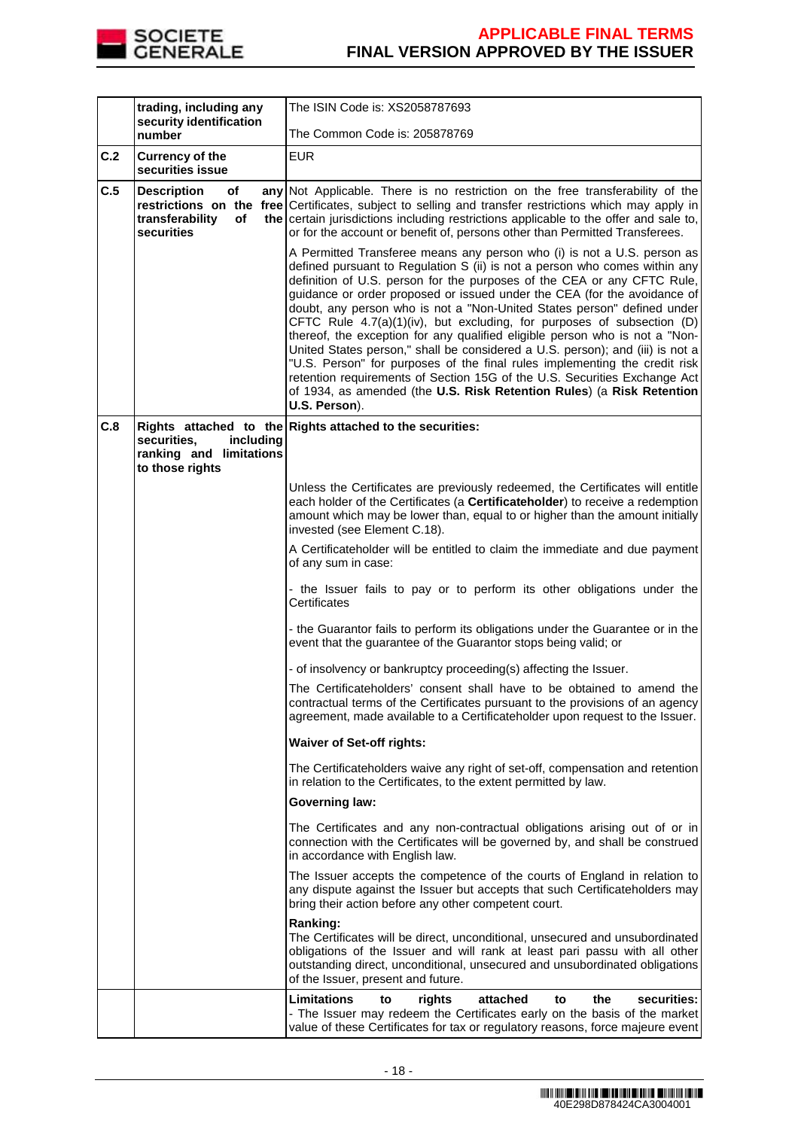

|     | trading, including any<br>security identification               | The ISIN Code is: XS2058787693                                                                                                                                                                                                                                                                                                                                                                                                                                                                                                                                                                                                                                                                                                                                                                                                                                                         |
|-----|-----------------------------------------------------------------|----------------------------------------------------------------------------------------------------------------------------------------------------------------------------------------------------------------------------------------------------------------------------------------------------------------------------------------------------------------------------------------------------------------------------------------------------------------------------------------------------------------------------------------------------------------------------------------------------------------------------------------------------------------------------------------------------------------------------------------------------------------------------------------------------------------------------------------------------------------------------------------|
|     | number                                                          | The Common Code is: 205878769                                                                                                                                                                                                                                                                                                                                                                                                                                                                                                                                                                                                                                                                                                                                                                                                                                                          |
| C.2 | <b>Currency of the</b><br>securities issue                      | <b>EUR</b>                                                                                                                                                                                                                                                                                                                                                                                                                                                                                                                                                                                                                                                                                                                                                                                                                                                                             |
| C.5 | <b>Description</b><br>of<br>transferability<br>of<br>securities | any Not Applicable. There is no restriction on the free transferability of the<br>restrictions on the free Certificates, subject to selling and transfer restrictions which may apply in<br>the certain jurisdictions including restrictions applicable to the offer and sale to,<br>or for the account or benefit of, persons other than Permitted Transferees.                                                                                                                                                                                                                                                                                                                                                                                                                                                                                                                       |
|     |                                                                 | A Permitted Transferee means any person who (i) is not a U.S. person as<br>defined pursuant to Regulation S (ii) is not a person who comes within any<br>definition of U.S. person for the purposes of the CEA or any CFTC Rule,<br>guidance or order proposed or issued under the CEA (for the avoidance of<br>doubt, any person who is not a "Non-United States person" defined under<br>CFTC Rule 4.7(a)(1)(iv), but excluding, for purposes of subsection (D)<br>thereof, the exception for any qualified eligible person who is not a "Non-<br>United States person," shall be considered a U.S. person); and (iii) is not a<br>"U.S. Person" for purposes of the final rules implementing the credit risk<br>retention requirements of Section 15G of the U.S. Securities Exchange Act<br>of 1934, as amended (the U.S. Risk Retention Rules) (a Risk Retention<br>U.S. Person). |
| C.8 | securities.<br>including                                        | Rights attached to the Rights attached to the securities:                                                                                                                                                                                                                                                                                                                                                                                                                                                                                                                                                                                                                                                                                                                                                                                                                              |
|     | ranking and limitations<br>to those rights                      |                                                                                                                                                                                                                                                                                                                                                                                                                                                                                                                                                                                                                                                                                                                                                                                                                                                                                        |
|     |                                                                 | Unless the Certificates are previously redeemed, the Certificates will entitle<br>each holder of the Certificates (a Certificateholder) to receive a redemption<br>amount which may be lower than, equal to or higher than the amount initially<br>invested (see Element C.18).                                                                                                                                                                                                                                                                                                                                                                                                                                                                                                                                                                                                        |
|     |                                                                 | A Certificateholder will be entitled to claim the immediate and due payment<br>of any sum in case:                                                                                                                                                                                                                                                                                                                                                                                                                                                                                                                                                                                                                                                                                                                                                                                     |
|     |                                                                 | - the Issuer fails to pay or to perform its other obligations under the<br>Certificates                                                                                                                                                                                                                                                                                                                                                                                                                                                                                                                                                                                                                                                                                                                                                                                                |
|     |                                                                 | - the Guarantor fails to perform its obligations under the Guarantee or in the<br>event that the guarantee of the Guarantor stops being valid; or                                                                                                                                                                                                                                                                                                                                                                                                                                                                                                                                                                                                                                                                                                                                      |
|     |                                                                 | - of insolvency or bankruptcy proceeding(s) affecting the Issuer.                                                                                                                                                                                                                                                                                                                                                                                                                                                                                                                                                                                                                                                                                                                                                                                                                      |
|     |                                                                 | The Certificateholders' consent shall have to be obtained to amend the<br>contractual terms of the Certificates pursuant to the provisions of an agency<br>agreement, made available to a Certificateholder upon request to the Issuer.                                                                                                                                                                                                                                                                                                                                                                                                                                                                                                                                                                                                                                                |
|     |                                                                 | <b>Waiver of Set-off rights:</b>                                                                                                                                                                                                                                                                                                                                                                                                                                                                                                                                                                                                                                                                                                                                                                                                                                                       |
|     |                                                                 | The Certificateholders waive any right of set-off, compensation and retention<br>in relation to the Certificates, to the extent permitted by law.                                                                                                                                                                                                                                                                                                                                                                                                                                                                                                                                                                                                                                                                                                                                      |
|     |                                                                 | <b>Governing law:</b>                                                                                                                                                                                                                                                                                                                                                                                                                                                                                                                                                                                                                                                                                                                                                                                                                                                                  |
|     |                                                                 | The Certificates and any non-contractual obligations arising out of or in<br>connection with the Certificates will be governed by, and shall be construed<br>in accordance with English law.                                                                                                                                                                                                                                                                                                                                                                                                                                                                                                                                                                                                                                                                                           |
|     |                                                                 | The Issuer accepts the competence of the courts of England in relation to<br>any dispute against the Issuer but accepts that such Certificateholders may<br>bring their action before any other competent court.                                                                                                                                                                                                                                                                                                                                                                                                                                                                                                                                                                                                                                                                       |
|     |                                                                 | Ranking:<br>The Certificates will be direct, unconditional, unsecured and unsubordinated<br>obligations of the Issuer and will rank at least pari passu with all other<br>outstanding direct, unconditional, unsecured and unsubordinated obligations<br>of the Issuer, present and future.                                                                                                                                                                                                                                                                                                                                                                                                                                                                                                                                                                                            |
|     |                                                                 | Limitations<br>attached<br>the<br>securities:<br>to<br>rights<br>to<br>- The Issuer may redeem the Certificates early on the basis of the market<br>value of these Certificates for tax or regulatory reasons, force majeure event                                                                                                                                                                                                                                                                                                                                                                                                                                                                                                                                                                                                                                                     |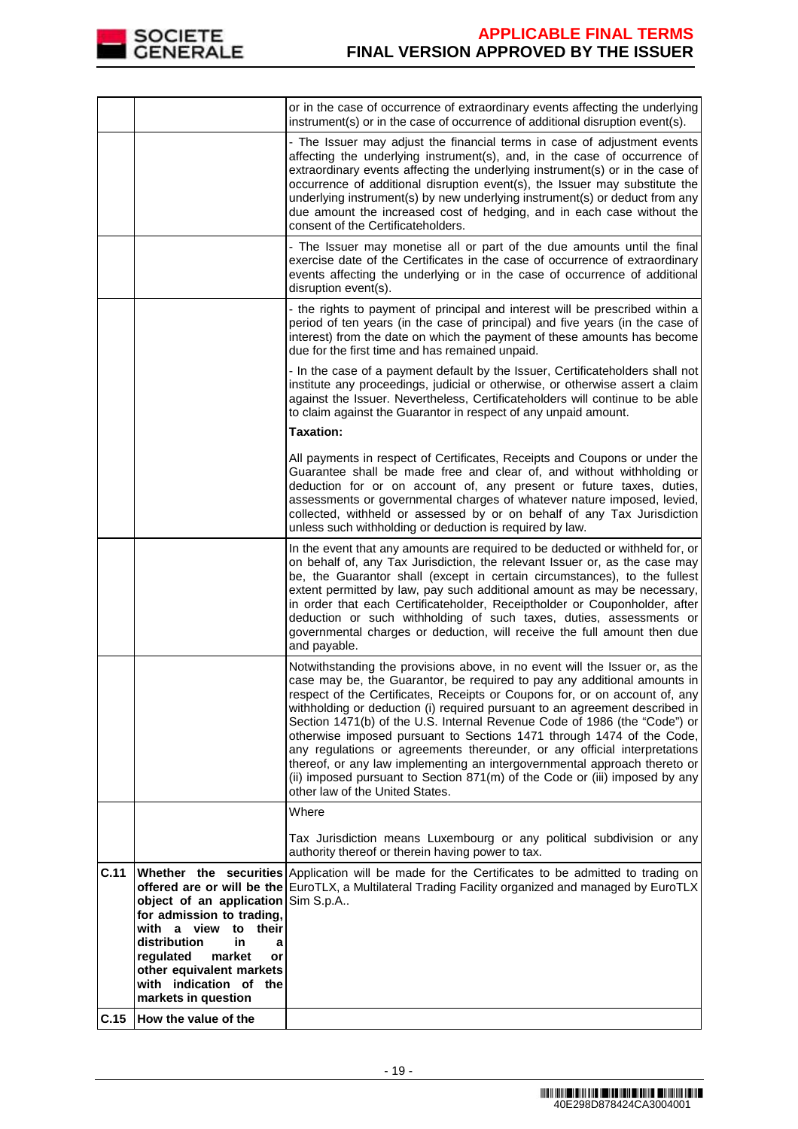

|      |                                                                                                                                                                                                                          | or in the case of occurrence of extraordinary events affecting the underlying<br>instrument(s) or in the case of occurrence of additional disruption event(s).                                                                                                                                                                                                                                                                                                                                                                                                                                                                                                                                                                                           |
|------|--------------------------------------------------------------------------------------------------------------------------------------------------------------------------------------------------------------------------|----------------------------------------------------------------------------------------------------------------------------------------------------------------------------------------------------------------------------------------------------------------------------------------------------------------------------------------------------------------------------------------------------------------------------------------------------------------------------------------------------------------------------------------------------------------------------------------------------------------------------------------------------------------------------------------------------------------------------------------------------------|
|      |                                                                                                                                                                                                                          | - The Issuer may adjust the financial terms in case of adjustment events<br>affecting the underlying instrument(s), and, in the case of occurrence of<br>extraordinary events affecting the underlying instrument(s) or in the case of<br>occurrence of additional disruption event(s), the Issuer may substitute the<br>underlying instrument(s) by new underlying instrument(s) or deduct from any<br>due amount the increased cost of hedging, and in each case without the<br>consent of the Certificateholders.                                                                                                                                                                                                                                     |
|      |                                                                                                                                                                                                                          | - The Issuer may monetise all or part of the due amounts until the final<br>exercise date of the Certificates in the case of occurrence of extraordinary<br>events affecting the underlying or in the case of occurrence of additional<br>disruption event(s).                                                                                                                                                                                                                                                                                                                                                                                                                                                                                           |
|      |                                                                                                                                                                                                                          | - the rights to payment of principal and interest will be prescribed within a<br>period of ten years (in the case of principal) and five years (in the case of<br>interest) from the date on which the payment of these amounts has become<br>due for the first time and has remained unpaid.                                                                                                                                                                                                                                                                                                                                                                                                                                                            |
|      |                                                                                                                                                                                                                          | - In the case of a payment default by the Issuer, Certificateholders shall not<br>institute any proceedings, judicial or otherwise, or otherwise assert a claim<br>against the Issuer. Nevertheless, Certificateholders will continue to be able<br>to claim against the Guarantor in respect of any unpaid amount.<br><b>Taxation:</b>                                                                                                                                                                                                                                                                                                                                                                                                                  |
|      |                                                                                                                                                                                                                          | All payments in respect of Certificates, Receipts and Coupons or under the<br>Guarantee shall be made free and clear of, and without withholding or<br>deduction for or on account of, any present or future taxes, duties,<br>assessments or governmental charges of whatever nature imposed, levied,<br>collected, withheld or assessed by or on behalf of any Tax Jurisdiction<br>unless such withholding or deduction is required by law.                                                                                                                                                                                                                                                                                                            |
|      |                                                                                                                                                                                                                          | In the event that any amounts are required to be deducted or withheld for, or<br>on behalf of, any Tax Jurisdiction, the relevant Issuer or, as the case may<br>be, the Guarantor shall (except in certain circumstances), to the fullest<br>extent permitted by law, pay such additional amount as may be necessary,<br>in order that each Certificateholder, Receiptholder or Couponholder, after<br>deduction or such withholding of such taxes, duties, assessments or<br>governmental charges or deduction, will receive the full amount then due<br>and payable.                                                                                                                                                                                   |
|      |                                                                                                                                                                                                                          | Notwithstanding the provisions above, in no event will the Issuer or, as the<br>case may be, the Guarantor, be required to pay any additional amounts in<br>respect of the Certificates, Receipts or Coupons for, or on account of, any<br>withholding or deduction (i) required pursuant to an agreement described in<br>Section 1471(b) of the U.S. Internal Revenue Code of 1986 (the "Code") or<br>otherwise imposed pursuant to Sections 1471 through 1474 of the Code,<br>any regulations or agreements thereunder, or any official interpretations<br>thereof, or any law implementing an intergovernmental approach thereto or<br>(ii) imposed pursuant to Section 871(m) of the Code or (iii) imposed by any<br>other law of the United States. |
|      |                                                                                                                                                                                                                          | Where<br>Tax Jurisdiction means Luxembourg or any political subdivision or any<br>authority thereof or therein having power to tax.                                                                                                                                                                                                                                                                                                                                                                                                                                                                                                                                                                                                                      |
| C.11 | object of an application<br>for admission to trading,<br>with a view<br>their<br>to<br>distribution<br>in<br>a<br>regulated<br>market<br>or<br>other equivalent markets<br>with indication of the<br>markets in question | Whether the securities Application will be made for the Certificates to be admitted to trading on<br>offered are or will be the EuroTLX, a Multilateral Trading Facility organized and managed by EuroTLX<br>Sim S.p.A                                                                                                                                                                                                                                                                                                                                                                                                                                                                                                                                   |
| C.15 | How the value of the                                                                                                                                                                                                     |                                                                                                                                                                                                                                                                                                                                                                                                                                                                                                                                                                                                                                                                                                                                                          |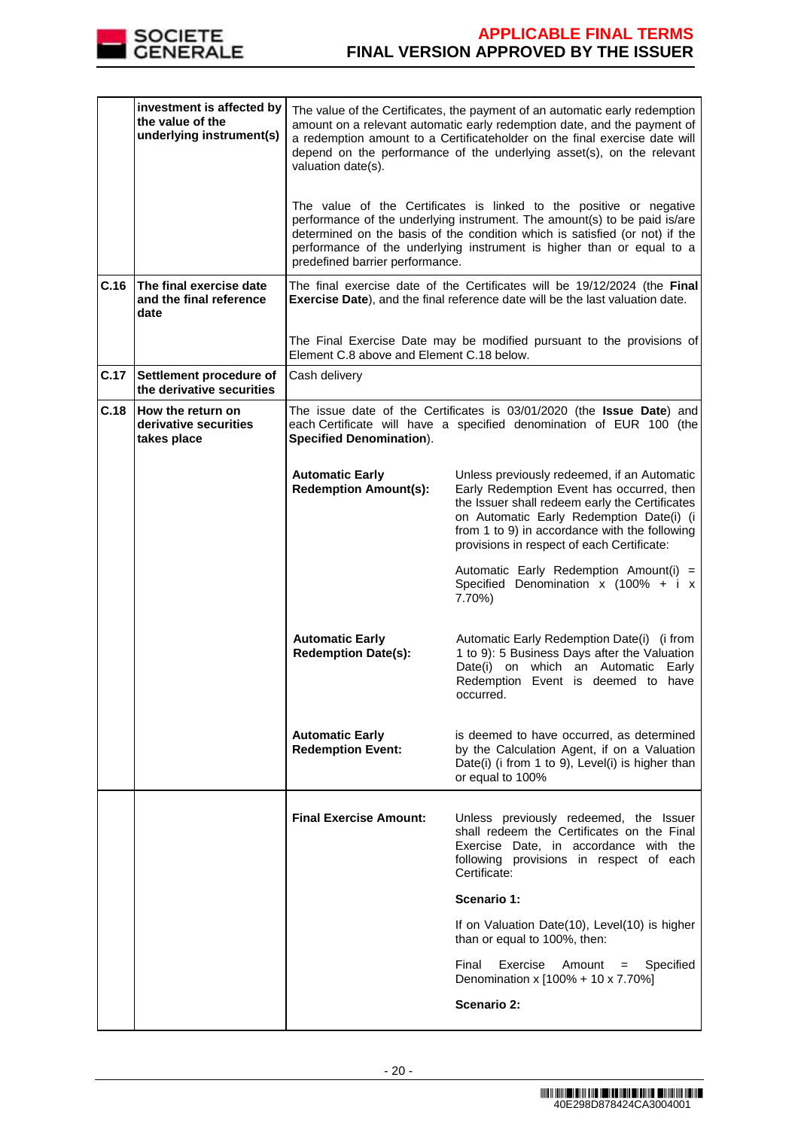

|      | investment is affected by<br>the value of the<br>underlying instrument(s) | The value of the Certificates, the payment of an automatic early redemption<br>amount on a relevant automatic early redemption date, and the payment of<br>a redemption amount to a Certificateholder on the final exercise date will<br>depend on the performance of the underlying asset(s), on the relevant<br>valuation date(s).<br>The value of the Certificates is linked to the positive or negative<br>performance of the underlying instrument. The amount(s) to be paid is/are<br>determined on the basis of the condition which is satisfied (or not) if the<br>performance of the underlying instrument is higher than or equal to a |                                                                                                                                                                                                                                                                                       |  |  |
|------|---------------------------------------------------------------------------|--------------------------------------------------------------------------------------------------------------------------------------------------------------------------------------------------------------------------------------------------------------------------------------------------------------------------------------------------------------------------------------------------------------------------------------------------------------------------------------------------------------------------------------------------------------------------------------------------------------------------------------------------|---------------------------------------------------------------------------------------------------------------------------------------------------------------------------------------------------------------------------------------------------------------------------------------|--|--|
| C.16 | The final exercise date                                                   | predefined barrier performance.                                                                                                                                                                                                                                                                                                                                                                                                                                                                                                                                                                                                                  | The final exercise date of the Certificates will be 19/12/2024 (the Final                                                                                                                                                                                                             |  |  |
|      | and the final reference<br>date                                           |                                                                                                                                                                                                                                                                                                                                                                                                                                                                                                                                                                                                                                                  | Exercise Date), and the final reference date will be the last valuation date.                                                                                                                                                                                                         |  |  |
|      |                                                                           | Element C.8 above and Element C.18 below.                                                                                                                                                                                                                                                                                                                                                                                                                                                                                                                                                                                                        | The Final Exercise Date may be modified pursuant to the provisions of                                                                                                                                                                                                                 |  |  |
| C.17 | Settlement procedure of<br>the derivative securities                      | Cash delivery                                                                                                                                                                                                                                                                                                                                                                                                                                                                                                                                                                                                                                    |                                                                                                                                                                                                                                                                                       |  |  |
| C.18 | How the return on<br>derivative securities<br>takes place                 | The issue date of the Certificates is 03/01/2020 (the Issue Date) and<br>each Certificate will have a specified denomination of EUR 100 (the<br><b>Specified Denomination).</b>                                                                                                                                                                                                                                                                                                                                                                                                                                                                  |                                                                                                                                                                                                                                                                                       |  |  |
|      |                                                                           | <b>Automatic Early</b><br><b>Redemption Amount(s):</b>                                                                                                                                                                                                                                                                                                                                                                                                                                                                                                                                                                                           | Unless previously redeemed, if an Automatic<br>Early Redemption Event has occurred, then<br>the Issuer shall redeem early the Certificates<br>on Automatic Early Redemption Date(i) (i<br>from 1 to 9) in accordance with the following<br>provisions in respect of each Certificate: |  |  |
|      |                                                                           |                                                                                                                                                                                                                                                                                                                                                                                                                                                                                                                                                                                                                                                  | Automatic Early Redemption Amount(i) =<br>Specified Denomination $x$ (100% + i $x$<br>7.70%)                                                                                                                                                                                          |  |  |
|      |                                                                           | <b>Automatic Early</b><br><b>Redemption Date(s):</b>                                                                                                                                                                                                                                                                                                                                                                                                                                                                                                                                                                                             | Automatic Early Redemption Date(i) (i from<br>1 to 9): 5 Business Days after the Valuation<br>Date(i) on which an Automatic<br>Early<br>Redemption Event is deemed to have<br>occurred.                                                                                               |  |  |
|      |                                                                           | <b>Automatic Early</b><br><b>Redemption Event:</b>                                                                                                                                                                                                                                                                                                                                                                                                                                                                                                                                                                                               | is deemed to have occurred, as determined<br>by the Calculation Agent, if on a Valuation<br>Date(i) (i from 1 to 9), Level(i) is higher than<br>or equal to 100%                                                                                                                      |  |  |
|      |                                                                           | <b>Final Exercise Amount:</b>                                                                                                                                                                                                                                                                                                                                                                                                                                                                                                                                                                                                                    | Unless previously redeemed, the Issuer<br>shall redeem the Certificates on the Final<br>Exercise Date, in accordance with the<br>following provisions in respect of each<br>Certificate:                                                                                              |  |  |
|      |                                                                           |                                                                                                                                                                                                                                                                                                                                                                                                                                                                                                                                                                                                                                                  | Scenario 1:                                                                                                                                                                                                                                                                           |  |  |
|      |                                                                           |                                                                                                                                                                                                                                                                                                                                                                                                                                                                                                                                                                                                                                                  | If on Valuation Date(10), Level(10) is higher<br>than or equal to 100%, then:                                                                                                                                                                                                         |  |  |
|      |                                                                           |                                                                                                                                                                                                                                                                                                                                                                                                                                                                                                                                                                                                                                                  | Exercise<br>Amount = Specified<br>Final<br>Denomination x [100% + 10 x 7.70%]                                                                                                                                                                                                         |  |  |
|      |                                                                           |                                                                                                                                                                                                                                                                                                                                                                                                                                                                                                                                                                                                                                                  | Scenario 2:                                                                                                                                                                                                                                                                           |  |  |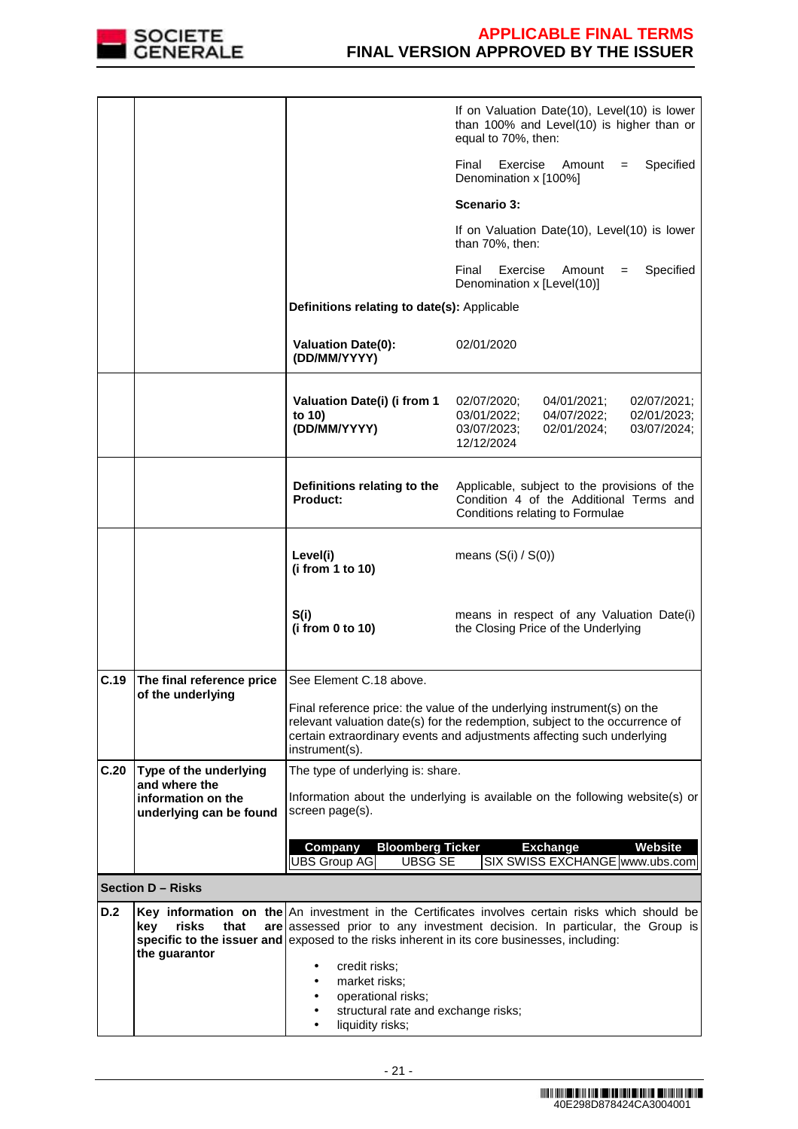

|            |                                               |                                                                             | If on Valuation Date(10), Level(10) is lower<br>than 100% and Level(10) is higher than or<br>equal to 70%, then:                                                                                                                                                                     |
|------------|-----------------------------------------------|-----------------------------------------------------------------------------|--------------------------------------------------------------------------------------------------------------------------------------------------------------------------------------------------------------------------------------------------------------------------------------|
|            |                                               |                                                                             | Final<br>Exercise<br>Specified<br>Amount<br>$=$<br>Denomination x [100%]                                                                                                                                                                                                             |
|            |                                               |                                                                             | Scenario 3:                                                                                                                                                                                                                                                                          |
|            |                                               |                                                                             | If on Valuation Date(10), Level(10) is lower<br>than 70%, then:                                                                                                                                                                                                                      |
|            |                                               |                                                                             | Exercise<br>Specified<br>Final<br>Amount<br>$=$<br>Denomination x [Level(10)]                                                                                                                                                                                                        |
|            |                                               | Definitions relating to date(s): Applicable                                 |                                                                                                                                                                                                                                                                                      |
|            |                                               | <b>Valuation Date(0):</b><br>(DD/MM/YYYY)                                   | 02/01/2020                                                                                                                                                                                                                                                                           |
|            |                                               | Valuation Date(i) (i from 1<br>to 10)<br>(DD/MM/YYYY)                       | 02/07/2020;<br>02/07/2021;<br>04/01/2021;<br>04/07/2022;<br>02/01/2023;<br>03/01/2022;<br>03/07/2023;<br>02/01/2024;<br>03/07/2024:<br>12/12/2024                                                                                                                                    |
|            |                                               | Definitions relating to the<br><b>Product:</b>                              | Applicable, subject to the provisions of the<br>Condition 4 of the Additional Terms and<br>Conditions relating to Formulae                                                                                                                                                           |
|            |                                               | Level(i)<br>(i from 1 to 10)                                                | means $(S(i) / S(0))$                                                                                                                                                                                                                                                                |
|            |                                               | S(i)<br>(i from 0 to 10)                                                    | means in respect of any Valuation Date(i)<br>the Closing Price of the Underlying                                                                                                                                                                                                     |
| C.19       | The final reference price                     | See Element C.18 above.                                                     |                                                                                                                                                                                                                                                                                      |
|            | of the underlying                             | instrument(s).                                                              | Final reference price: the value of the underlying instrument(s) on the<br>relevant valuation date(s) for the redemption, subject to the occurrence of<br>certain extraordinary events and adjustments affecting such underlying                                                     |
| C.20       | Type of the underlying<br>and where the       | The type of underlying is: share.                                           |                                                                                                                                                                                                                                                                                      |
|            | information on the<br>underlying can be found | screen page(s).                                                             | Information about the underlying is available on the following website(s) or                                                                                                                                                                                                         |
|            |                                               | <b>Bloomberg Ticker</b><br>Company<br><b>UBS Group AG</b><br><b>UBSG SE</b> | <b>Website</b><br><b>Exchange</b><br>SIX SWISS EXCHANGE www.ubs.com                                                                                                                                                                                                                  |
|            | <b>Section D - Risks</b>                      |                                                                             |                                                                                                                                                                                                                                                                                      |
| <b>D.2</b> | risks<br>kev<br>that                          |                                                                             | Key information on the $ An$ investment in the Certificates involves certain risks which should be<br>are assessed prior to any investment decision. In particular, the Group is<br><b>enecific to the issuer and evoced to the risks inherent in its core husinesses including:</b> |

- 21 -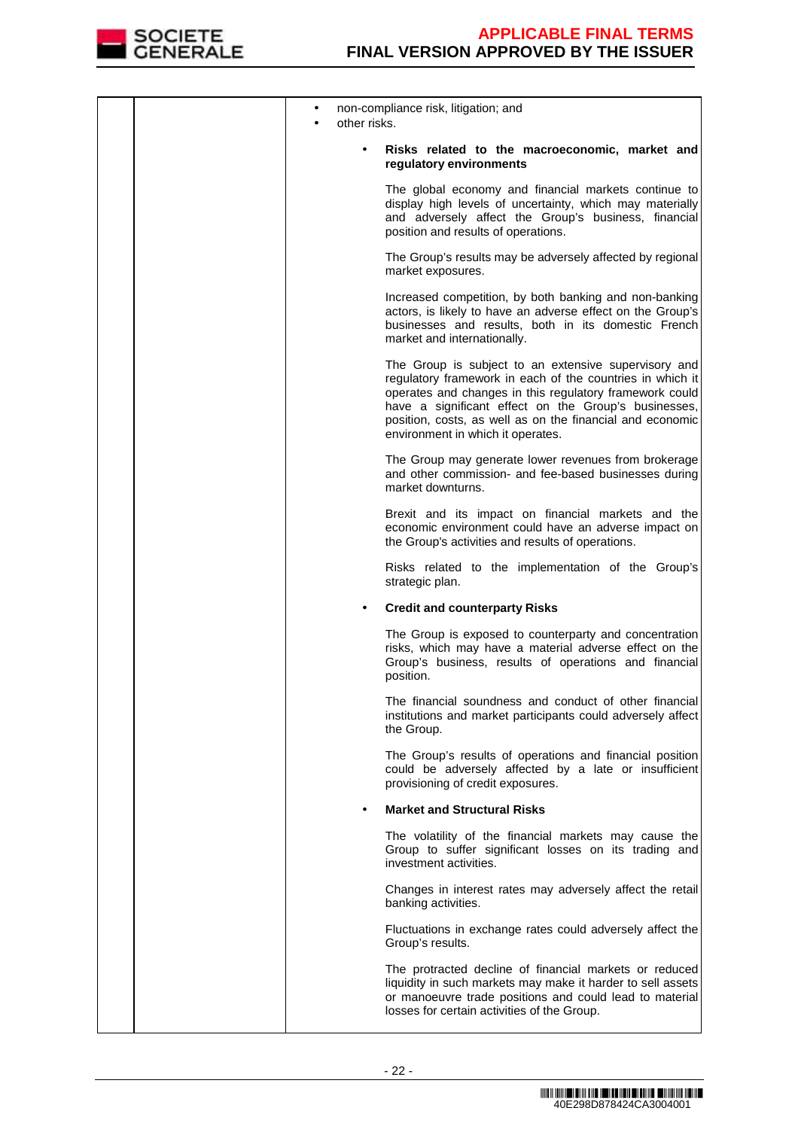

| other risks. | non-compliance risk, litigation; and                                                                                                                                                                                                                                                                                                   |
|--------------|----------------------------------------------------------------------------------------------------------------------------------------------------------------------------------------------------------------------------------------------------------------------------------------------------------------------------------------|
|              | Risks related to the macroeconomic, market and<br>regulatory environments                                                                                                                                                                                                                                                              |
|              | The global economy and financial markets continue to<br>display high levels of uncertainty, which may materially<br>and adversely affect the Group's business, financial<br>position and results of operations.                                                                                                                        |
|              | The Group's results may be adversely affected by regional<br>market exposures.                                                                                                                                                                                                                                                         |
|              | Increased competition, by both banking and non-banking<br>actors, is likely to have an adverse effect on the Group's<br>businesses and results, both in its domestic French<br>market and internationally.                                                                                                                             |
|              | The Group is subject to an extensive supervisory and<br>regulatory framework in each of the countries in which it<br>operates and changes in this regulatory framework could<br>have a significant effect on the Group's businesses,<br>position, costs, as well as on the financial and economic<br>environment in which it operates. |
|              | The Group may generate lower revenues from brokerage<br>and other commission- and fee-based businesses during<br>market downturns.                                                                                                                                                                                                     |
|              | Brexit and its impact on financial markets and the<br>economic environment could have an adverse impact on<br>the Group's activities and results of operations.                                                                                                                                                                        |
|              | Risks related to the implementation of the Group's<br>strategic plan.                                                                                                                                                                                                                                                                  |
|              | <b>Credit and counterparty Risks</b>                                                                                                                                                                                                                                                                                                   |
|              | The Group is exposed to counterparty and concentration<br>risks, which may have a material adverse effect on the<br>Group's business, results of operations and financial<br>position.                                                                                                                                                 |
|              | The financial soundness and conduct of other financial<br>institutions and market participants could adversely affect<br>the Group.                                                                                                                                                                                                    |
|              | The Group's results of operations and financial position<br>could be adversely affected by a late or insufficient<br>provisioning of credit exposures.                                                                                                                                                                                 |
|              | <b>Market and Structural Risks</b>                                                                                                                                                                                                                                                                                                     |
|              | The volatility of the financial markets may cause the<br>Group to suffer significant losses on its trading and<br>investment activities.                                                                                                                                                                                               |
|              | Changes in interest rates may adversely affect the retail<br>banking activities.                                                                                                                                                                                                                                                       |
|              | Fluctuations in exchange rates could adversely affect the<br>Group's results.                                                                                                                                                                                                                                                          |
|              | The protracted decline of financial markets or reduced<br>liquidity in such markets may make it harder to sell assets<br>or manoeuvre trade positions and could lead to material<br>losses for certain activities of the Group.                                                                                                        |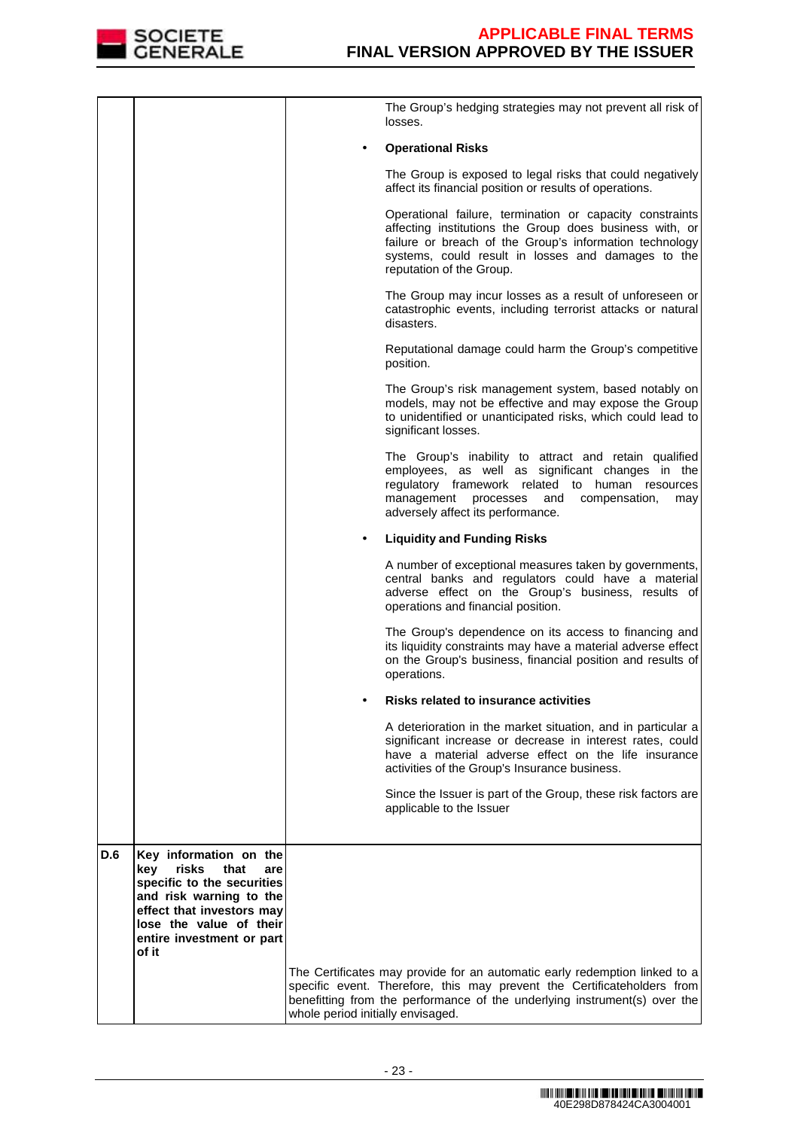

|     |                                                                                                                   |                                   | The Group's hedging strategies may not prevent all risk of<br>losses.                                                                                                                                                                                            |
|-----|-------------------------------------------------------------------------------------------------------------------|-----------------------------------|------------------------------------------------------------------------------------------------------------------------------------------------------------------------------------------------------------------------------------------------------------------|
|     |                                                                                                                   |                                   | <b>Operational Risks</b>                                                                                                                                                                                                                                         |
|     |                                                                                                                   |                                   | The Group is exposed to legal risks that could negatively<br>affect its financial position or results of operations.                                                                                                                                             |
|     |                                                                                                                   |                                   | Operational failure, termination or capacity constraints<br>affecting institutions the Group does business with, or<br>failure or breach of the Group's information technology<br>systems, could result in losses and damages to the<br>reputation of the Group. |
|     |                                                                                                                   |                                   | The Group may incur losses as a result of unforeseen or<br>catastrophic events, including terrorist attacks or natural<br>disasters.                                                                                                                             |
|     |                                                                                                                   |                                   | Reputational damage could harm the Group's competitive<br>position.                                                                                                                                                                                              |
|     |                                                                                                                   |                                   | The Group's risk management system, based notably on<br>models, may not be effective and may expose the Group<br>to unidentified or unanticipated risks, which could lead to<br>significant losses.                                                              |
|     |                                                                                                                   |                                   | The Group's inability to attract and retain qualified<br>employees, as well as significant changes in the<br>regulatory framework related to human resources<br>management<br>processes<br>and<br>compensation,<br>may<br>adversely affect its performance.      |
|     |                                                                                                                   |                                   | <b>Liquidity and Funding Risks</b>                                                                                                                                                                                                                               |
|     |                                                                                                                   |                                   | A number of exceptional measures taken by governments,<br>central banks and regulators could have a material<br>adverse effect on the Group's business, results of<br>operations and financial position.                                                         |
|     |                                                                                                                   |                                   | The Group's dependence on its access to financing and<br>its liquidity constraints may have a material adverse effect<br>on the Group's business, financial position and results of<br>operations.                                                               |
|     |                                                                                                                   |                                   | <b>Risks related to insurance activities</b>                                                                                                                                                                                                                     |
|     |                                                                                                                   |                                   | A deterioration in the market situation, and in particular a<br>significant increase or decrease in interest rates, could<br>have a material adverse effect on the life insurance<br>activities of the Group's Insurance business.                               |
|     |                                                                                                                   |                                   | Since the Issuer is part of the Group, these risk factors are<br>applicable to the Issuer                                                                                                                                                                        |
| D.6 | Key information on the                                                                                            |                                   |                                                                                                                                                                                                                                                                  |
|     | risks<br>that<br>kev<br>are<br>specific to the securities<br>and risk warning to the<br>effect that investors may |                                   |                                                                                                                                                                                                                                                                  |
|     | lose the value of their<br>entire investment or part<br>of it                                                     |                                   |                                                                                                                                                                                                                                                                  |
|     |                                                                                                                   | whole period initially envisaged. | The Certificates may provide for an automatic early redemption linked to a<br>specific event. Therefore, this may prevent the Certificateholders from<br>benefitting from the performance of the underlying instrument(s) over the                               |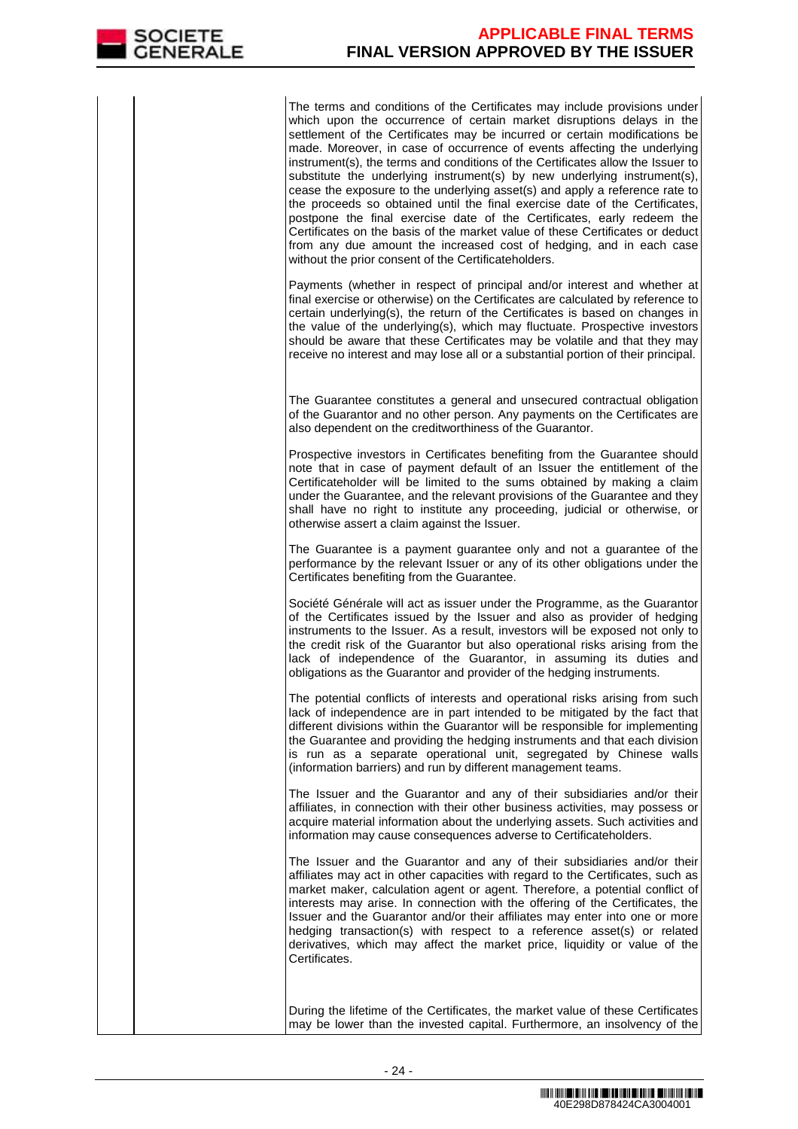The terms and conditions of the Certificates may include provisions under which upon the occurrence of certain market disruptions delays in the settlement of the Certificates may be incurred or certain modifications be made. Moreover, in case of occurrence of events affecting the underlying instrument(s), the terms and conditions of the Certificates allow the Issuer to substitute the underlying instrument(s) by new underlying instrument(s), cease the exposure to the underlying asset(s) and apply a reference rate to the proceeds so obtained until the final exercise date of the Certificates, postpone the final exercise date of the Certificates, early redeem the Certificates on the basis of the market value of these Certificates or deduct from any due amount the increased cost of hedging, and in each case without the prior consent of the Certificateholders.

Payments (whether in respect of principal and/or interest and whether at final exercise or otherwise) on the Certificates are calculated by reference to certain underlying(s), the return of the Certificates is based on changes in the value of the underlying(s), which may fluctuate. Prospective investors should be aware that these Certificates may be volatile and that they may receive no interest and may lose all or a substantial portion of their principal.

 The Guarantee constitutes a general and unsecured contractual obligation of the Guarantor and no other person. Any payments on the Certificates are also dependent on the creditworthiness of the Guarantor.

Prospective investors in Certificates benefiting from the Guarantee should note that in case of payment default of an Issuer the entitlement of the Certificateholder will be limited to the sums obtained by making a claim under the Guarantee, and the relevant provisions of the Guarantee and they shall have no right to institute any proceeding, judicial or otherwise, or otherwise assert a claim against the Issuer.

The Guarantee is a payment guarantee only and not a guarantee of the performance by the relevant Issuer or any of its other obligations under the Certificates benefiting from the Guarantee.

Société Générale will act as issuer under the Programme, as the Guarantor of the Certificates issued by the Issuer and also as provider of hedging instruments to the Issuer. As a result, investors will be exposed not only to the credit risk of the Guarantor but also operational risks arising from the lack of independence of the Guarantor, in assuming its duties and obligations as the Guarantor and provider of the hedging instruments.

The potential conflicts of interests and operational risks arising from such lack of independence are in part intended to be mitigated by the fact that different divisions within the Guarantor will be responsible for implementing the Guarantee and providing the hedging instruments and that each division is run as a separate operational unit, segregated by Chinese walls (information barriers) and run by different management teams.

The Issuer and the Guarantor and any of their subsidiaries and/or their affiliates, in connection with their other business activities, may possess or acquire material information about the underlying assets. Such activities and information may cause consequences adverse to Certificateholders.

The Issuer and the Guarantor and any of their subsidiaries and/or their affiliates may act in other capacities with regard to the Certificates, such as market maker, calculation agent or agent. Therefore, a potential conflict of interests may arise. In connection with the offering of the Certificates, the Issuer and the Guarantor and/or their affiliates may enter into one or more hedging transaction(s) with respect to a reference asset(s) or related derivatives, which may affect the market price, liquidity or value of the Certificates.

 During the lifetime of the Certificates, the market value of these Certificates may be lower than the invested capital. Furthermore, an insolvency of the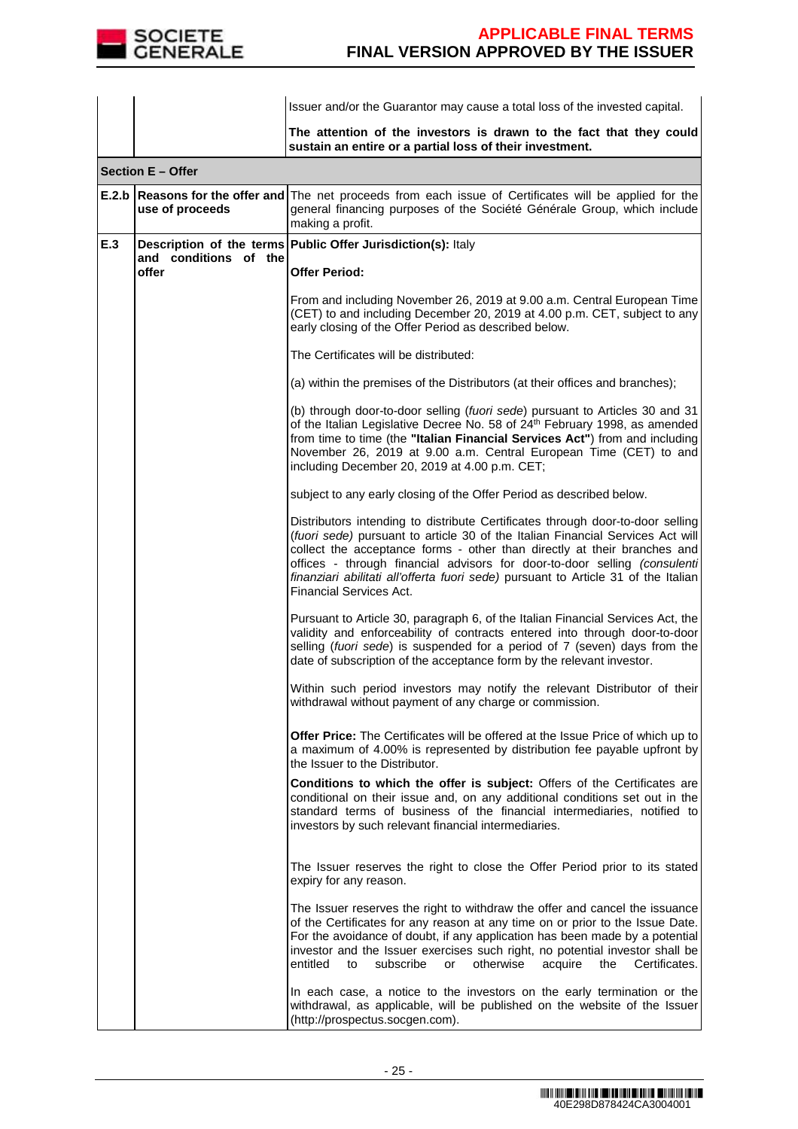

|     |                                                    | Issuer and/or the Guarantor may cause a total loss of the invested capital.                                                                                                                                                                                                                                                                                                                                                                       |  |  |
|-----|----------------------------------------------------|---------------------------------------------------------------------------------------------------------------------------------------------------------------------------------------------------------------------------------------------------------------------------------------------------------------------------------------------------------------------------------------------------------------------------------------------------|--|--|
|     |                                                    | The attention of the investors is drawn to the fact that they could<br>sustain an entire or a partial loss of their investment.                                                                                                                                                                                                                                                                                                                   |  |  |
|     | Section E - Offer                                  |                                                                                                                                                                                                                                                                                                                                                                                                                                                   |  |  |
|     | E.2.b Reasons for the offer and<br>use of proceeds | The net proceeds from each issue of Certificates will be applied for the<br>general financing purposes of the Société Générale Group, which include<br>making a profit.                                                                                                                                                                                                                                                                           |  |  |
| E.3 | and conditions of the                              | Description of the terms   Public Offer Jurisdiction(s): Italy                                                                                                                                                                                                                                                                                                                                                                                    |  |  |
|     | offer                                              | <b>Offer Period:</b>                                                                                                                                                                                                                                                                                                                                                                                                                              |  |  |
|     |                                                    | From and including November 26, 2019 at 9.00 a.m. Central European Time<br>(CET) to and including December 20, 2019 at 4.00 p.m. CET, subject to any<br>early closing of the Offer Period as described below.                                                                                                                                                                                                                                     |  |  |
|     |                                                    | The Certificates will be distributed:                                                                                                                                                                                                                                                                                                                                                                                                             |  |  |
|     |                                                    | (a) within the premises of the Distributors (at their offices and branches);                                                                                                                                                                                                                                                                                                                                                                      |  |  |
|     |                                                    | (b) through door-to-door selling (fuori sede) pursuant to Articles 30 and 31<br>of the Italian Legislative Decree No. 58 of 24th February 1998, as amended<br>from time to time (the "Italian Financial Services Act") from and including<br>November 26, 2019 at 9.00 a.m. Central European Time (CET) to and<br>including December 20, 2019 at 4.00 p.m. CET;                                                                                   |  |  |
|     |                                                    | subject to any early closing of the Offer Period as described below.                                                                                                                                                                                                                                                                                                                                                                              |  |  |
|     |                                                    | Distributors intending to distribute Certificates through door-to-door selling<br>(fuori sede) pursuant to article 30 of the Italian Financial Services Act will<br>collect the acceptance forms - other than directly at their branches and<br>offices - through financial advisors for door-to-door selling (consulenti<br>finanziari abilitati all'offerta fuori sede) pursuant to Article 31 of the Italian<br><b>Financial Services Act.</b> |  |  |
|     |                                                    | Pursuant to Article 30, paragraph 6, of the Italian Financial Services Act, the<br>validity and enforceability of contracts entered into through door-to-door<br>selling (fuori sede) is suspended for a period of 7 (seven) days from the<br>date of subscription of the acceptance form by the relevant investor.                                                                                                                               |  |  |
|     |                                                    | Within such period investors may notify the relevant Distributor of their<br>withdrawal without payment of any charge or commission.                                                                                                                                                                                                                                                                                                              |  |  |
|     |                                                    | Offer Price: The Certificates will be offered at the Issue Price of which up to<br>a maximum of 4.00% is represented by distribution fee payable upfront by<br>the Issuer to the Distributor.                                                                                                                                                                                                                                                     |  |  |
|     |                                                    | Conditions to which the offer is subject: Offers of the Certificates are<br>conditional on their issue and, on any additional conditions set out in the<br>standard terms of business of the financial intermediaries, notified to<br>investors by such relevant financial intermediaries.                                                                                                                                                        |  |  |
|     |                                                    | The Issuer reserves the right to close the Offer Period prior to its stated<br>expiry for any reason.                                                                                                                                                                                                                                                                                                                                             |  |  |
|     |                                                    | The Issuer reserves the right to withdraw the offer and cancel the issuance<br>of the Certificates for any reason at any time on or prior to the Issue Date.<br>For the avoidance of doubt, if any application has been made by a potential<br>investor and the Issuer exercises such right, no potential investor shall be<br>entitled<br>subscribe<br>otherwise<br>acquire<br>the<br>Certificates.<br>to<br>or                                  |  |  |
|     |                                                    | In each case, a notice to the investors on the early termination or the<br>withdrawal, as applicable, will be published on the website of the Issuer<br>(http://prospectus.socgen.com).                                                                                                                                                                                                                                                           |  |  |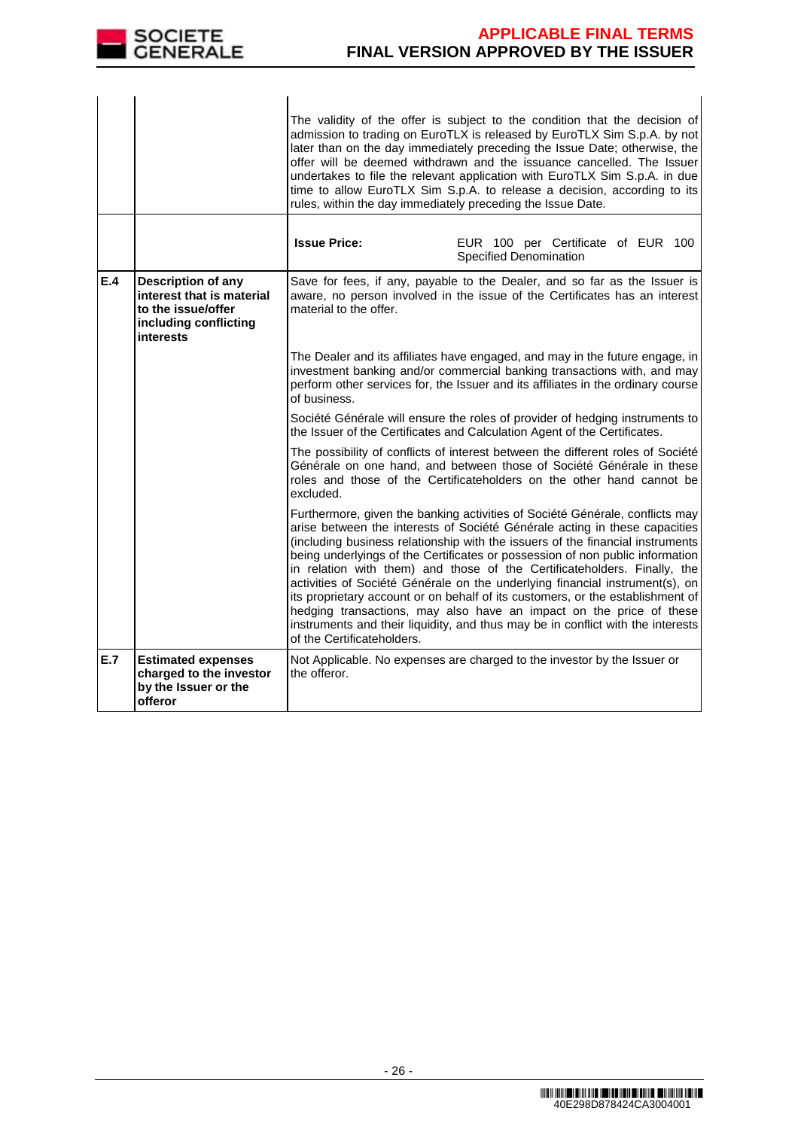

|     |                                                                                                             | rules, within the day immediately preceding the Issue Date. | The validity of the offer is subject to the condition that the decision of<br>admission to trading on EuroTLX is released by EuroTLX Sim S.p.A. by not<br>later than on the day immediately preceding the Issue Date; otherwise, the<br>offer will be deemed withdrawn and the issuance cancelled. The Issuer<br>undertakes to file the relevant application with EuroTLX Sim S.p.A. in due<br>time to allow EuroTLX Sim S.p.A. to release a decision, according to its                                                                                                                                                                                                                                                               |
|-----|-------------------------------------------------------------------------------------------------------------|-------------------------------------------------------------|---------------------------------------------------------------------------------------------------------------------------------------------------------------------------------------------------------------------------------------------------------------------------------------------------------------------------------------------------------------------------------------------------------------------------------------------------------------------------------------------------------------------------------------------------------------------------------------------------------------------------------------------------------------------------------------------------------------------------------------|
|     |                                                                                                             | <b>Issue Price:</b>                                         | EUR 100 per Certificate of EUR 100<br>Specified Denomination                                                                                                                                                                                                                                                                                                                                                                                                                                                                                                                                                                                                                                                                          |
| E.4 | Description of any<br>interest that is material<br>to the issue/offer<br>including conflicting<br>interests | material to the offer.                                      | Save for fees, if any, payable to the Dealer, and so far as the Issuer is<br>aware, no person involved in the issue of the Certificates has an interest                                                                                                                                                                                                                                                                                                                                                                                                                                                                                                                                                                               |
|     |                                                                                                             | of business.                                                | The Dealer and its affiliates have engaged, and may in the future engage, in<br>investment banking and/or commercial banking transactions with, and may<br>perform other services for, the Issuer and its affiliates in the ordinary course                                                                                                                                                                                                                                                                                                                                                                                                                                                                                           |
|     |                                                                                                             |                                                             | Société Générale will ensure the roles of provider of hedging instruments to<br>the Issuer of the Certificates and Calculation Agent of the Certificates.                                                                                                                                                                                                                                                                                                                                                                                                                                                                                                                                                                             |
|     |                                                                                                             | excluded.                                                   | The possibility of conflicts of interest between the different roles of Société<br>Générale on one hand, and between those of Société Générale in these<br>roles and those of the Certificateholders on the other hand cannot be                                                                                                                                                                                                                                                                                                                                                                                                                                                                                                      |
|     |                                                                                                             | of the Certificateholders.                                  | Furthermore, given the banking activities of Société Générale, conflicts may<br>arise between the interests of Société Générale acting in these capacities<br>(including business relationship with the issuers of the financial instruments<br>being underlyings of the Certificates or possession of non public information<br>in relation with them) and those of the Certificateholders. Finally, the<br>activities of Société Générale on the underlying financial instrument(s), on<br>its proprietary account or on behalf of its customers, or the establishment of<br>hedging transactions, may also have an impact on the price of these<br>instruments and their liquidity, and thus may be in conflict with the interests |
| E.7 | <b>Estimated expenses</b><br>charged to the investor<br>by the Issuer or the<br>offeror                     | the offeror.                                                | Not Applicable. No expenses are charged to the investor by the Issuer or                                                                                                                                                                                                                                                                                                                                                                                                                                                                                                                                                                                                                                                              |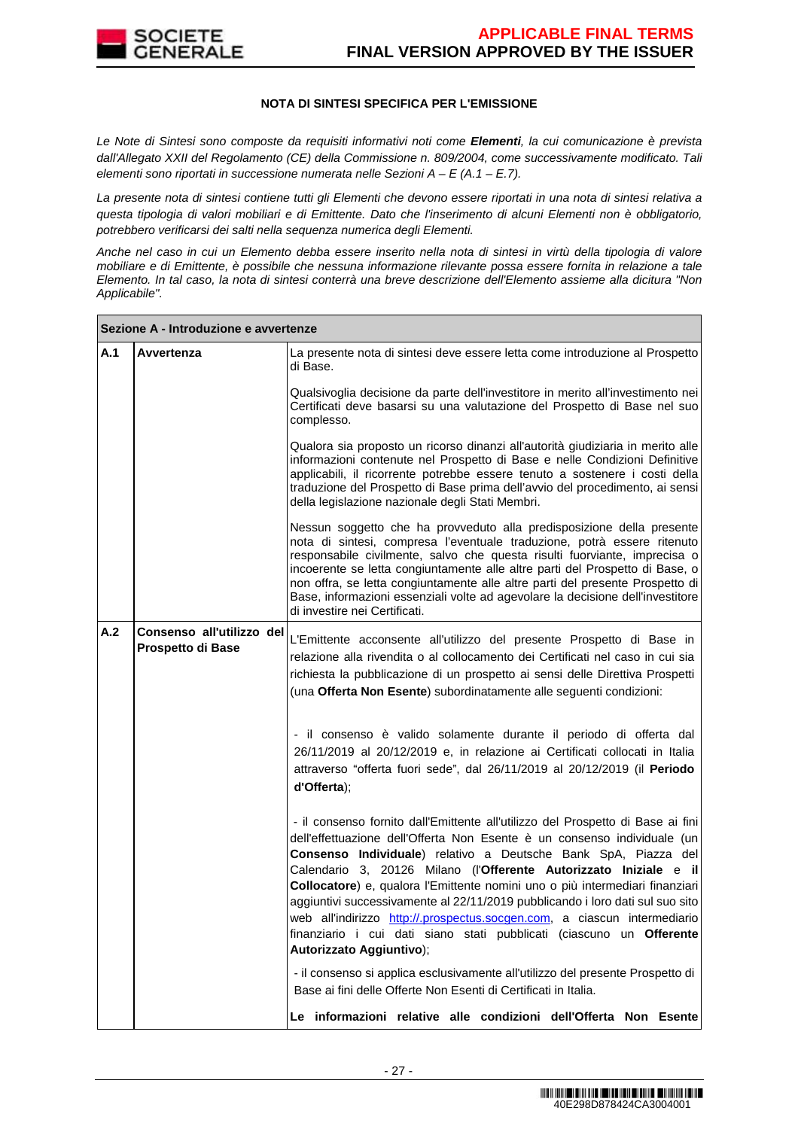

## **NOTA DI SINTESI SPECIFICA PER L'EMISSIONE**

Le Note di Sintesi sono composte da requisiti informativi noti come **Elementi**, la cui comunicazione è prevista dall'Allegato XXII del Regolamento (CE) della Commissione n. 809/2004, come successivamente modificato. Tali elementi sono riportati in successione numerata nelle Sezioni  $A - E(A.1 - E.7)$ .

La presente nota di sintesi contiene tutti gli Elementi che devono essere riportati in una nota di sintesi relativa a questa tipologia di valori mobiliari e di Emittente. Dato che l'inserimento di alcuni Elementi non è obbligatorio, potrebbero verificarsi dei salti nella sequenza numerica degli Elementi.

Anche nel caso in cui un Elemento debba essere inserito nella nota di sintesi in virtù della tipologia di valore mobiliare e di Emittente, è possibile che nessuna informazione rilevante possa essere fornita in relazione a tale Elemento. In tal caso, la nota di sintesi conterrà una breve descrizione dell'Elemento assieme alla dicitura "Non Applicabile".

|     | Sezione A - Introduzione e avvertenze          |                                                                                                                                                                                                                                                                                                                                                                                                                                                                                                                                                                                                                                                      |
|-----|------------------------------------------------|------------------------------------------------------------------------------------------------------------------------------------------------------------------------------------------------------------------------------------------------------------------------------------------------------------------------------------------------------------------------------------------------------------------------------------------------------------------------------------------------------------------------------------------------------------------------------------------------------------------------------------------------------|
| A.1 | Avvertenza                                     | La presente nota di sintesi deve essere letta come introduzione al Prospetto<br>di Base.                                                                                                                                                                                                                                                                                                                                                                                                                                                                                                                                                             |
|     |                                                | Qualsivoglia decisione da parte dell'investitore in merito all'investimento nei<br>Certificati deve basarsi su una valutazione del Prospetto di Base nel suo<br>complesso.                                                                                                                                                                                                                                                                                                                                                                                                                                                                           |
|     |                                                | Qualora sia proposto un ricorso dinanzi all'autorità giudiziaria in merito alle<br>informazioni contenute nel Prospetto di Base e nelle Condizioni Definitive<br>applicabili, il ricorrente potrebbe essere tenuto a sostenere i costi della<br>traduzione del Prospetto di Base prima dell'avvio del procedimento, ai sensi<br>della legislazione nazionale degli Stati Membri.                                                                                                                                                                                                                                                                     |
|     |                                                | Nessun soggetto che ha provveduto alla predisposizione della presente<br>nota di sintesi, compresa l'eventuale traduzione, potrà essere ritenuto<br>responsabile civilmente, salvo che questa risulti fuorviante, imprecisa o<br>incoerente se letta congiuntamente alle altre parti del Prospetto di Base, o<br>non offra, se letta congiuntamente alle altre parti del presente Prospetto di<br>Base, informazioni essenziali volte ad agevolare la decisione dell'investitore<br>di investire nei Certificati.                                                                                                                                    |
| A.2 | Consenso all'utilizzo del<br>Prospetto di Base | L'Emittente acconsente all'utilizzo del presente Prospetto di Base in<br>relazione alla rivendita o al collocamento dei Certificati nel caso in cui sia<br>richiesta la pubblicazione di un prospetto ai sensi delle Direttiva Prospetti<br>(una Offerta Non Esente) subordinatamente alle seguenti condizioni:                                                                                                                                                                                                                                                                                                                                      |
|     |                                                | - il consenso è valido solamente durante il periodo di offerta dal<br>26/11/2019 al 20/12/2019 e, in relazione ai Certificati collocati in Italia<br>attraverso "offerta fuori sede", dal 26/11/2019 al 20/12/2019 (il Periodo<br>d'Offerta);                                                                                                                                                                                                                                                                                                                                                                                                        |
|     |                                                | - il consenso fornito dall'Emittente all'utilizzo del Prospetto di Base ai fini<br>dell'effettuazione dell'Offerta Non Esente è un consenso individuale (un<br>Consenso Individuale) relativo a Deutsche Bank SpA, Piazza del<br>Calendario 3, 20126 Milano (l'Offerente Autorizzato Iniziale e il<br>Collocatore) e, qualora l'Emittente nomini uno o più intermediari finanziari<br>aggiuntivi successivamente al 22/11/2019 pubblicando i loro dati sul suo sito<br>web all'indirizzo http://.prospectus.socgen.com, a ciascun intermediario.<br>finanziario i cui dati siano stati pubblicati (ciascuno un Offerente<br>Autorizzato Aggiuntivo); |
|     |                                                | - il consenso si applica esclusivamente all'utilizzo del presente Prospetto di<br>Base ai fini delle Offerte Non Esenti di Certificati in Italia.                                                                                                                                                                                                                                                                                                                                                                                                                                                                                                    |
|     |                                                | Le informazioni relative alle condizioni dell'Offerta Non Esente                                                                                                                                                                                                                                                                                                                                                                                                                                                                                                                                                                                     |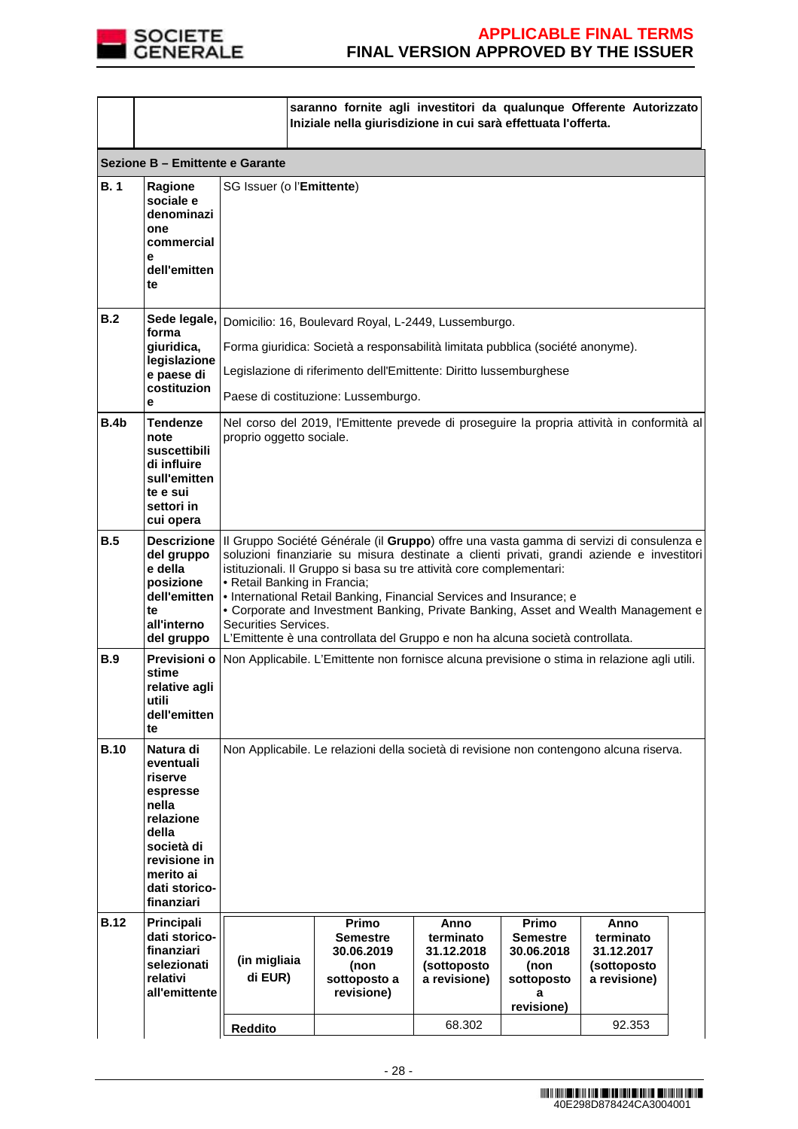

|             |                                                                                                                                                        |                                                                                                                                                                                                                                                                                                                                                                                                                                                                                                                                                                                  | saranno fornite agli investitori da qualunque Offerente Autorizzato<br>Iniziale nella giurisdizione in cui sarà effettuata l'offerta.               |                                                                |                                                                                 |                                                                |  |
|-------------|--------------------------------------------------------------------------------------------------------------------------------------------------------|----------------------------------------------------------------------------------------------------------------------------------------------------------------------------------------------------------------------------------------------------------------------------------------------------------------------------------------------------------------------------------------------------------------------------------------------------------------------------------------------------------------------------------------------------------------------------------|-----------------------------------------------------------------------------------------------------------------------------------------------------|----------------------------------------------------------------|---------------------------------------------------------------------------------|----------------------------------------------------------------|--|
|             | Sezione B - Emittente e Garante                                                                                                                        |                                                                                                                                                                                                                                                                                                                                                                                                                                                                                                                                                                                  |                                                                                                                                                     |                                                                |                                                                                 |                                                                |  |
| B.1         | Ragione<br>sociale e<br>denominazi<br>one<br>commercial<br>е<br>dell'emitten<br>te                                                                     | SG Issuer (o l'Emittente)                                                                                                                                                                                                                                                                                                                                                                                                                                                                                                                                                        |                                                                                                                                                     |                                                                |                                                                                 |                                                                |  |
| B.2         | forma<br>giuridica,<br>legislazione                                                                                                                    |                                                                                                                                                                                                                                                                                                                                                                                                                                                                                                                                                                                  | Sede legale, Domicilio: 16, Boulevard Royal, L-2449, Lussemburgo.<br>Forma giuridica: Società a responsabilità limitata pubblica (société anonyme). |                                                                |                                                                                 |                                                                |  |
|             | e paese di<br>costituzion<br>е                                                                                                                         |                                                                                                                                                                                                                                                                                                                                                                                                                                                                                                                                                                                  | Legislazione di riferimento dell'Emittente: Diritto lussemburghese<br>Paese di costituzione: Lussemburgo.                                           |                                                                |                                                                                 |                                                                |  |
| B.4b        | Tendenze<br>note<br>suscettibili<br>di influire<br>sull'emitten<br>te e sui<br>settori in<br>cui opera                                                 | Nel corso del 2019, l'Emittente prevede di proseguire la propria attività in conformità al<br>proprio oggetto sociale.                                                                                                                                                                                                                                                                                                                                                                                                                                                           |                                                                                                                                                     |                                                                |                                                                                 |                                                                |  |
| B.5         | del gruppo<br>e della<br>posizione<br>dell'emitten<br>te<br>all'interno<br>del gruppo                                                                  | Descrizione   Il Gruppo Société Générale (il Gruppo) offre una vasta gamma di servizi di consulenza e<br>soluzioni finanziarie su misura destinate a clienti privati, grandi aziende e investitori<br>istituzionali. Il Gruppo si basa su tre attività core complementari:<br>• Retail Banking in Francia;<br>• International Retail Banking, Financial Services and Insurance; e<br>• Corporate and Investment Banking, Private Banking, Asset and Wealth Management e<br>Securities Services.<br>L'Emittente è una controllata del Gruppo e non ha alcuna società controllata. |                                                                                                                                                     |                                                                |                                                                                 |                                                                |  |
| <b>B.9</b>  | Previsioni o<br>stime<br>relative agli<br>utili<br>dell'emitten<br>te                                                                                  | Non Applicabile. L'Emittente non fornisce alcuna previsione o stima in relazione agli utili.                                                                                                                                                                                                                                                                                                                                                                                                                                                                                     |                                                                                                                                                     |                                                                |                                                                                 |                                                                |  |
| <b>B.10</b> | Natura di<br>eventuali<br>riserve<br>espresse<br>nella<br>relazione<br>della<br>società di<br>revisione in<br>merito ai<br>dati storico-<br>finanziari | Non Applicabile. Le relazioni della società di revisione non contengono alcuna riserva.                                                                                                                                                                                                                                                                                                                                                                                                                                                                                          |                                                                                                                                                     |                                                                |                                                                                 |                                                                |  |
| <b>B.12</b> | Principali<br>dati storico-<br>finanziari<br>selezionati<br>relativi<br>all'emittente                                                                  | (in migliaia<br>di EUR)                                                                                                                                                                                                                                                                                                                                                                                                                                                                                                                                                          | Primo<br><b>Semestre</b><br>30.06.2019<br>(non<br>sottoposto a<br>revisione)                                                                        | Anno<br>terminato<br>31.12.2018<br>(sottoposto<br>a revisione) | Primo<br><b>Semestre</b><br>30.06.2018<br>(non<br>sottoposto<br>а<br>revisione) | Anno<br>terminato<br>31.12.2017<br>(sottoposto<br>a revisione) |  |
|             |                                                                                                                                                        | <b>Reddito</b>                                                                                                                                                                                                                                                                                                                                                                                                                                                                                                                                                                   |                                                                                                                                                     | 68.302                                                         |                                                                                 | 92.353                                                         |  |
|             |                                                                                                                                                        |                                                                                                                                                                                                                                                                                                                                                                                                                                                                                                                                                                                  |                                                                                                                                                     |                                                                |                                                                                 |                                                                |  |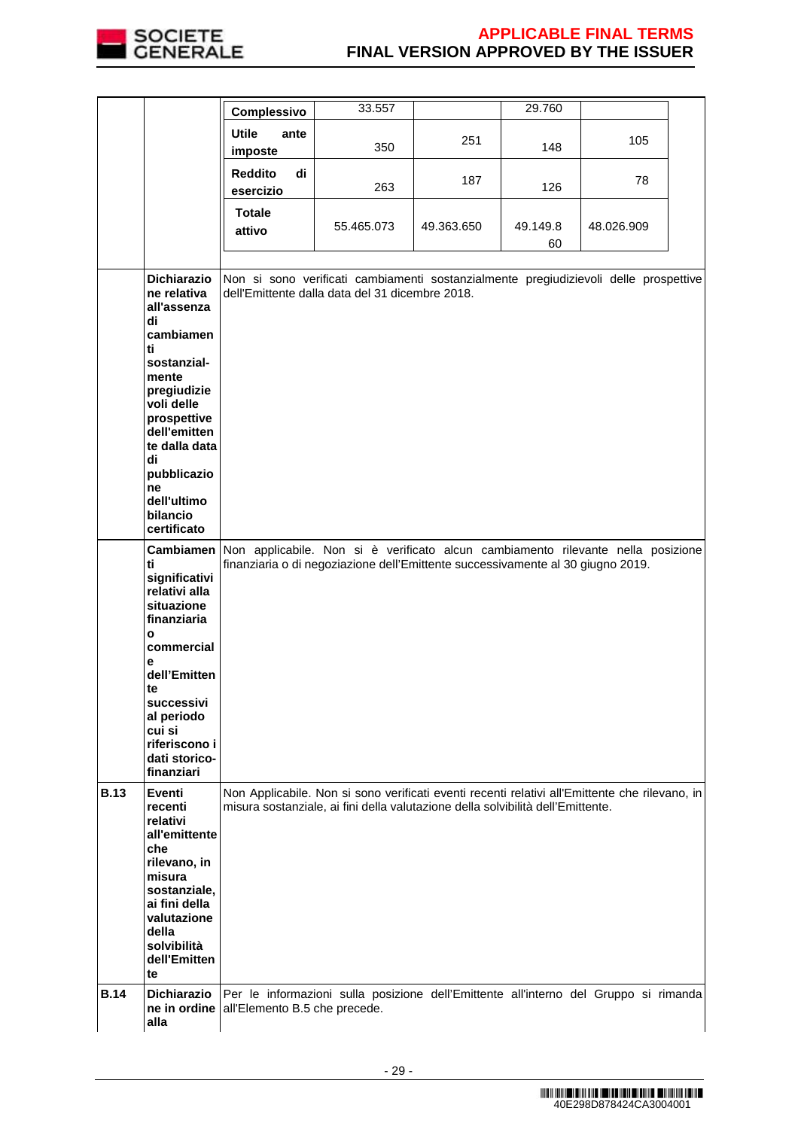

|             |                                                                                                                                                                                                                                      | Complessivo                       | 33.557                                                                                                                                                                            |            | 29.760         |            |  |
|-------------|--------------------------------------------------------------------------------------------------------------------------------------------------------------------------------------------------------------------------------------|-----------------------------------|-----------------------------------------------------------------------------------------------------------------------------------------------------------------------------------|------------|----------------|------------|--|
|             |                                                                                                                                                                                                                                      | <b>Utile</b><br>ante<br>imposte   | 350                                                                                                                                                                               | 251        | 148            | 105        |  |
|             |                                                                                                                                                                                                                                      | <b>Reddito</b><br>di<br>esercizio | 263                                                                                                                                                                               | 187        | 126            | 78         |  |
|             |                                                                                                                                                                                                                                      | <b>Totale</b><br>attivo           | 55.465.073                                                                                                                                                                        | 49.363.650 | 49.149.8<br>60 | 48.026.909 |  |
|             | <b>Dichiarazio</b><br>ne relativa<br>all'assenza<br>di<br>cambiamen<br>ti<br>sostanzial-<br>mente<br>pregiudizie<br>voli delle<br>prospettive<br>dell'emitten<br>te dalla data<br>di<br>pubblicazio<br>ne<br>dell'ultimo<br>bilancio |                                   | Non si sono verificati cambiamenti sostanzialmente pregiudizievoli delle prospettive<br>dell'Emittente dalla data del 31 dicembre 2018.                                           |            |                |            |  |
|             | certificato<br>ti<br>significativi<br>relativi alla<br>situazione<br>finanziaria<br>$\mathbf{o}$<br>commercial<br>е<br>dell'Emitten<br>te<br>successivi<br>al periodo<br>cui si<br>riferiscono i<br>dati storico-<br>finanziari      |                                   | Cambiamen Non applicabile. Non si è verificato alcun cambiamento rilevante nella posizione<br>finanziaria o di negoziazione dell'Emittente successivamente al 30 giugno 2019.     |            |                |            |  |
| <b>B.13</b> | <b>Eventi</b><br>recenti<br>relativi<br>all'emittente<br>che<br>rilevano, in<br>misura<br>sostanziale,<br>ai fini della<br>valutazione<br>della<br>solvibilità<br>dell'Emitten<br>te                                                 |                                   | Non Applicabile. Non si sono verificati eventi recenti relativi all'Emittente che rilevano, in<br>misura sostanziale, ai fini della valutazione della solvibilità dell'Emittente. |            |                |            |  |
| <b>B.14</b> | <b>Dichiarazio</b><br>ne in ordine<br>alla                                                                                                                                                                                           | all'Elemento B.5 che precede.     | Per le informazioni sulla posizione dell'Emittente all'interno del Gruppo si rimanda                                                                                              |            |                |            |  |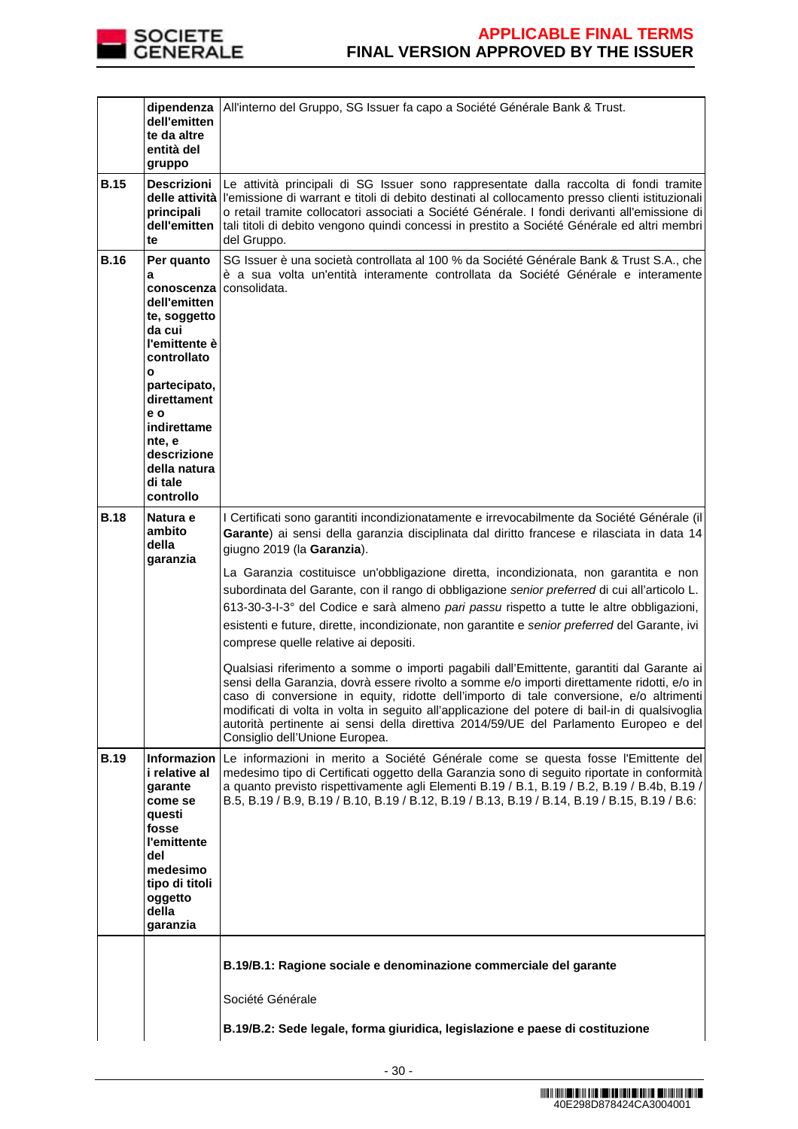

|             | dipendenza<br>dell'emitten<br>te da altre<br>entità del<br>gruppo                                                                                                                                                                             | All'interno del Gruppo, SG Issuer fa capo a Société Générale Bank & Trust.                                                                                                                                                                                                                                                                                                                                                                                                                                                                                                                                                                                                                                                                                                                                                                                                                                                                                                                                                                                                                                                                                                  |  |
|-------------|-----------------------------------------------------------------------------------------------------------------------------------------------------------------------------------------------------------------------------------------------|-----------------------------------------------------------------------------------------------------------------------------------------------------------------------------------------------------------------------------------------------------------------------------------------------------------------------------------------------------------------------------------------------------------------------------------------------------------------------------------------------------------------------------------------------------------------------------------------------------------------------------------------------------------------------------------------------------------------------------------------------------------------------------------------------------------------------------------------------------------------------------------------------------------------------------------------------------------------------------------------------------------------------------------------------------------------------------------------------------------------------------------------------------------------------------|--|
| <b>B.15</b> | <b>Descrizioni</b><br>principali<br>dell'emitten<br>te                                                                                                                                                                                        | Le attività principali di SG Issuer sono rappresentate dalla raccolta di fondi tramite<br>delle attività l'emissione di warrant e titoli di debito destinati al collocamento presso clienti istituzionali<br>o retail tramite collocatori associati a Société Générale. I fondi derivanti all'emissione di<br>tali titoli di debito vengono quindi concessi in prestito a Société Générale ed altri membri<br>del Gruppo.                                                                                                                                                                                                                                                                                                                                                                                                                                                                                                                                                                                                                                                                                                                                                   |  |
| <b>B.16</b> | Per quanto<br>a<br>conoscenza<br>dell'emitten<br>te, soggetto<br>da cui<br>l'emittente è<br>controllato<br>$\mathbf{o}$<br>partecipato,<br>direttament<br>e o<br>indirettame<br>nte, e<br>descrizione<br>della natura<br>di tale<br>controllo | SG Issuer è una società controllata al 100 % da Société Générale Bank & Trust S.A., che<br>è a sua volta un'entità interamente controllata da Société Générale e interamente<br>consolidata.                                                                                                                                                                                                                                                                                                                                                                                                                                                                                                                                                                                                                                                                                                                                                                                                                                                                                                                                                                                |  |
| <b>B.18</b> | Natura e<br>ambito<br>della<br>garanzia                                                                                                                                                                                                       | I Certificati sono garantiti incondizionatamente e irrevocabilmente da Société Générale (il<br>Garante) ai sensi della garanzia disciplinata dal diritto francese e rilasciata in data 14<br>giugno 2019 (la Garanzia).<br>La Garanzia costituisce un'obbligazione diretta, incondizionata, non garantita e non<br>subordinata del Garante, con il rango di obbligazione senior preferred di cui all'articolo L.<br>613-30-3-l-3° del Codice e sarà almeno pari passu rispetto a tutte le altre obbligazioni,<br>esistenti e future, dirette, incondizionate, non garantite e senior preferred del Garante, ivi<br>comprese quelle relative ai depositi.<br>Qualsiasi riferimento a somme o importi pagabili dall'Emittente, garantiti dal Garante ai<br>sensi della Garanzia, dovrà essere rivolto a somme e/o importi direttamente ridotti, e/o in<br>caso di conversione in equity, ridotte dell'importo di tale conversione, e/o altrimenti<br>modificati di volta in volta in seguito all'applicazione del potere di bail-in di qualsivoglia<br>autorità pertinente ai sensi della direttiva 2014/59/UE del Parlamento Europeo e del<br>Consiglio dell'Unione Europea. |  |
| <b>B.19</b> | i relative al<br>garante<br>come se<br>questi<br>fosse<br>l'emittente<br>del<br>medesimo<br>tipo di titoli<br>oggetto<br>della<br>garanzia                                                                                                    | Informazion Le informazioni in merito a Société Générale come se questa fosse l'Emittente del<br>medesimo tipo di Certificati oggetto della Garanzia sono di seguito riportate in conformità<br>a quanto previsto rispettivamente agli Elementi B.19 / B.1, B.19 / B.2, B.19 / B.4b, B.19 /<br>B.5, B.19 / B.9, B.19 / B.10, B.19 / B.12, B.19 / B.13, B.19 / B.14, B.19 / B.15, B.19 / B.6:                                                                                                                                                                                                                                                                                                                                                                                                                                                                                                                                                                                                                                                                                                                                                                                |  |
|             |                                                                                                                                                                                                                                               | B.19/B.1: Ragione sociale e denominazione commerciale del garante<br>Société Générale<br>B.19/B.2: Sede legale, forma giuridica, legislazione e paese di costituzione                                                                                                                                                                                                                                                                                                                                                                                                                                                                                                                                                                                                                                                                                                                                                                                                                                                                                                                                                                                                       |  |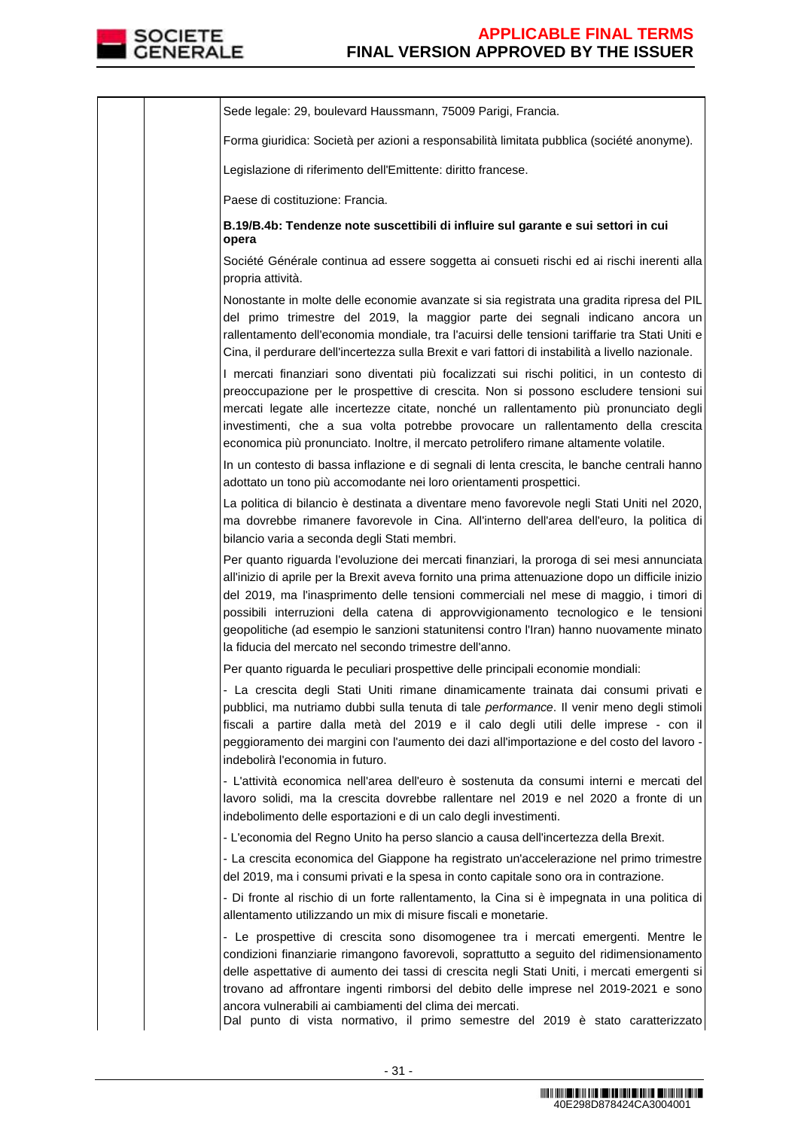

Sede legale: 29, boulevard Haussmann, 75009 Parigi, Francia. Forma giuridica: Società per azioni a responsabilità limitata pubblica (société anonyme). Legislazione di riferimento dell'Emittente: diritto francese. Paese di costituzione: Francia. **B.19/B.4b: Tendenze note suscettibili di influire sul garante e sui settori in cui opera**  Société Générale continua ad essere soggetta ai consueti rischi ed ai rischi inerenti alla propria attività. Nonostante in molte delle economie avanzate si sia registrata una gradita ripresa del PIL del primo trimestre del 2019, la maggior parte dei segnali indicano ancora un rallentamento dell'economia mondiale, tra l'acuirsi delle tensioni tariffarie tra Stati Uniti e Cina, il perdurare dell'incertezza sulla Brexit e vari fattori di instabilità a livello nazionale. I mercati finanziari sono diventati più focalizzati sui rischi politici, in un contesto di preoccupazione per le prospettive di crescita. Non si possono escludere tensioni sui mercati legate alle incertezze citate, nonché un rallentamento più pronunciato degli investimenti, che a sua volta potrebbe provocare un rallentamento della crescita economica più pronunciato. Inoltre, il mercato petrolifero rimane altamente volatile. In un contesto di bassa inflazione e di segnali di lenta crescita, le banche centrali hanno adottato un tono più accomodante nei loro orientamenti prospettici. La politica di bilancio è destinata a diventare meno favorevole negli Stati Uniti nel 2020, ma dovrebbe rimanere favorevole in Cina. All'interno dell'area dell'euro, la politica di bilancio varia a seconda degli Stati membri. Per quanto riguarda l'evoluzione dei mercati finanziari, la proroga di sei mesi annunciata all'inizio di aprile per la Brexit aveva fornito una prima attenuazione dopo un difficile inizio del 2019, ma l'inasprimento delle tensioni commerciali nel mese di maggio, i timori di possibili interruzioni della catena di approvvigionamento tecnologico e le tensioni geopolitiche (ad esempio le sanzioni statunitensi contro l'Iran) hanno nuovamente minato la fiducia del mercato nel secondo trimestre dell'anno. Per quanto riguarda le peculiari prospettive delle principali economie mondiali: - La crescita degli Stati Uniti rimane dinamicamente trainata dai consumi privati e pubblici, ma nutriamo dubbi sulla tenuta di tale performance. Il venir meno degli stimoli fiscali a partire dalla metà del 2019 e il calo degli utili delle imprese - con il peggioramento dei margini con l'aumento dei dazi all'importazione e del costo del lavoro indebolirà l'economia in futuro. - L'attività economica nell'area dell'euro è sostenuta da consumi interni e mercati del lavoro solidi, ma la crescita dovrebbe rallentare nel 2019 e nel 2020 a fronte di un indebolimento delle esportazioni e di un calo degli investimenti. - L'economia del Regno Unito ha perso slancio a causa dell'incertezza della Brexit. - La crescita economica del Giappone ha registrato un'accelerazione nel primo trimestre del 2019, ma i consumi privati e la spesa in conto capitale sono ora in contrazione. - Di fronte al rischio di un forte rallentamento, la Cina si è impegnata in una politica di allentamento utilizzando un mix di misure fiscali e monetarie. - Le prospettive di crescita sono disomogenee tra i mercati emergenti. Mentre le condizioni finanziarie rimangono favorevoli, soprattutto a seguito del ridimensionamento delle aspettative di aumento dei tassi di crescita negli Stati Uniti, i mercati emergenti si trovano ad affrontare ingenti rimborsi del debito delle imprese nel 2019-2021 e sono ancora vulnerabili ai cambiamenti del clima dei mercati. Dal punto di vista normativo, il primo semestre del 2019 è stato caratterizzato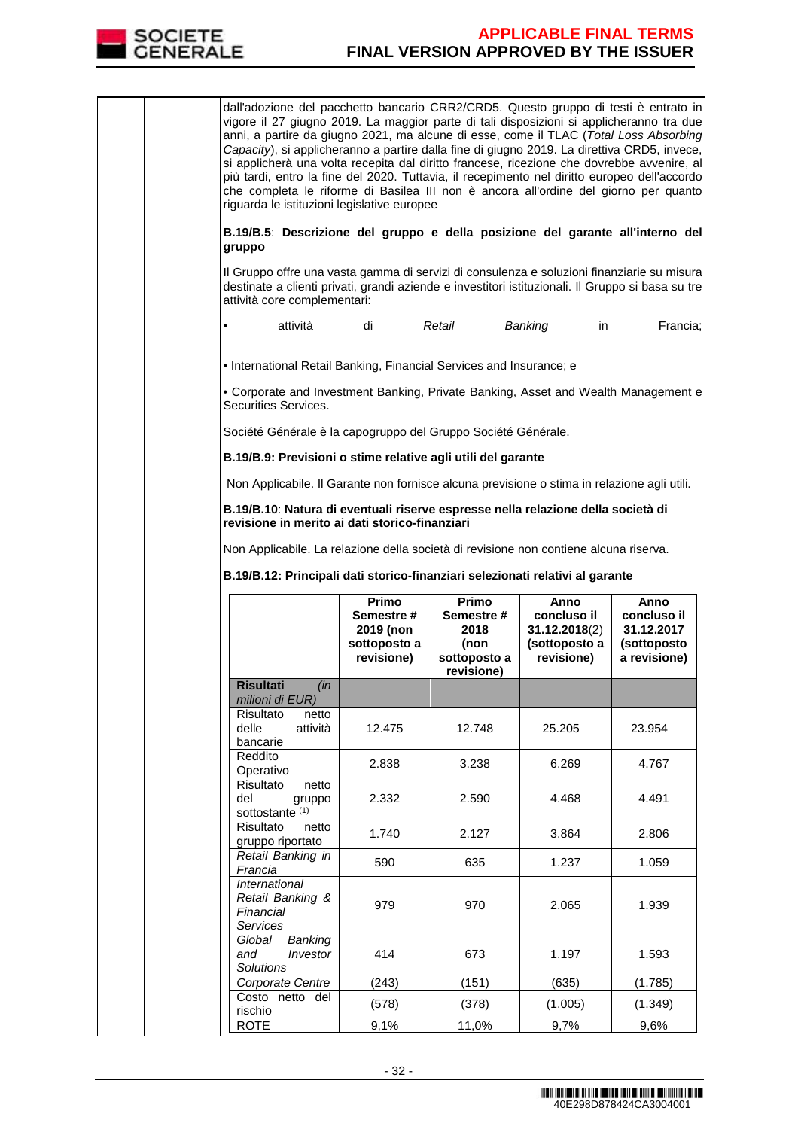

dall'adozione del pacchetto bancario CRR2/CRD5. Questo gruppo di testi è entrato in vigore il 27 giugno 2019. La maggior parte di tali disposizioni si applicheranno tra due anni, a partire da giugno 2021, ma alcune di esse, come il TLAC (Total Loss Absorbing Capacity), si applicheranno a partire dalla fine di giugno 2019. La direttiva CRD5, invece, si applicherà una volta recepita dal diritto francese, ricezione che dovrebbe avvenire, al più tardi, entro la fine del 2020. Tuttavia, il recepimento nel diritto europeo dell'accordo che completa le riforme di Basilea III non è ancora all'ordine del giorno per quanto riguarda le istituzioni legislative europee

**B.19/B.5**: **Descrizione del gruppo e della posizione del garante all'interno del gruppo**

Il Gruppo offre una vasta gamma di servizi di consulenza e soluzioni finanziarie su misura destinate a clienti privati, grandi aziende e investitori istituzionali. Il Gruppo si basa su tre attività core complementari:

• attività di Retail Banking in Francia;

• International Retail Banking, Financial Services and Insurance; e

• Corporate and Investment Banking, Private Banking, Asset and Wealth Management e Securities Services.

Société Générale è la capogruppo del Gruppo Société Générale.

**B.19/B.9: Previsioni o stime relative agli utili del garante** 

Non Applicabile. Il Garante non fornisce alcuna previsione o stima in relazione agli utili.

**B.19/B.10**: **Natura di eventuali riserve espresse nella relazione della società di revisione in merito ai dati storico-finanziari**

Non Applicabile. La relazione della società di revisione non contiene alcuna riserva.

**B.19/B.12: Principali dati storico-finanziari selezionati relativi al garante** 

|                                                                          | Primo<br>Semestre #<br>2019 (non<br>sottoposto a<br>revisione) | Primo<br>Semestre #<br>2018<br>(non<br>sottoposto a<br>revisione) | Anno<br>concluso il<br>31.12.2018(2)<br>(sottoposto a<br>revisione) | Anno<br>concluso il<br>31.12.2017<br>(sottoposto<br>a revisione) |
|--------------------------------------------------------------------------|----------------------------------------------------------------|-------------------------------------------------------------------|---------------------------------------------------------------------|------------------------------------------------------------------|
| <b>Risultati</b><br>$\sin$<br>milioni di EUR)                            |                                                                |                                                                   |                                                                     |                                                                  |
| Risultato<br>netto<br>delle<br>attività<br>bancarie                      | 12.475                                                         | 12.748                                                            | 25.205                                                              | 23.954                                                           |
| Reddito<br>Operativo                                                     | 2.838                                                          | 3.238                                                             | 6.269                                                               | 4.767                                                            |
| Risultato<br>netto<br>del<br>gruppo<br>sottostante <sup>(1)</sup>        | 2.332                                                          | 2.590                                                             | 4.468                                                               | 4.491                                                            |
| Risultato<br>netto<br>gruppo riportato                                   | 1.740                                                          | 2.127                                                             | 3.864                                                               | 2.806                                                            |
| Retail Banking in<br>Francia                                             | 590                                                            | 635                                                               | 1.237                                                               | 1.059                                                            |
| <b>International</b><br>Retail Banking &<br>Financial<br><b>Services</b> | 979                                                            | 970                                                               | 2.065                                                               | 1.939                                                            |
| Global<br>Banking<br>Investor<br>and<br>Solutions                        | 414                                                            | 673                                                               | 1.197                                                               | 1.593                                                            |
| Corporate Centre                                                         | (243)                                                          | (151)                                                             | (635)                                                               | (1.785)                                                          |
| Costo netto del<br>rischio                                               | (578)                                                          | (378)                                                             | (1.005)                                                             | (1.349)                                                          |
| <b>ROTE</b>                                                              | 9,1%                                                           | 11,0%                                                             | 9,7%                                                                | 9,6%                                                             |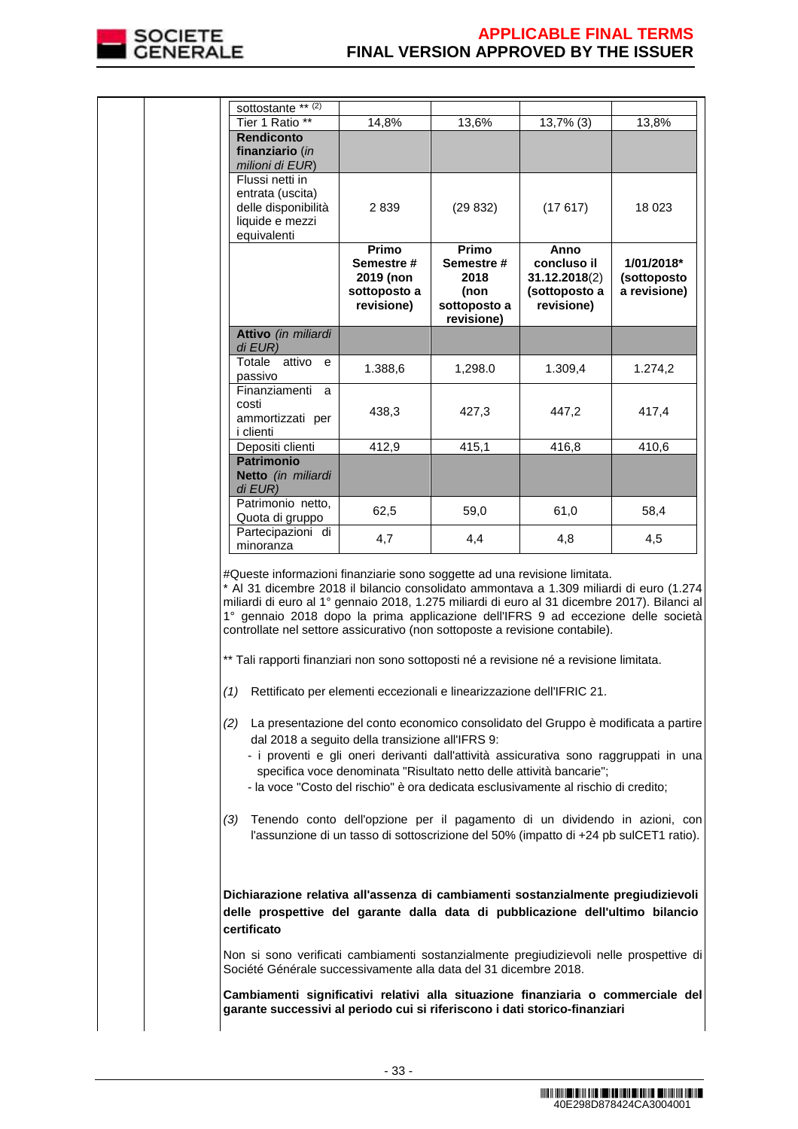

|  | sottostante ** (2)<br>Tier 1 Ratio **                                                                                                                                                                                                                                                                                                                                                                                                                                                                                                                                                                                                                                                                                                                                                                                                                                                                                                                                                                                                                                    | 14,8%                                            | 13,6%              | $13,7\%$ (3)                                                                                                                                                                                                                                | 13,8%                     |
|--|--------------------------------------------------------------------------------------------------------------------------------------------------------------------------------------------------------------------------------------------------------------------------------------------------------------------------------------------------------------------------------------------------------------------------------------------------------------------------------------------------------------------------------------------------------------------------------------------------------------------------------------------------------------------------------------------------------------------------------------------------------------------------------------------------------------------------------------------------------------------------------------------------------------------------------------------------------------------------------------------------------------------------------------------------------------------------|--------------------------------------------------|--------------------|---------------------------------------------------------------------------------------------------------------------------------------------------------------------------------------------------------------------------------------------|---------------------------|
|  | <b>Rendiconto</b>                                                                                                                                                                                                                                                                                                                                                                                                                                                                                                                                                                                                                                                                                                                                                                                                                                                                                                                                                                                                                                                        |                                                  |                    |                                                                                                                                                                                                                                             |                           |
|  | finanziario (in                                                                                                                                                                                                                                                                                                                                                                                                                                                                                                                                                                                                                                                                                                                                                                                                                                                                                                                                                                                                                                                          |                                                  |                    |                                                                                                                                                                                                                                             |                           |
|  | milioni di EUR)                                                                                                                                                                                                                                                                                                                                                                                                                                                                                                                                                                                                                                                                                                                                                                                                                                                                                                                                                                                                                                                          |                                                  |                    |                                                                                                                                                                                                                                             |                           |
|  | Flussi netti in<br>entrata (uscita)                                                                                                                                                                                                                                                                                                                                                                                                                                                                                                                                                                                                                                                                                                                                                                                                                                                                                                                                                                                                                                      |                                                  |                    |                                                                                                                                                                                                                                             |                           |
|  | delle disponibilità                                                                                                                                                                                                                                                                                                                                                                                                                                                                                                                                                                                                                                                                                                                                                                                                                                                                                                                                                                                                                                                      | 2839                                             | (29832)            | (17617)                                                                                                                                                                                                                                     | 18 0 23                   |
|  | liquide e mezzi                                                                                                                                                                                                                                                                                                                                                                                                                                                                                                                                                                                                                                                                                                                                                                                                                                                                                                                                                                                                                                                          |                                                  |                    |                                                                                                                                                                                                                                             |                           |
|  | equivalenti                                                                                                                                                                                                                                                                                                                                                                                                                                                                                                                                                                                                                                                                                                                                                                                                                                                                                                                                                                                                                                                              |                                                  |                    |                                                                                                                                                                                                                                             |                           |
|  |                                                                                                                                                                                                                                                                                                                                                                                                                                                                                                                                                                                                                                                                                                                                                                                                                                                                                                                                                                                                                                                                          | Primo                                            | Primo              | Anno                                                                                                                                                                                                                                        |                           |
|  |                                                                                                                                                                                                                                                                                                                                                                                                                                                                                                                                                                                                                                                                                                                                                                                                                                                                                                                                                                                                                                                                          | Semestre#<br>2019 (non                           | Semestre #<br>2018 | concluso il<br>31.12.2018(2)                                                                                                                                                                                                                | 1/01/2018*<br>(sottoposto |
|  |                                                                                                                                                                                                                                                                                                                                                                                                                                                                                                                                                                                                                                                                                                                                                                                                                                                                                                                                                                                                                                                                          | sottoposto a                                     | (non               | (sottoposto a                                                                                                                                                                                                                               | a revisione)              |
|  |                                                                                                                                                                                                                                                                                                                                                                                                                                                                                                                                                                                                                                                                                                                                                                                                                                                                                                                                                                                                                                                                          | revisione)                                       | sottoposto a       | revisione)                                                                                                                                                                                                                                  |                           |
|  |                                                                                                                                                                                                                                                                                                                                                                                                                                                                                                                                                                                                                                                                                                                                                                                                                                                                                                                                                                                                                                                                          |                                                  | revisione)         |                                                                                                                                                                                                                                             |                           |
|  | Attivo (in miliardi<br>$di$ EUR)                                                                                                                                                                                                                                                                                                                                                                                                                                                                                                                                                                                                                                                                                                                                                                                                                                                                                                                                                                                                                                         |                                                  |                    |                                                                                                                                                                                                                                             |                           |
|  | Totale attivo<br>e                                                                                                                                                                                                                                                                                                                                                                                                                                                                                                                                                                                                                                                                                                                                                                                                                                                                                                                                                                                                                                                       | 1.388,6                                          | 1,298.0            | 1.309,4                                                                                                                                                                                                                                     | 1.274,2                   |
|  | passivo                                                                                                                                                                                                                                                                                                                                                                                                                                                                                                                                                                                                                                                                                                                                                                                                                                                                                                                                                                                                                                                                  |                                                  |                    |                                                                                                                                                                                                                                             |                           |
|  | Finanziamenti a<br>costi                                                                                                                                                                                                                                                                                                                                                                                                                                                                                                                                                                                                                                                                                                                                                                                                                                                                                                                                                                                                                                                 |                                                  |                    |                                                                                                                                                                                                                                             |                           |
|  | ammortizzati per                                                                                                                                                                                                                                                                                                                                                                                                                                                                                                                                                                                                                                                                                                                                                                                                                                                                                                                                                                                                                                                         | 438,3                                            | 427,3              | 447,2                                                                                                                                                                                                                                       | 417,4                     |
|  | i clienti                                                                                                                                                                                                                                                                                                                                                                                                                                                                                                                                                                                                                                                                                                                                                                                                                                                                                                                                                                                                                                                                |                                                  |                    |                                                                                                                                                                                                                                             |                           |
|  | Depositi clienti                                                                                                                                                                                                                                                                                                                                                                                                                                                                                                                                                                                                                                                                                                                                                                                                                                                                                                                                                                                                                                                         | 412,9                                            | 415,1              | 416,8                                                                                                                                                                                                                                       | 410,6                     |
|  | <b>Patrimonio</b><br>Netto (in miliardi                                                                                                                                                                                                                                                                                                                                                                                                                                                                                                                                                                                                                                                                                                                                                                                                                                                                                                                                                                                                                                  |                                                  |                    |                                                                                                                                                                                                                                             |                           |
|  | di EUR)                                                                                                                                                                                                                                                                                                                                                                                                                                                                                                                                                                                                                                                                                                                                                                                                                                                                                                                                                                                                                                                                  |                                                  |                    |                                                                                                                                                                                                                                             |                           |
|  | Patrimonio netto,                                                                                                                                                                                                                                                                                                                                                                                                                                                                                                                                                                                                                                                                                                                                                                                                                                                                                                                                                                                                                                                        | 62,5                                             |                    |                                                                                                                                                                                                                                             | 58,4                      |
|  | Quota di gruppo                                                                                                                                                                                                                                                                                                                                                                                                                                                                                                                                                                                                                                                                                                                                                                                                                                                                                                                                                                                                                                                          |                                                  | 59,0               | 61,0                                                                                                                                                                                                                                        |                           |
|  | Partecipazioni di<br>minoranza                                                                                                                                                                                                                                                                                                                                                                                                                                                                                                                                                                                                                                                                                                                                                                                                                                                                                                                                                                                                                                           | 4,7                                              | 4,4                | 4,8                                                                                                                                                                                                                                         | 4,5                       |
|  | #Queste informazioni finanziarie sono soggette ad una revisione limitata.<br>* Al 31 dicembre 2018 il bilancio consolidato ammontava a 1.309 miliardi di euro (1.274<br>miliardi di euro al 1º gennaio 2018, 1.275 miliardi di euro al 31 dicembre 2017). Bilanci al<br>1° gennaio 2018 dopo la prima applicazione dell'IFRS 9 ad eccezione delle società<br>controllate nel settore assicurativo (non sottoposte a revisione contabile).<br>** Tali rapporti finanziari non sono sottoposti né a revisione né a revisione limitata.<br>(1) Rettificato per elementi eccezionali e linearizzazione dell'IFRIC 21.<br>(2) La presentazione del conto economico consolidato del Gruppo è modificata a partire<br>- i proventi e gli oneri derivanti dall'attività assicurativa sono raggruppati in una<br>- la voce "Costo del rischio" è ora dedicata esclusivamente al rischio di credito;<br>(3)<br>Dichiarazione relativa all'assenza di cambiamenti sostanzialmente pregiudizievoli<br>delle prospettive del garante dalla data di pubblicazione dell'ultimo bilancio | dal 2018 a seguito della transizione all'IFRS 9: |                    | specifica voce denominata "Risultato netto delle attività bancarie";<br>Tenendo conto dell'opzione per il pagamento di un dividendo in azioni, con<br>l'assunzione di un tasso di sottoscrizione del 50% (impatto di +24 pb sulCET1 ratio). |                           |
|  | certificato<br>Non si sono verificati cambiamenti sostanzialmente pregiudizievoli nelle prospettive di<br>Société Générale successivamente alla data del 31 dicembre 2018.                                                                                                                                                                                                                                                                                                                                                                                                                                                                                                                                                                                                                                                                                                                                                                                                                                                                                               |                                                  |                    |                                                                                                                                                                                                                                             |                           |
|  | Cambiamenti significativi relativi alla situazione finanziaria o commerciale del<br>garante successivi al periodo cui si riferiscono i dati storico-finanziari                                                                                                                                                                                                                                                                                                                                                                                                                                                                                                                                                                                                                                                                                                                                                                                                                                                                                                           |                                                  |                    |                                                                                                                                                                                                                                             |                           |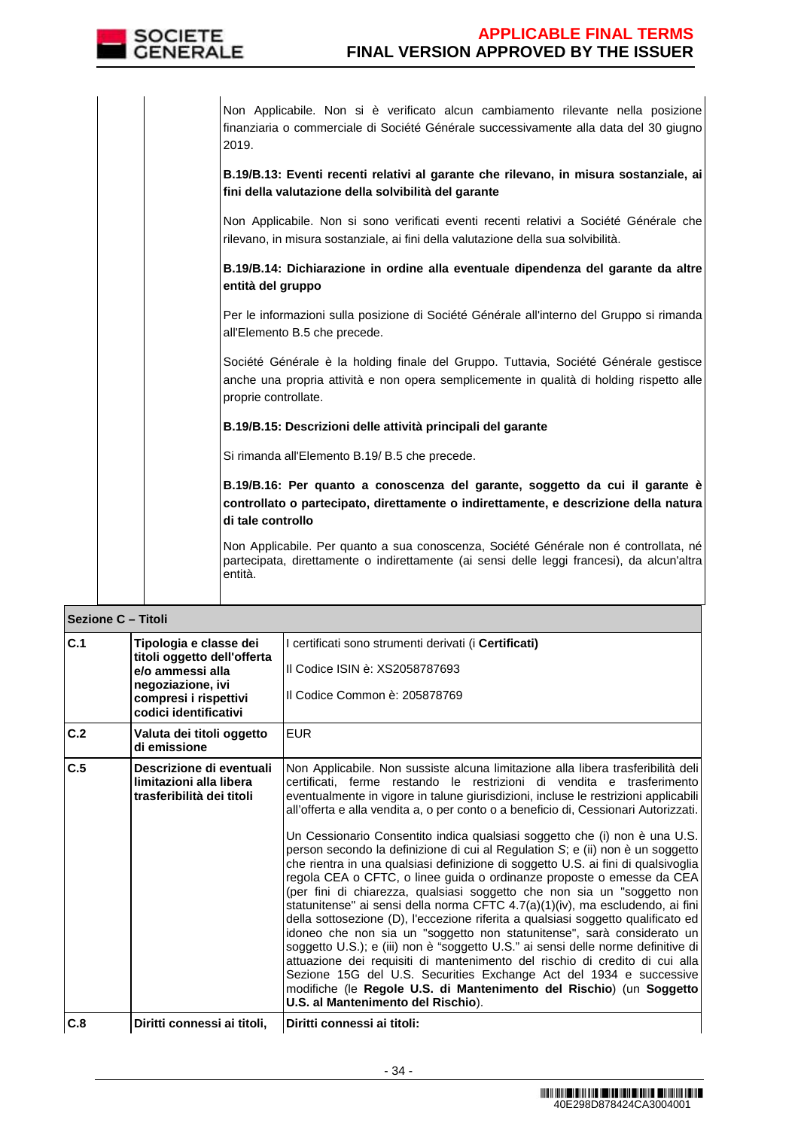

Non Applicabile. Non si è verificato alcun cambiamento rilevante nella posizione finanziaria o commerciale di Société Générale successivamente alla data del 30 giugno 2019.

**B.19/B.13: Eventi recenti relativi al garante che rilevano, in misura sostanziale, ai fini della valutazione della solvibilità del garante**

Non Applicabile. Non si sono verificati eventi recenti relativi a Société Générale che rilevano, in misura sostanziale, ai fini della valutazione della sua solvibilità.

**B.19/B.14: Dichiarazione in ordine alla eventuale dipendenza del garante da altre entità del gruppo**

Per le informazioni sulla posizione di Société Générale all'interno del Gruppo si rimanda all'Elemento B.5 che precede.

Société Générale è la holding finale del Gruppo. Tuttavia, Société Générale gestisce anche una propria attività e non opera semplicemente in qualità di holding rispetto alle proprie controllate.

## **B.19/B.15: Descrizioni delle attività principali del garante**

Si rimanda all'Elemento B.19/ B.5 che precede.

**B.19/B.16: Per quanto a conoscenza del garante, soggetto da cui il garante è controllato o partecipato, direttamente o indirettamente, e descrizione della natura di tale controllo**

Non Applicabile. Per quanto a sua conoscenza, Société Générale non é controllata, né partecipata, direttamente o indirettamente (ai sensi delle leggi francesi), da alcun'altra entità.

| <b>Sezione C - Titoli</b> |                                                                                                                                                  |                                                                                                                                                                                                                                                                                                                                                                                                                                                                                                                                                                                                                                                                                                                                                                                                                                                                                                                                                                                                                                                                                                                                                                                                                                                                                                                                                       |
|---------------------------|--------------------------------------------------------------------------------------------------------------------------------------------------|-------------------------------------------------------------------------------------------------------------------------------------------------------------------------------------------------------------------------------------------------------------------------------------------------------------------------------------------------------------------------------------------------------------------------------------------------------------------------------------------------------------------------------------------------------------------------------------------------------------------------------------------------------------------------------------------------------------------------------------------------------------------------------------------------------------------------------------------------------------------------------------------------------------------------------------------------------------------------------------------------------------------------------------------------------------------------------------------------------------------------------------------------------------------------------------------------------------------------------------------------------------------------------------------------------------------------------------------------------|
| C.1                       | Tipologia e classe dei<br>titoli oggetto dell'offerta<br>e/o ammessi alla<br>negoziazione, ivi<br>compresi i rispettivi<br>codici identificativi | I certificati sono strumenti derivati (i <b>Certificati)</b><br>Il Codice ISIN è: XS2058787693<br>Il Codice Common è: 205878769                                                                                                                                                                                                                                                                                                                                                                                                                                                                                                                                                                                                                                                                                                                                                                                                                                                                                                                                                                                                                                                                                                                                                                                                                       |
| C.2                       | Valuta dei titoli oggetto<br>di emissione                                                                                                        | <b>EUR</b>                                                                                                                                                                                                                                                                                                                                                                                                                                                                                                                                                                                                                                                                                                                                                                                                                                                                                                                                                                                                                                                                                                                                                                                                                                                                                                                                            |
| C.5                       | Descrizione di eventuali<br>limitazioni alla libera<br>trasferibilità dei titoli                                                                 | Non Applicabile. Non sussiste alcuna limitazione alla libera trasferibilità dell<br>certificati, ferme restando le restrizioni di vendita e trasferimento<br>eventualmente in vigore in talune giurisdizioni, incluse le restrizioni applicabili<br>all'offerta e alla vendita a, o per conto o a beneficio di, Cessionari Autorizzati.<br>Un Cessionario Consentito indica qualsiasi soggetto che (i) non è una U.S.<br>person secondo la definizione di cui al Regulation S; e (ii) non è un soggetto<br>che rientra in una qualsiasi definizione di soggetto U.S. ai fini di qualsivoglia<br>regola CEA o CFTC, o linee guida o ordinanze proposte o emesse da CEA<br>(per fini di chiarezza, qualsiasi soggetto che non sia un "soggetto non<br>statunitense" ai sensi della norma CFTC 4.7(a)(1)(iv), ma escludendo, ai fini<br>della sottosezione (D), l'eccezione riferita a qualsiasi soggetto qualificato ed<br>idoneo che non sia un "soggetto non statunitense", sarà considerato un<br>soggetto U.S.); e (iii) non è "soggetto U.S." ai sensi delle norme definitive di<br>attuazione dei requisiti di mantenimento del rischio di credito di cui alla<br>Sezione 15G del U.S. Securities Exchange Act del 1934 e successive<br>modifiche (le Regole U.S. di Mantenimento del Rischio) (un Soggetto<br>U.S. al Mantenimento del Rischio). |
| C.8                       | Diritti connessi ai titoli.                                                                                                                      | Diritti connessi ai titoli:                                                                                                                                                                                                                                                                                                                                                                                                                                                                                                                                                                                                                                                                                                                                                                                                                                                                                                                                                                                                                                                                                                                                                                                                                                                                                                                           |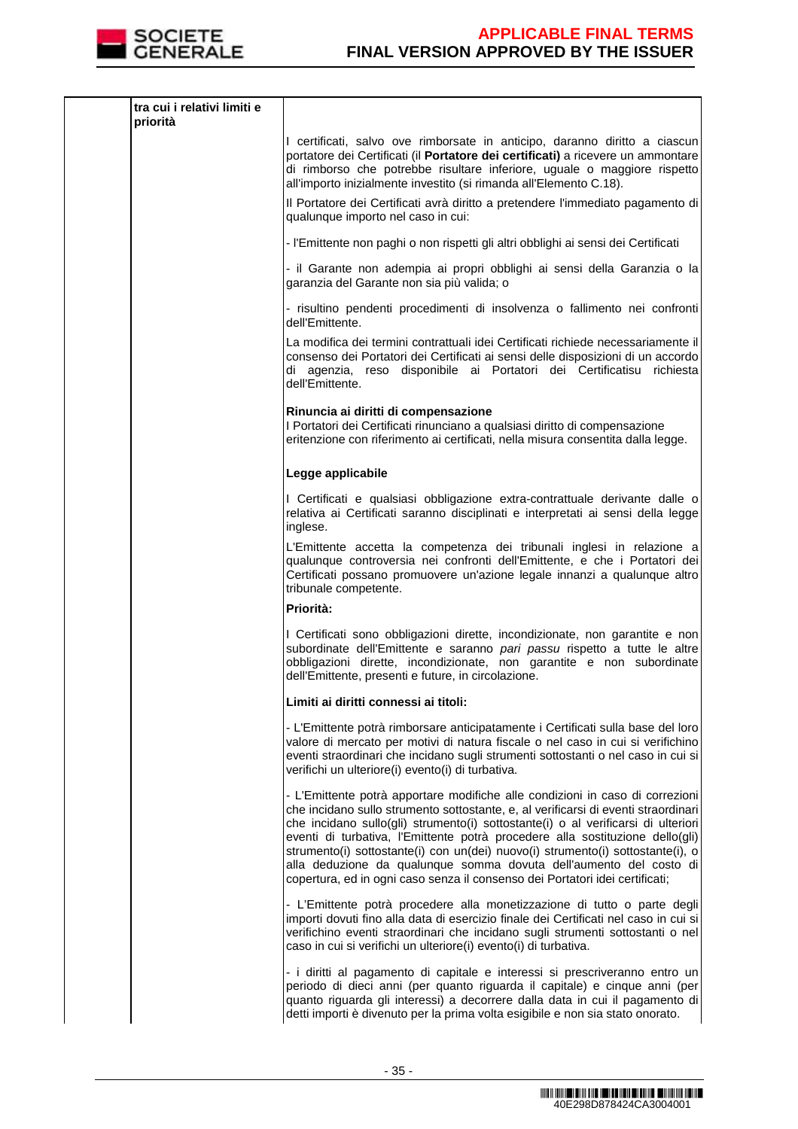

| tra cui i relativi limiti e<br>priorità |                                                                                                                                                                                                                                                                                                                                                                                                                                                                                                                                                                                    |
|-----------------------------------------|------------------------------------------------------------------------------------------------------------------------------------------------------------------------------------------------------------------------------------------------------------------------------------------------------------------------------------------------------------------------------------------------------------------------------------------------------------------------------------------------------------------------------------------------------------------------------------|
|                                         | I certificati, salvo ove rimborsate in anticipo, daranno diritto a ciascun<br>portatore dei Certificati (il Portatore dei certificati) a ricevere un ammontare<br>di rimborso che potrebbe risultare inferiore, uguale o maggiore rispetto<br>all'importo inizialmente investito (si rimanda all'Elemento C.18).                                                                                                                                                                                                                                                                   |
|                                         | Il Portatore dei Certificati avrà diritto a pretendere l'immediato pagamento di<br>qualunque importo nel caso in cui:                                                                                                                                                                                                                                                                                                                                                                                                                                                              |
|                                         | - l'Emittente non paghi o non rispetti gli altri obblighi ai sensi dei Certificati                                                                                                                                                                                                                                                                                                                                                                                                                                                                                                 |
|                                         | - il Garante non adempia ai propri obblighi ai sensi della Garanzia o la<br>garanzia del Garante non sia più valida; o                                                                                                                                                                                                                                                                                                                                                                                                                                                             |
|                                         | - risultino pendenti procedimenti di insolvenza o fallimento nei confronti<br>dell'Emittente.                                                                                                                                                                                                                                                                                                                                                                                                                                                                                      |
|                                         | La modifica dei termini contrattuali idei Certificati richiede necessariamente il<br>consenso dei Portatori dei Certificati ai sensi delle disposizioni di un accordo<br>di agenzia, reso disponibile ai Portatori dei Certificatisu richiesta<br>dell'Emittente.                                                                                                                                                                                                                                                                                                                  |
|                                         | Rinuncia ai diritti di compensazione<br>I Portatori dei Certificati rinunciano a qualsiasi diritto di compensazione<br>eritenzione con riferimento ai certificati, nella misura consentita dalla legge.                                                                                                                                                                                                                                                                                                                                                                            |
|                                         | Legge applicabile                                                                                                                                                                                                                                                                                                                                                                                                                                                                                                                                                                  |
|                                         | I Certificati e qualsiasi obbligazione extra-contrattuale derivante dalle o<br>relativa ai Certificati saranno disciplinati e interpretati ai sensi della legge<br>inglese.                                                                                                                                                                                                                                                                                                                                                                                                        |
|                                         | L'Emittente accetta la competenza dei tribunali inglesi in relazione a<br>qualunque controversia nei confronti dell'Emittente, e che i Portatori dei<br>Certificati possano promuovere un'azione legale innanzi a qualunque altro<br>tribunale competente.                                                                                                                                                                                                                                                                                                                         |
|                                         | Priorità:                                                                                                                                                                                                                                                                                                                                                                                                                                                                                                                                                                          |
|                                         | I Certificati sono obbligazioni dirette, incondizionate, non garantite e non<br>subordinate dell'Emittente e saranno pari passu rispetto a tutte le altre<br>obbligazioni dirette, incondizionate, non garantite e non subordinate<br>dell'Emittente, presenti e future, in circolazione.                                                                                                                                                                                                                                                                                          |
|                                         | Limiti ai diritti connessi ai titoli:                                                                                                                                                                                                                                                                                                                                                                                                                                                                                                                                              |
|                                         | - L'Emittente potrà rimborsare anticipatamente i Certificati sulla base del loro<br>valore di mercato per motivi di natura fiscale o nel caso in cui si verifichino<br>eventi straordinari che incidano sugli strumenti sottostanti o nel caso in cui si<br>verifichi un ulteriore(i) evento(i) di turbativa.                                                                                                                                                                                                                                                                      |
|                                         | - L'Emittente potrà apportare modifiche alle condizioni in caso di correzioni<br>che incidano sullo strumento sottostante, e, al verificarsi di eventi straordinari<br>che incidano sullo(gli) strumento(i) sottostante(i) o al verificarsi di ulteriori<br>eventi di turbativa, l'Emittente potrà procedere alla sostituzione dello(gli)<br>strumento(i) sottostante(i) con un(dei) nuovo(i) strumento(i) sottostante(i), o<br>alla deduzione da qualunque somma dovuta dell'aumento del costo di<br>copertura, ed in ogni caso senza il consenso dei Portatori idei certificati; |
|                                         | - L'Emittente potrà procedere alla monetizzazione di tutto o parte degli<br>importi dovuti fino alla data di esercizio finale dei Certificati nel caso in cui si<br>verifichino eventi straordinari che incidano sugli strumenti sottostanti o nel<br>caso in cui si verifichi un ulteriore(i) evento(i) di turbativa.                                                                                                                                                                                                                                                             |
|                                         | - i diritti al pagamento di capitale e interessi si prescriveranno entro un<br>periodo di dieci anni (per quanto riguarda il capitale) e cinque anni (per<br>quanto riguarda gli interessi) a decorrere dalla data in cui il pagamento di<br>detti importi è divenuto per la prima volta esigibile e non sia stato onorato.                                                                                                                                                                                                                                                        |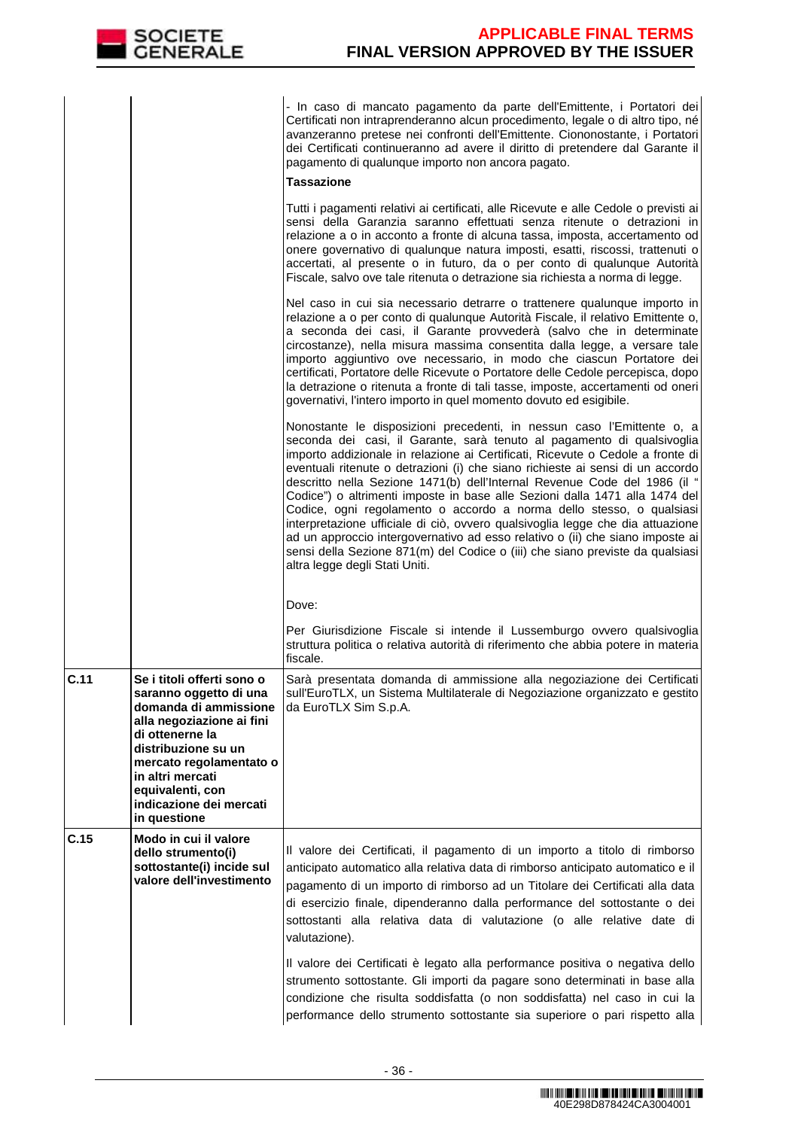

 - In caso di mancato pagamento da parte dell'Emittente, i Portatori dei Certificati non intraprenderanno alcun procedimento, legale o di altro tipo, né avanzeranno pretese nei confronti dell'Emittente. Ciononostante, i Portatori dei Certificati continueranno ad avere il diritto di pretendere dal Garante il pagamento di qualunque importo non ancora pagato.

### **Tassazione**

Tutti i pagamenti relativi ai certificati, alle Ricevute e alle Cedole o previsti ai sensi della Garanzia saranno effettuati senza ritenute o detrazioni in relazione a o in acconto a fronte di alcuna tassa, imposta, accertamento od onere governativo di qualunque natura imposti, esatti, riscossi, trattenuti o accertati, al presente o in futuro, da o per conto di qualunque Autorità Fiscale, salvo ove tale ritenuta o detrazione sia richiesta a norma di legge.

Nel caso in cui sia necessario detrarre o trattenere qualunque importo in relazione a o per conto di qualunque Autorità Fiscale, il relativo Emittente o, a seconda dei casi, il Garante provvederà (salvo che in determinate circostanze), nella misura massima consentita dalla legge, a versare tale importo aggiuntivo ove necessario, in modo che ciascun Portatore dei certificati, Portatore delle Ricevute o Portatore delle Cedole percepisca, dopo la detrazione o ritenuta a fronte di tali tasse, imposte, accertamenti od oneri governativi, l'intero importo in quel momento dovuto ed esigibile.

Nonostante le disposizioni precedenti, in nessun caso l'Emittente o, a seconda dei casi, il Garante, sarà tenuto al pagamento di qualsivoglia importo addizionale in relazione ai Certificati, Ricevute o Cedole a fronte di eventuali ritenute o detrazioni (i) che siano richieste ai sensi di un accordo descritto nella Sezione 1471(b) dell'Internal Revenue Code del 1986 (il " Codice") o altrimenti imposte in base alle Sezioni dalla 1471 alla 1474 del Codice, ogni regolamento o accordo a norma dello stesso, o qualsiasi interpretazione ufficiale di ciò, ovvero qualsivoglia legge che dia attuazione ad un approccio intergovernativo ad esso relativo o (ii) che siano imposte ai sensi della Sezione 871(m) del Codice o (iii) che siano previste da qualsiasi altra legge degli Stati Uniti.

Dove:

Per Giurisdizione Fiscale si intende il Lussemburgo ovvero qualsivoglia struttura politica o relativa autorità di riferimento che abbia potere in materia fiscale.

| C.11 | Se i titoli offerti sono o<br>saranno oggetto di una<br>domanda di ammissione<br>alla negoziazione ai fini<br>di ottenerne la<br>distribuzione su un<br>mercato regolamentato o<br>in altri mercati<br>equivalenti, con<br>indicazione dei mercati<br>in questione | Sarà presentata domanda di ammissione alla negoziazione dei Certificati<br>sull'EuroTLX, un Sistema Multilaterale di Negoziazione organizzato e gestito<br>da EuroTLX Sim S.p.A.                                                                                                                                                                                                                                                                                                                                                                                                                                                                                                                                                                |
|------|--------------------------------------------------------------------------------------------------------------------------------------------------------------------------------------------------------------------------------------------------------------------|-------------------------------------------------------------------------------------------------------------------------------------------------------------------------------------------------------------------------------------------------------------------------------------------------------------------------------------------------------------------------------------------------------------------------------------------------------------------------------------------------------------------------------------------------------------------------------------------------------------------------------------------------------------------------------------------------------------------------------------------------|
| C.15 | Modo in cui il valore<br>dello strumento(i)<br>sottostante(i) incide sul<br>valore dell'investimento                                                                                                                                                               | Il valore dei Certificati, il pagamento di un importo a titolo di rimborso<br>anticipato automatico alla relativa data di rimborso anticipato automatico e il<br>pagamento di un importo di rimborso ad un Titolare dei Certificati alla data<br>di esercizio finale, dipenderanno dalla performance del sottostante o dei<br>sottostanti alla relativa data di valutazione (o alle relative date di<br>valutazione).<br>Il valore dei Certificati è legato alla performance positiva o negativa dello<br>strumento sottostante. Gli importi da pagare sono determinati in base alla<br>condizione che risulta soddisfatta (o non soddisfatta) nel caso in cui la<br>performance dello strumento sottostante sia superiore o pari rispetto alla |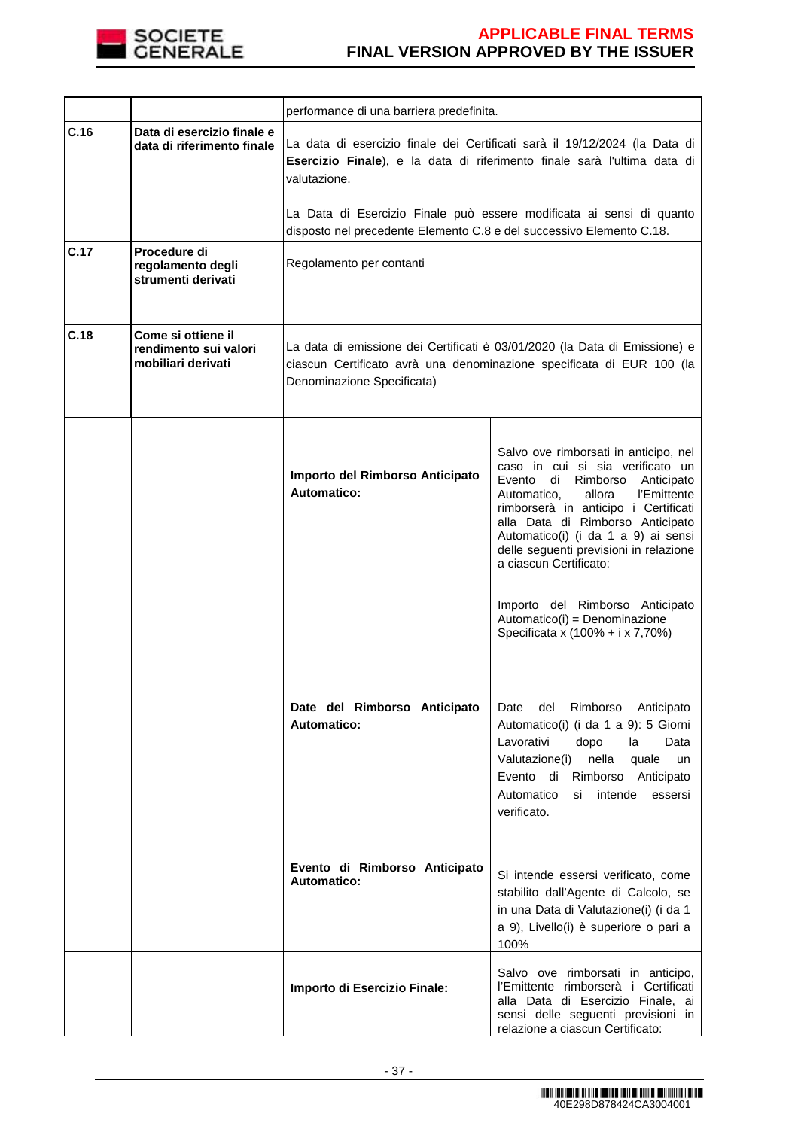

|      |                                                                   | performance di una barriera predefinita.                             |                                                                                                                                                                                                                                                                                                                                                 |
|------|-------------------------------------------------------------------|----------------------------------------------------------------------|-------------------------------------------------------------------------------------------------------------------------------------------------------------------------------------------------------------------------------------------------------------------------------------------------------------------------------------------------|
| C.16 | Data di esercizio finale e<br>data di riferimento finale          | valutazione.                                                         | La data di esercizio finale dei Certificati sarà il 19/12/2024 (la Data di<br>Esercizio Finale), e la data di riferimento finale sarà l'ultima data di                                                                                                                                                                                          |
|      |                                                                   | disposto nel precedente Elemento C.8 e del successivo Elemento C.18. | La Data di Esercizio Finale può essere modificata ai sensi di quanto                                                                                                                                                                                                                                                                            |
| C.17 | Procedure di<br>regolamento degli<br>strumenti derivati           | Regolamento per contanti                                             |                                                                                                                                                                                                                                                                                                                                                 |
| C.18 | Come si ottiene il<br>rendimento sui valori<br>mobiliari derivati | Denominazione Specificata)                                           | La data di emissione dei Certificati è 03/01/2020 (la Data di Emissione) e<br>ciascun Certificato avrà una denominazione specificata di EUR 100 (la                                                                                                                                                                                             |
|      |                                                                   | Importo del Rimborso Anticipato<br>Automatico:                       | Salvo ove rimborsati in anticipo, nel<br>caso in cui si sia verificato un<br>Rimborso<br>Evento di<br>Anticipato<br>allora<br>l'Emittente<br>Automatico,<br>rimborserà in anticipo i Certificati<br>alla Data di Rimborso Anticipato<br>Automatico(i) (i da 1 a 9) ai sensi<br>delle seguenti previsioni in relazione<br>a ciascun Certificato: |
|      |                                                                   | Date del Rimborso Anticipato<br><b>Automatico:</b>                   | Importo del Rimborso Anticipato<br>Automatico(i) = Denominazione<br>Specificata x (100% + i x 7,70%)<br>Rimborso<br>Date<br>del<br>Anticipato<br>Automatico(i) (i da 1 a 9): 5 Giorni<br>Lavorativi<br>dopo<br>la<br>Data<br>nella<br>Valutazione(i)<br>quale<br>un                                                                             |
|      |                                                                   | Evento di Rimborso Anticipato<br><b>Automatico:</b>                  | Evento<br>di<br>Rimborso Anticipato<br>Automatico<br>intende<br>si<br>essersi<br>verificato.<br>Si intende essersi verificato, come<br>stabilito dall'Agente di Calcolo, se                                                                                                                                                                     |
|      |                                                                   |                                                                      | in una Data di Valutazione(i) (i da 1<br>a 9), Livello(i) è superiore o pari a<br>100%                                                                                                                                                                                                                                                          |
|      |                                                                   | Importo di Esercizio Finale:                                         | Salvo ove rimborsati in anticipo,<br>l'Emittente rimborserà i Certificati<br>alla Data di Esercizio Finale, ai<br>sensi delle seguenti previsioni in<br>relazione a ciascun Certificato:                                                                                                                                                        |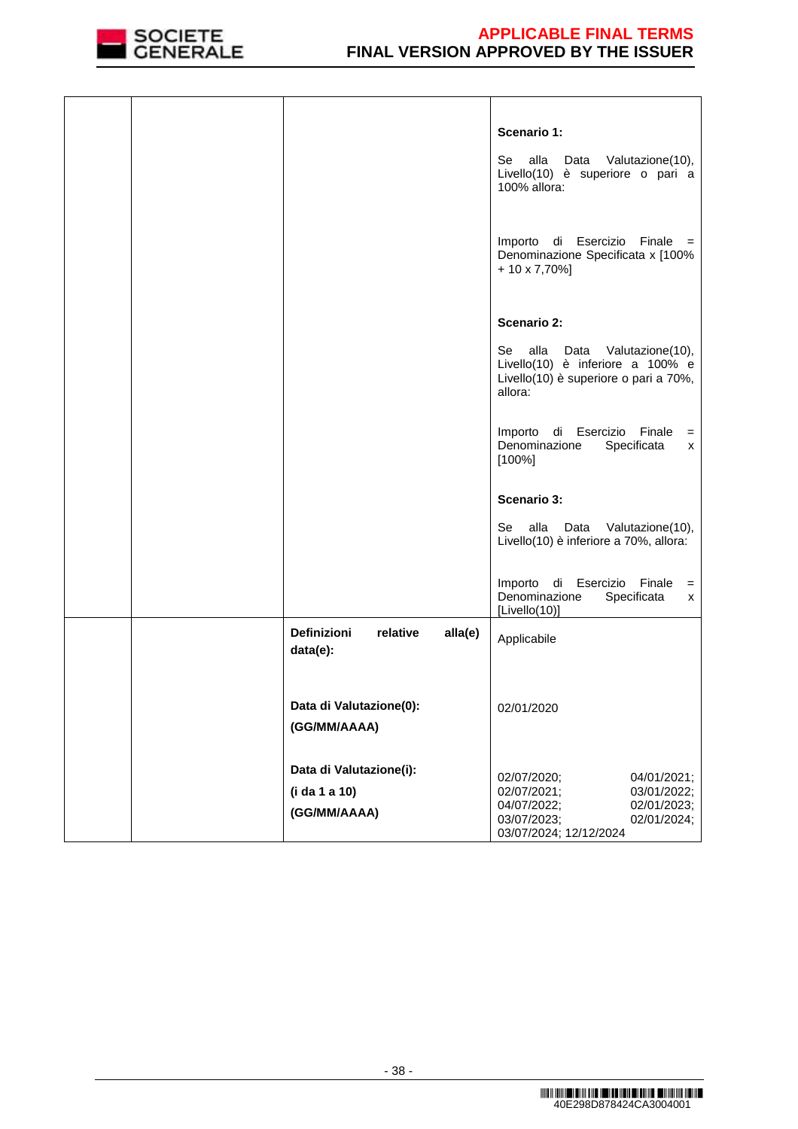

|  |                                                       | Scenario 1:<br>alla<br>Se<br>Data<br>Valutazione(10),<br>Livello(10) è superiore o pari a<br>100% allora:<br>Importo di Esercizio Finale<br>$=$ |
|--|-------------------------------------------------------|-------------------------------------------------------------------------------------------------------------------------------------------------|
|  |                                                       | Denominazione Specificata x [100%<br>$+10 \times 7,70\%$ ]<br><b>Scenario 2:</b>                                                                |
|  |                                                       |                                                                                                                                                 |
|  |                                                       | alla<br>Se<br>Data<br>Valutazione(10),<br>Livello(10) è inferiore a 100% e<br>Livello(10) è superiore o pari a 70%,<br>allora:                  |
|  |                                                       | Importo di Esercizio Finale<br>$=$<br>Denominazione<br>Specificata<br>x<br>$[100\%]$                                                            |
|  |                                                       | Scenario 3:                                                                                                                                     |
|  |                                                       |                                                                                                                                                 |
|  |                                                       | alla<br>Se<br>Data<br>Valutazione(10),<br>Livello(10) è inferiore a 70%, allora:                                                                |
|  |                                                       | Importo di Esercizio Finale<br>$=$<br>Denominazione<br>Specificata<br>x<br>[Livello(10)]                                                        |
|  | <b>Definizioni</b><br>relative<br>alla(e)<br>data(e): | Applicabile                                                                                                                                     |
|  | Data di Valutazione(0):<br>(GG/MM/AAAA)               | 02/01/2020                                                                                                                                      |
|  | Data di Valutazione(i):                               |                                                                                                                                                 |
|  |                                                       | 02/07/2020;<br>04/01/2021;                                                                                                                      |
|  | (i da 1 a 10)                                         | 02/07/2021;<br>03/01/2022;<br>04/07/2022;<br>02/01/2023;                                                                                        |
|  | (GG/MM/AAAA)                                          | 03/07/2023;<br>02/01/2024;<br>03/07/2024; 12/12/2024                                                                                            |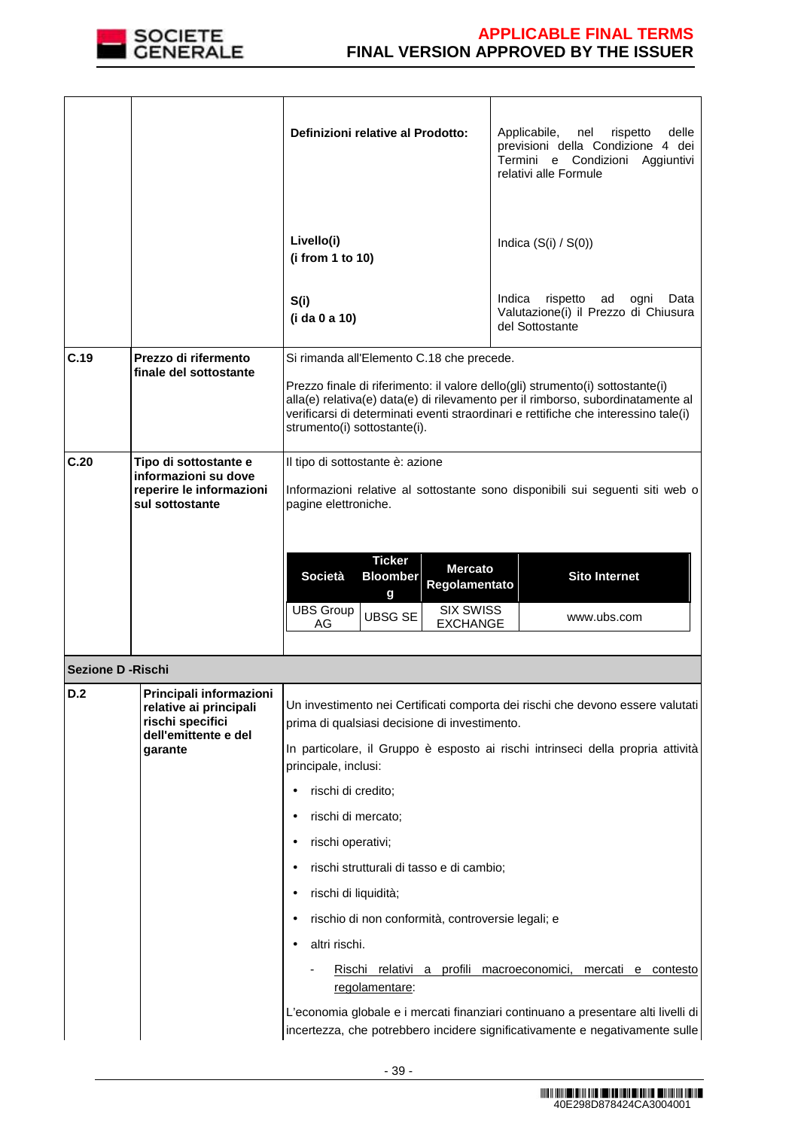

|                          |                                                                                                          | Definizioni relative al Prodotto:<br>Livello(i)<br>(i from 1 to 10)                                                                                                                                                                                                                                                                                  | Applicabile,<br>nel<br>rispetto<br>delle<br>previsioni della Condizione 4 dei<br>Termini e Condizioni<br>Aggiuntivi<br>relativi alle Formule<br>Indica $(S(i) / S(0))$                                                                                                                                                                                       |
|--------------------------|----------------------------------------------------------------------------------------------------------|------------------------------------------------------------------------------------------------------------------------------------------------------------------------------------------------------------------------------------------------------------------------------------------------------------------------------------------------------|--------------------------------------------------------------------------------------------------------------------------------------------------------------------------------------------------------------------------------------------------------------------------------------------------------------------------------------------------------------|
|                          |                                                                                                          | S(i)<br>(i da 0 a 10)                                                                                                                                                                                                                                                                                                                                | Indica<br>rispetto<br>ad<br>ogni<br>Data<br>Valutazione(i) il Prezzo di Chiusura<br>del Sottostante                                                                                                                                                                                                                                                          |
| C.19                     | Prezzo di rifermento<br>finale del sottostante                                                           | Si rimanda all'Elemento C.18 che precede.<br>Prezzo finale di riferimento: il valore dello(gli) strumento(i) sottostante(i)<br>alla(e) relativa(e) data(e) di rilevamento per il rimborso, subordinatamente al<br>verificarsi di determinati eventi straordinari e rettifiche che interessino tale(i)<br>strumento(i) sottostante(i).                |                                                                                                                                                                                                                                                                                                                                                              |
| C.20                     | Tipo di sottostante e<br>informazioni su dove<br>reperire le informazioni<br>sul sottostante             | Il tipo di sottostante è: azione<br>pagine elettroniche.<br><b>Ticker</b><br><b>Mercato</b><br><b>Società</b><br><b>Bloomber</b><br>Regolamentato<br>g<br><b>UBS Group</b><br><b>SIX SWISS</b><br><b>UBSG SE</b><br><b>EXCHANGE</b><br>AG                                                                                                            | Informazioni relative al sottostante sono disponibili sui seguenti siti web o<br><b>Sito Internet</b><br>www.ubs.com                                                                                                                                                                                                                                         |
| <b>Sezione D -Rischi</b> |                                                                                                          |                                                                                                                                                                                                                                                                                                                                                      |                                                                                                                                                                                                                                                                                                                                                              |
| D.2                      | Principali informazioni<br>relative ai principali<br>rischi specifici<br>dell'emittente e del<br>garante | prima di qualsiasi decisione di investimento.<br>principale, inclusi:<br>rischi di credito;<br>rischi di mercato;<br>rischi operativi;<br>rischi strutturali di tasso e di cambio;<br>rischi di liquidità;<br>٠<br>rischio di non conformità, controversie legali; e<br>altri rischi.<br>Rischi relativi a profili macroeconomici,<br>regolamentare: | Un investimento nei Certificati comporta dei rischi che devono essere valutati<br>In particolare, il Gruppo è esposto ai rischi intrinseci della propria attività<br>mercati e contesto<br>L'economia globale e i mercati finanziari continuano a presentare alti livelli di<br>incertezza, che potrebbero incidere significativamente e negativamente sulle |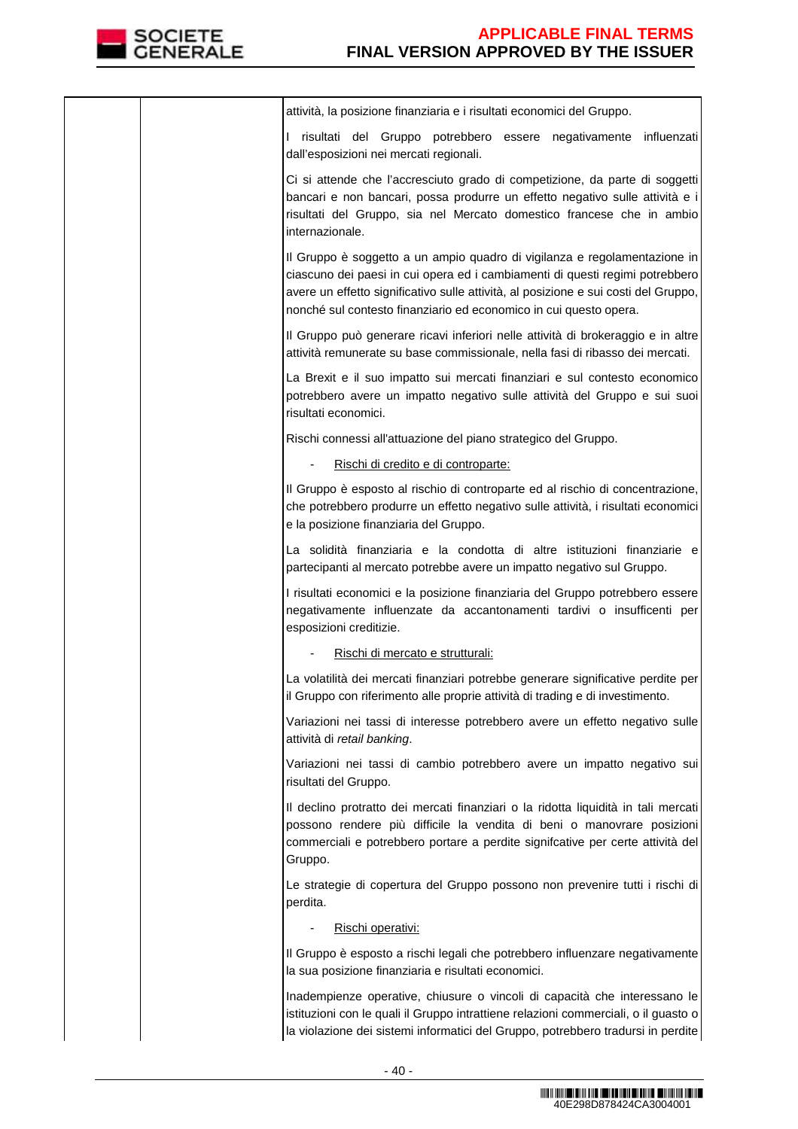

|  | attività, la posizione finanziaria e i risultati economici del Gruppo.                                                                                                                                                                                                                                                |
|--|-----------------------------------------------------------------------------------------------------------------------------------------------------------------------------------------------------------------------------------------------------------------------------------------------------------------------|
|  | I risultati del Gruppo potrebbero essere negativamente<br>influenzati<br>dall'esposizioni nei mercati regionali.                                                                                                                                                                                                      |
|  | Ci si attende che l'accresciuto grado di competizione, da parte di soggetti<br>bancari e non bancari, possa produrre un effetto negativo sulle attività e i<br>risultati del Gruppo, sia nel Mercato domestico francese che in ambio<br>internazionale.                                                               |
|  | Il Gruppo è soggetto a un ampio quadro di vigilanza e regolamentazione in<br>ciascuno dei paesi in cui opera ed i cambiamenti di questi regimi potrebbero<br>avere un effetto significativo sulle attività, al posizione e sui costi del Gruppo,<br>nonché sul contesto finanziario ed economico in cui questo opera. |
|  | Il Gruppo può generare ricavi inferiori nelle attività di brokeraggio e in altre<br>attività remunerate su base commissionale, nella fasi di ribasso dei mercati.                                                                                                                                                     |
|  | La Brexit e il suo impatto sui mercati finanziari e sul contesto economico<br>potrebbero avere un impatto negativo sulle attività del Gruppo e sui suoi<br>risultati economici.                                                                                                                                       |
|  | Rischi connessi all'attuazione del piano strategico del Gruppo.                                                                                                                                                                                                                                                       |
|  | Rischi di credito e di controparte:                                                                                                                                                                                                                                                                                   |
|  | Il Gruppo è esposto al rischio di controparte ed al rischio di concentrazione,<br>che potrebbero produrre un effetto negativo sulle attività, i risultati economici<br>e la posizione finanziaria del Gruppo.                                                                                                         |
|  | La solidità finanziaria e la condotta di altre istituzioni finanziarie e<br>partecipanti al mercato potrebbe avere un impatto negativo sul Gruppo.                                                                                                                                                                    |
|  | I risultati economici e la posizione finanziaria del Gruppo potrebbero essere<br>negativamente influenzate da accantonamenti tardivi o insufficenti per<br>esposizioni creditizie.                                                                                                                                    |
|  | Rischi di mercato e strutturali:                                                                                                                                                                                                                                                                                      |
|  | La volatilità dei mercati finanziari potrebbe generare significative perdite per<br>il Gruppo con riferimento alle proprie attività di trading e di investimento.                                                                                                                                                     |
|  | Variazioni nei tassi di interesse potrebbero avere un effetto negativo sulle<br>attività di retail banking.                                                                                                                                                                                                           |
|  | Variazioni nei tassi di cambio potrebbero avere un impatto negativo sui<br>risultati del Gruppo.                                                                                                                                                                                                                      |
|  | Il declino protratto dei mercati finanziari o la ridotta liquidità in tali mercati<br>possono rendere più difficile la vendita di beni o manovrare posizioni<br>commerciali e potrebbero portare a perdite signifcative per certe attività del<br>Gruppo.                                                             |
|  | Le strategie di copertura del Gruppo possono non prevenire tutti i rischi di<br>perdita.                                                                                                                                                                                                                              |
|  | Rischi operativi:                                                                                                                                                                                                                                                                                                     |
|  | Il Gruppo è esposto a rischi legali che potrebbero influenzare negativamente<br>la sua posizione finanziaria e risultati economici.                                                                                                                                                                                   |
|  | Inadempienze operative, chiusure o vincoli di capacità che interessano le<br>istituzioni con le quali il Gruppo intrattiene relazioni commerciali, o il guasto o<br>la violazione dei sistemi informatici del Gruppo, potrebbero tradursi in perdite                                                                  |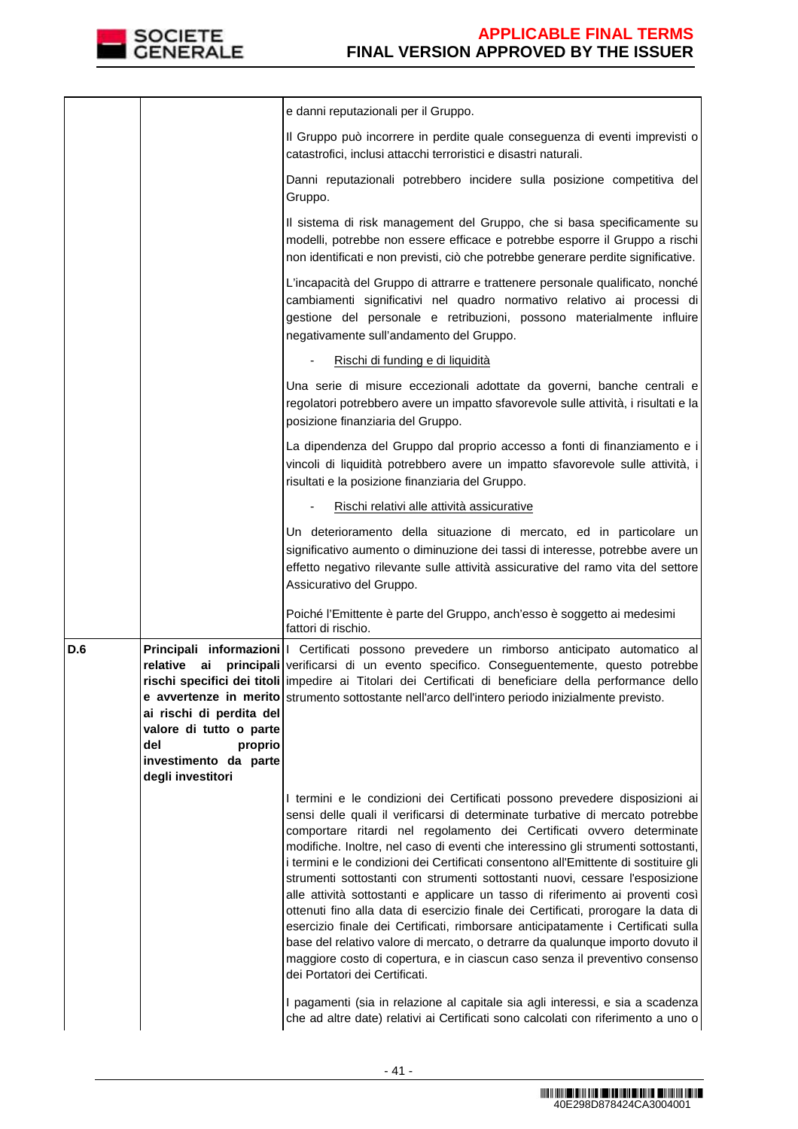

|     |                                                                                                                                       | e danni reputazionali per il Gruppo.                                                                                                                                                                                                                                                                                                                                                                                                                                                                                                                                                                                                                                                                                                                                                                                                                                                                                                                             |
|-----|---------------------------------------------------------------------------------------------------------------------------------------|------------------------------------------------------------------------------------------------------------------------------------------------------------------------------------------------------------------------------------------------------------------------------------------------------------------------------------------------------------------------------------------------------------------------------------------------------------------------------------------------------------------------------------------------------------------------------------------------------------------------------------------------------------------------------------------------------------------------------------------------------------------------------------------------------------------------------------------------------------------------------------------------------------------------------------------------------------------|
|     |                                                                                                                                       | Il Gruppo può incorrere in perdite quale conseguenza di eventi imprevisti o<br>catastrofici, inclusi attacchi terroristici e disastri naturali.                                                                                                                                                                                                                                                                                                                                                                                                                                                                                                                                                                                                                                                                                                                                                                                                                  |
|     |                                                                                                                                       | Danni reputazionali potrebbero incidere sulla posizione competitiva del<br>Gruppo.                                                                                                                                                                                                                                                                                                                                                                                                                                                                                                                                                                                                                                                                                                                                                                                                                                                                               |
|     |                                                                                                                                       | Il sistema di risk management del Gruppo, che si basa specificamente su<br>modelli, potrebbe non essere efficace e potrebbe esporre il Gruppo a rischi<br>non identificati e non previsti, ciò che potrebbe generare perdite significative.                                                                                                                                                                                                                                                                                                                                                                                                                                                                                                                                                                                                                                                                                                                      |
|     |                                                                                                                                       | L'incapacità del Gruppo di attrarre e trattenere personale qualificato, nonché<br>cambiamenti significativi nel quadro normativo relativo ai processi di<br>gestione del personale e retribuzioni, possono materialmente influire<br>negativamente sull'andamento del Gruppo.                                                                                                                                                                                                                                                                                                                                                                                                                                                                                                                                                                                                                                                                                    |
|     |                                                                                                                                       | Rischi di funding e di liquidità                                                                                                                                                                                                                                                                                                                                                                                                                                                                                                                                                                                                                                                                                                                                                                                                                                                                                                                                 |
|     |                                                                                                                                       | Una serie di misure eccezionali adottate da governi, banche centrali e<br>regolatori potrebbero avere un impatto sfavorevole sulle attività, i risultati e la<br>posizione finanziaria del Gruppo.                                                                                                                                                                                                                                                                                                                                                                                                                                                                                                                                                                                                                                                                                                                                                               |
|     |                                                                                                                                       | La dipendenza del Gruppo dal proprio accesso a fonti di finanziamento e i<br>vincoli di liquidità potrebbero avere un impatto sfavorevole sulle attività, i<br>risultati e la posizione finanziaria del Gruppo.                                                                                                                                                                                                                                                                                                                                                                                                                                                                                                                                                                                                                                                                                                                                                  |
|     |                                                                                                                                       | Rischi relativi alle attività assicurative                                                                                                                                                                                                                                                                                                                                                                                                                                                                                                                                                                                                                                                                                                                                                                                                                                                                                                                       |
|     |                                                                                                                                       | Un deterioramento della situazione di mercato, ed in particolare un<br>significativo aumento o diminuzione dei tassi di interesse, potrebbe avere un<br>effetto negativo rilevante sulle attività assicurative del ramo vita del settore<br>Assicurativo del Gruppo.                                                                                                                                                                                                                                                                                                                                                                                                                                                                                                                                                                                                                                                                                             |
|     |                                                                                                                                       | Poiché l'Emittente è parte del Gruppo, anch'esso è soggetto ai medesimi<br>fattori di rischio.                                                                                                                                                                                                                                                                                                                                                                                                                                                                                                                                                                                                                                                                                                                                                                                                                                                                   |
| D.6 | relative<br>ai<br>ai rischi di perdita del<br>valore di tutto o parte<br>del<br>proprio<br>investimento da parte<br>degli investitori | Principali informazioni   Certificati possono prevedere un rimborso anticipato automatico al<br>principali verificarsi di un evento specifico. Conseguentemente, questo potrebbe<br>rischi specifici dei titoli impedire ai Titolari dei Certificati di beneficiare della performance dello<br>e avvertenze in merito strumento sottostante nell'arco dell'intero periodo inizialmente previsto.                                                                                                                                                                                                                                                                                                                                                                                                                                                                                                                                                                 |
|     |                                                                                                                                       | I termini e le condizioni dei Certificati possono prevedere disposizioni ai<br>sensi delle quali il verificarsi di determinate turbative di mercato potrebbe<br>comportare ritardi nel regolamento dei Certificati ovvero determinate<br>modifiche. Inoltre, nel caso di eventi che interessino gli strumenti sottostanti,<br>i termini e le condizioni dei Certificati consentono all'Emittente di sostituire gli<br>strumenti sottostanti con strumenti sottostanti nuovi, cessare l'esposizione<br>alle attività sottostanti e applicare un tasso di riferimento ai proventi così<br>ottenuti fino alla data di esercizio finale dei Certificati, prorogare la data di<br>esercizio finale dei Certificati, rimborsare anticipatamente i Certificati sulla<br>base del relativo valore di mercato, o detrarre da qualunque importo dovuto il<br>maggiore costo di copertura, e in ciascun caso senza il preventivo consenso<br>dei Portatori dei Certificati. |
|     |                                                                                                                                       | I pagamenti (sia in relazione al capitale sia agli interessi, e sia a scadenza<br>che ad altre date) relativi ai Certificati sono calcolati con riferimento a uno o                                                                                                                                                                                                                                                                                                                                                                                                                                                                                                                                                                                                                                                                                                                                                                                              |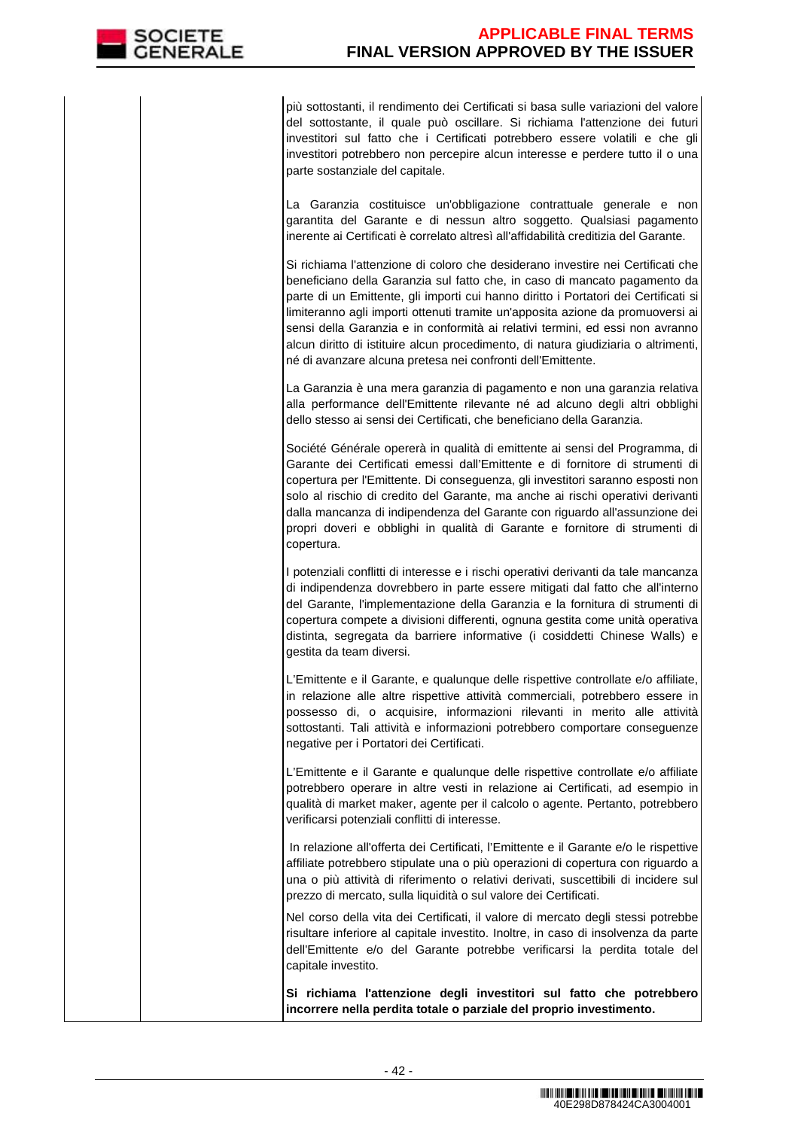più sottostanti, il rendimento dei Certificati si basa sulle variazioni del valore del sottostante, il quale può oscillare. Si richiama l'attenzione dei futuri investitori sul fatto che i Certificati potrebbero essere volatili e che gli investitori potrebbero non percepire alcun interesse e perdere tutto il o una parte sostanziale del capitale.

 La Garanzia costituisce un'obbligazione contrattuale generale e non garantita del Garante e di nessun altro soggetto. Qualsiasi pagamento inerente ai Certificati è correlato altresì all'affidabilità creditizia del Garante.

Si richiama l'attenzione di coloro che desiderano investire nei Certificati che beneficiano della Garanzia sul fatto che, in caso di mancato pagamento da parte di un Emittente, gli importi cui hanno diritto i Portatori dei Certificati si limiteranno agli importi ottenuti tramite un'apposita azione da promuoversi ai sensi della Garanzia e in conformità ai relativi termini, ed essi non avranno alcun diritto di istituire alcun procedimento, di natura giudiziaria o altrimenti, né di avanzare alcuna pretesa nei confronti dell'Emittente.

La Garanzia è una mera garanzia di pagamento e non una garanzia relativa alla performance dell'Emittente rilevante né ad alcuno degli altri obblighi dello stesso ai sensi dei Certificati, che beneficiano della Garanzia.

Société Générale opererà in qualità di emittente ai sensi del Programma, di Garante dei Certificati emessi dall'Emittente e di fornitore di strumenti di copertura per l'Emittente. Di conseguenza, gli investitori saranno esposti non solo al rischio di credito del Garante, ma anche ai rischi operativi derivanti dalla mancanza di indipendenza del Garante con riguardo all'assunzione dei propri doveri e obblighi in qualità di Garante e fornitore di strumenti di copertura.

I potenziali conflitti di interesse e i rischi operativi derivanti da tale mancanza di indipendenza dovrebbero in parte essere mitigati dal fatto che all'interno del Garante, l'implementazione della Garanzia e la fornitura di strumenti di copertura compete a divisioni differenti, ognuna gestita come unità operativa distinta, segregata da barriere informative (i cosiddetti Chinese Walls) e gestita da team diversi.

L'Emittente e il Garante, e qualunque delle rispettive controllate e/o affiliate, in relazione alle altre rispettive attività commerciali, potrebbero essere in possesso di, o acquisire, informazioni rilevanti in merito alle attività sottostanti. Tali attività e informazioni potrebbero comportare conseguenze negative per i Portatori dei Certificati.

L'Emittente e il Garante e qualunque delle rispettive controllate e/o affiliate potrebbero operare in altre vesti in relazione ai Certificati, ad esempio in qualità di market maker, agente per il calcolo o agente. Pertanto, potrebbero verificarsi potenziali conflitti di interesse.

In relazione all'offerta dei Certificati, l'Emittente e il Garante e/o le rispettive affiliate potrebbero stipulate una o più operazioni di copertura con riguardo a una o più attività di riferimento o relativi derivati, suscettibili di incidere sul prezzo di mercato, sulla liquidità o sul valore dei Certificati.

 Nel corso della vita dei Certificati, il valore di mercato degli stessi potrebbe risultare inferiore al capitale investito. Inoltre, in caso di insolvenza da parte dell'Emittente e/o del Garante potrebbe verificarsi la perdita totale del capitale investito.

**Si richiama l'attenzione degli investitori sul fatto che potrebbero incorrere nella perdita totale o parziale del proprio investimento.**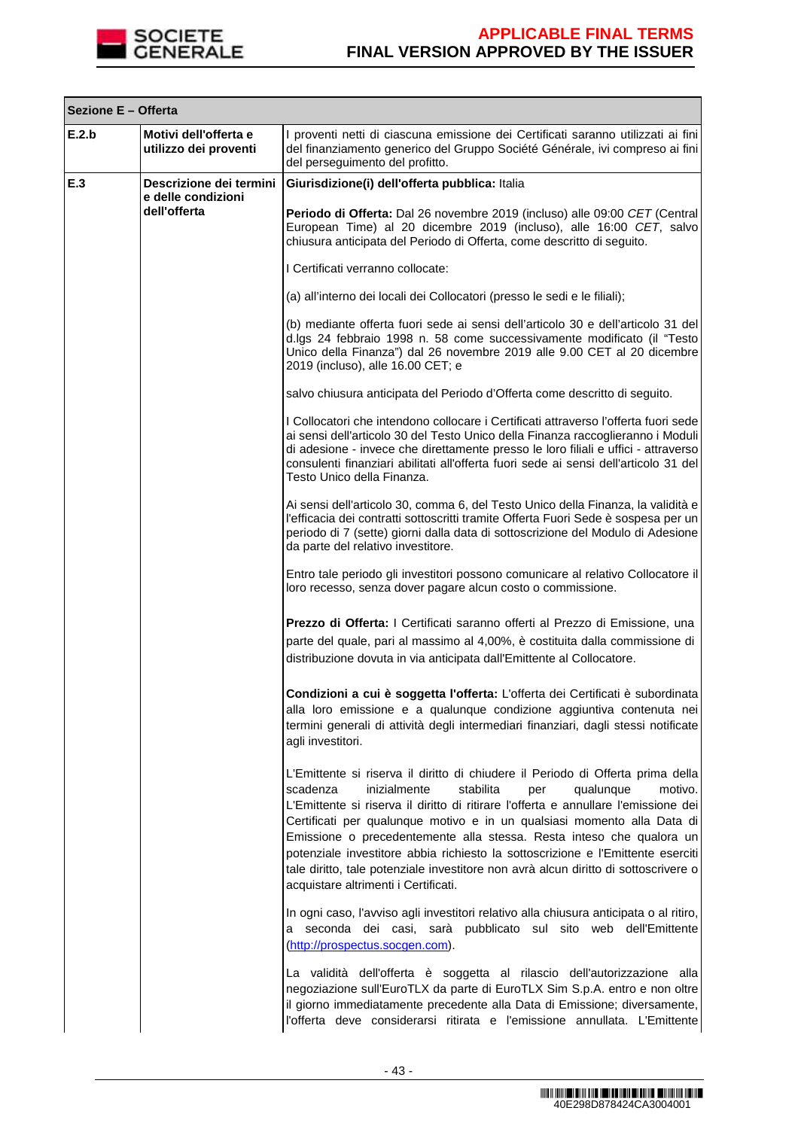

Г

# **APPLICABLE FINAL TERMS FINAL VERSION APPROVED BY THE ISSUER**

┑

|       | Sezione E - Offerta                            |                                                                                                                                                                                                                                                                                                                                                                                                                                                                                                                                                                                                                     |  |
|-------|------------------------------------------------|---------------------------------------------------------------------------------------------------------------------------------------------------------------------------------------------------------------------------------------------------------------------------------------------------------------------------------------------------------------------------------------------------------------------------------------------------------------------------------------------------------------------------------------------------------------------------------------------------------------------|--|
| E.2.b | Motivi dell'offerta e<br>utilizzo dei proventi | I proventi netti di ciascuna emissione dei Certificati saranno utilizzati ai fini<br>del finanziamento generico del Gruppo Société Générale, ivi compreso ai fini<br>del perseguimento del profitto.                                                                                                                                                                                                                                                                                                                                                                                                                |  |
| E.3   | Descrizione dei termini<br>e delle condizioni  | Giurisdizione(i) dell'offerta pubblica: Italia                                                                                                                                                                                                                                                                                                                                                                                                                                                                                                                                                                      |  |
|       | dell'offerta                                   | Periodo di Offerta: Dal 26 novembre 2019 (incluso) alle 09:00 CET (Central<br>European Time) al 20 dicembre 2019 (incluso), alle 16:00 CET, salvo<br>chiusura anticipata del Periodo di Offerta, come descritto di seguito.                                                                                                                                                                                                                                                                                                                                                                                         |  |
|       |                                                | I Certificati verranno collocate:                                                                                                                                                                                                                                                                                                                                                                                                                                                                                                                                                                                   |  |
|       |                                                | (a) all'interno dei locali dei Collocatori (presso le sedi e le filiali);                                                                                                                                                                                                                                                                                                                                                                                                                                                                                                                                           |  |
|       |                                                | (b) mediante offerta fuori sede ai sensi dell'articolo 30 e dell'articolo 31 del<br>d.lgs 24 febbraio 1998 n. 58 come successivamente modificato (il "Testo<br>Unico della Finanza") dal 26 novembre 2019 alle 9.00 CET al 20 dicembre<br>2019 (incluso), alle 16.00 CET; e                                                                                                                                                                                                                                                                                                                                         |  |
|       |                                                | salvo chiusura anticipata del Periodo d'Offerta come descritto di seguito.                                                                                                                                                                                                                                                                                                                                                                                                                                                                                                                                          |  |
|       |                                                | I Collocatori che intendono collocare i Certificati attraverso l'offerta fuori sede<br>ai sensi dell'articolo 30 del Testo Unico della Finanza raccoglieranno i Moduli<br>di adesione - invece che direttamente presso le loro filiali e uffici - attraverso<br>consulenti finanziari abilitati all'offerta fuori sede ai sensi dell'articolo 31 del<br>Testo Unico della Finanza.                                                                                                                                                                                                                                  |  |
|       |                                                | Ai sensi dell'articolo 30, comma 6, del Testo Unico della Finanza, la validità e<br>l'efficacia dei contratti sottoscritti tramite Offerta Fuori Sede è sospesa per un<br>periodo di 7 (sette) giorni dalla data di sottoscrizione del Modulo di Adesione<br>da parte del relativo investitore.                                                                                                                                                                                                                                                                                                                     |  |
|       |                                                | Entro tale periodo gli investitori possono comunicare al relativo Collocatore il<br>loro recesso, senza dover pagare alcun costo o commissione.                                                                                                                                                                                                                                                                                                                                                                                                                                                                     |  |
|       |                                                | Prezzo di Offerta: I Certificati saranno offerti al Prezzo di Emissione, una<br>parte del quale, pari al massimo al 4,00%, è costituita dalla commissione di<br>distribuzione dovuta in via anticipata dall'Emittente al Collocatore.                                                                                                                                                                                                                                                                                                                                                                               |  |
|       |                                                | Condizioni a cui è soggetta l'offerta: L'offerta dei Certificati è subordinata<br>alla loro emissione e a qualunque condizione aggiuntiva contenuta nei<br>termini generali di attività degli intermediari finanziari, dagli stessi notificate<br>agli investitori.                                                                                                                                                                                                                                                                                                                                                 |  |
|       |                                                | L'Emittente si riserva il diritto di chiudere il Periodo di Offerta prima della<br>inizialmente<br>stabilita<br>scadenza<br>qualunque<br>motivo.<br>per<br>L'Emittente si riserva il diritto di ritirare l'offerta e annullare l'emissione dei<br>Certificati per qualunque motivo e in un qualsiasi momento alla Data di<br>Emissione o precedentemente alla stessa. Resta inteso che qualora un<br>potenziale investitore abbia richiesto la sottoscrizione e l'Emittente eserciti<br>tale diritto, tale potenziale investitore non avrà alcun diritto di sottoscrivere o<br>acquistare altrimenti i Certificati. |  |
|       |                                                | In ogni caso, l'avviso agli investitori relativo alla chiusura anticipata o al ritiro,<br>a seconda dei casi, sarà pubblicato sul sito web dell'Emittente<br>(http://prospectus.socgen.com).                                                                                                                                                                                                                                                                                                                                                                                                                        |  |
|       |                                                | La validità dell'offerta è soggetta al rilascio dell'autorizzazione alla<br>negoziazione sull'EuroTLX da parte di EuroTLX Sim S.p.A. entro e non oltre<br>il giorno immediatamente precedente alla Data di Emissione; diversamente,<br>l'offerta deve considerarsi ritirata e l'emissione annullata. L'Emittente                                                                                                                                                                                                                                                                                                    |  |